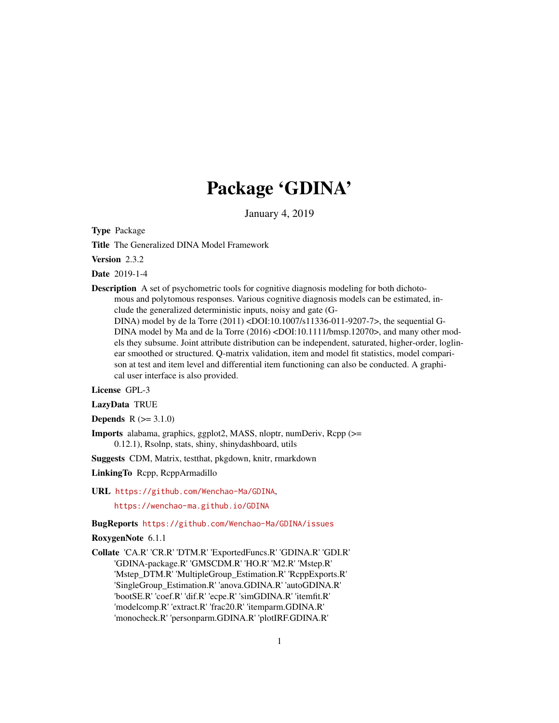# Package 'GDINA'

January 4, 2019

<span id="page-0-0"></span>Type Package

Title The Generalized DINA Model Framework

Version 2.3.2

Date 2019-1-4

Description A set of psychometric tools for cognitive diagnosis modeling for both dichotomous and polytomous responses. Various cognitive diagnosis models can be estimated, include the generalized deterministic inputs, noisy and gate (G-

DINA) model by de la Torre (2011) <DOI:10.1007/s11336-011-9207-7>, the sequential G-DINA model by Ma and de la Torre (2016) <DOI:10.1111/bmsp.12070>, and many other models they subsume. Joint attribute distribution can be independent, saturated, higher-order, loglinear smoothed or structured. Q-matrix validation, item and model fit statistics, model comparison at test and item level and differential item functioning can also be conducted. A graphical user interface is also provided.

License GPL-3

LazyData TRUE

**Depends**  $R (= 3.1.0)$ 

Imports alabama, graphics, ggplot2, MASS, nloptr, numDeriv, Rcpp (>= 0.12.1), Rsolnp, stats, shiny, shinydashboard, utils

Suggests CDM, Matrix, testthat, pkgdown, knitr, rmarkdown

- LinkingTo Rcpp, RcppArmadillo
- URL <https://github.com/Wenchao-Ma/GDINA>,

<https://wenchao-ma.github.io/GDINA>

# BugReports <https://github.com/Wenchao-Ma/GDINA/issues>

RoxygenNote 6.1.1

Collate 'CA.R' 'CR.R' 'DTM.R' 'ExportedFuncs.R' 'GDINA.R' 'GDI.R' 'GDINA-package.R' 'GMSCDM.R' 'HO.R' 'M2.R' 'Mstep.R' 'Mstep\_DTM.R' 'MultipleGroup\_Estimation.R' 'RcppExports.R' 'SingleGroup\_Estimation.R' 'anova.GDINA.R' 'autoGDINA.R' 'bootSE.R' 'coef.R' 'dif.R' 'ecpe.R' 'simGDINA.R' 'itemfit.R' 'modelcomp.R' 'extract.R' 'frac20.R' 'itemparm.GDINA.R' 'monocheck.R' 'personparm.GDINA.R' 'plotIRF.GDINA.R'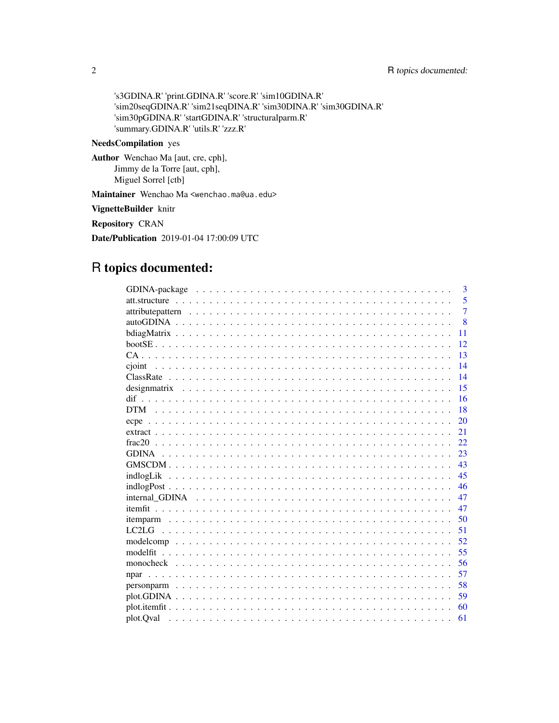's3GDINA.R' 'print.GDINA.R' 'score.R' 'sim10GDINA.R' 'sim20seqGDINA.R' 'sim21seqDINA.R' 'sim30DINA.R' 'sim30GDINA.R' 'sim30pGDINA.R' 'startGDINA.R' 'structuralparm.R' 'summary.GDINA.R' 'utils.R' 'zzz.R'

# NeedsCompilation yes

Author Wenchao Ma [aut, cre, cph], Jimmy de la Torre [aut, cph], Miguel Sorrel [ctb]

Maintainer Wenchao Ma <wenchao.ma@ua.edu>

VignetteBuilder knitr

Repository CRAN

Date/Publication 2019-01-04 17:00:09 UTC

# R topics documented:

| 3              |
|----------------|
| 5              |
| $\overline{7}$ |
| $\mathbf{8}$   |
| 11             |
| 12             |
| 13             |
| 14             |
| 14             |
| 15             |
| 16             |
| 18             |
| 20             |
| 21             |
| 22             |
| 23             |
| 43             |
| 45             |
| 46             |
| 47             |
| 47             |
| 50             |
| 51             |
| 52             |
| 55<br>modelfit |
| 56             |
| 57             |
| 58             |
| 59             |
| 60             |
| 61             |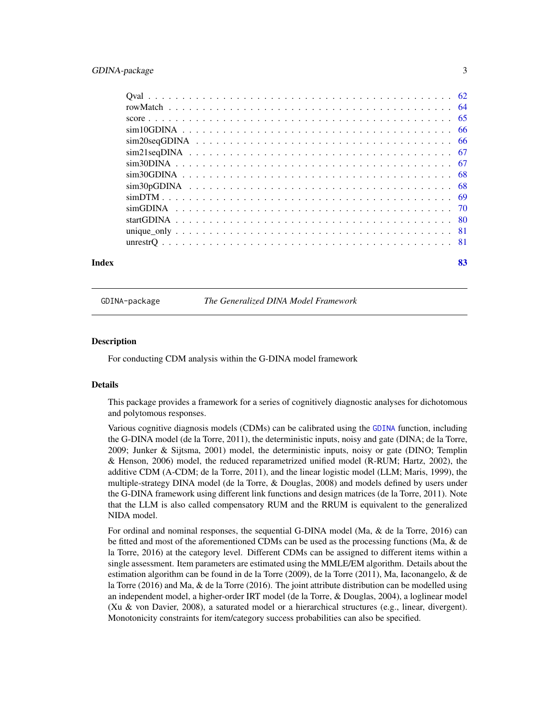# <span id="page-2-0"></span>GDINA-package 3

| Index | 83 |
|-------|----|

GDINA-package *The Generalized DINA Model Framework*

#### Description

For conducting CDM analysis within the G-DINA model framework

#### Details

This package provides a framework for a series of cognitively diagnostic analyses for dichotomous and polytomous responses.

Various cognitive diagnosis models (CDMs) can be calibrated using the [GDINA](#page-22-1) function, including the G-DINA model (de la Torre, 2011), the deterministic inputs, noisy and gate (DINA; de la Torre, 2009; Junker & Sijtsma, 2001) model, the deterministic inputs, noisy or gate (DINO; Templin & Henson, 2006) model, the reduced reparametrized unified model (R-RUM; Hartz, 2002), the additive CDM (A-CDM; de la Torre, 2011), and the linear logistic model (LLM; Maris, 1999), the multiple-strategy DINA model (de la Torre, & Douglas, 2008) and models defined by users under the G-DINA framework using different link functions and design matrices (de la Torre, 2011). Note that the LLM is also called compensatory RUM and the RRUM is equivalent to the generalized NIDA model.

For ordinal and nominal responses, the sequential G-DINA model (Ma, & de la Torre, 2016) can be fitted and most of the aforementioned CDMs can be used as the processing functions (Ma, & de la Torre, 2016) at the category level. Different CDMs can be assigned to different items within a single assessment. Item parameters are estimated using the MMLE/EM algorithm. Details about the estimation algorithm can be found in de la Torre (2009), de la Torre (2011), Ma, Iaconangelo, & de la Torre (2016) and Ma, & de la Torre (2016). The joint attribute distribution can be modelled using an independent model, a higher-order IRT model (de la Torre, & Douglas, 2004), a loglinear model (Xu & von Davier, 2008), a saturated model or a hierarchical structures (e.g., linear, divergent). Monotonicity constraints for item/category success probabilities can also be specified.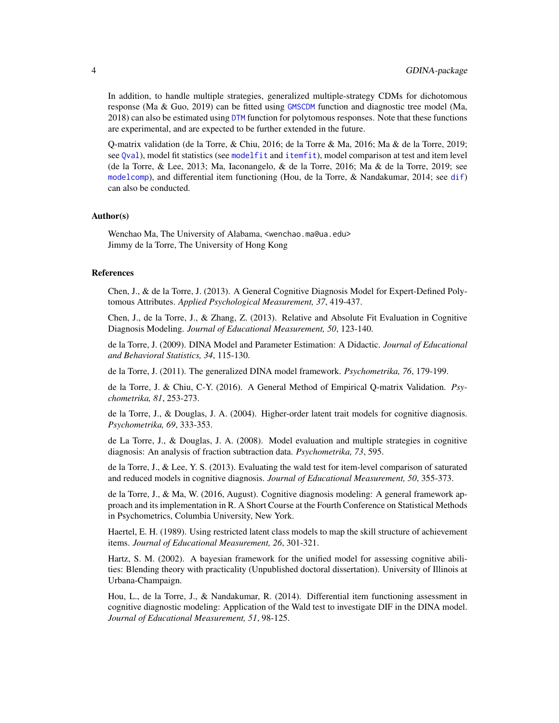In addition, to handle multiple strategies, generalized multiple-strategy CDMs for dichotomous response (Ma & Guo, 2019) can be fitted using [GMSCDM](#page-42-1) function and diagnostic tree model (Ma, 2018) can also be estimated using [DTM](#page-17-1) function for polytomous responses. Note that these functions are experimental, and are expected to be further extended in the future.

Q-matrix validation (de la Torre, & Chiu, 2016; de la Torre & Ma, 2016; Ma & de la Torre, 2019; see [Qval](#page-61-1)), model fit statistics (see [modelfit](#page-54-1) and [itemfit](#page-46-1)), model comparison at test and item level (de la Torre, & Lee, 2013; Ma, Iaconangelo, & de la Torre, 2016; Ma & de la Torre, 2019; see [modelcomp](#page-51-1)), and differential item functioning (Hou, de la Torre, & Nandakumar, 2014; see [dif](#page-15-1)) can also be conducted.

#### Author(s)

Wenchao Ma, The University of Alabama, <wenchao.ma@ua.edu> Jimmy de la Torre, The University of Hong Kong

#### References

Chen, J., & de la Torre, J. (2013). A General Cognitive Diagnosis Model for Expert-Defined Polytomous Attributes. *Applied Psychological Measurement, 37*, 419-437.

Chen, J., de la Torre, J., & Zhang, Z. (2013). Relative and Absolute Fit Evaluation in Cognitive Diagnosis Modeling. *Journal of Educational Measurement, 50*, 123-140.

de la Torre, J. (2009). DINA Model and Parameter Estimation: A Didactic. *Journal of Educational and Behavioral Statistics, 34*, 115-130.

de la Torre, J. (2011). The generalized DINA model framework. *Psychometrika, 76*, 179-199.

de la Torre, J. & Chiu, C-Y. (2016). A General Method of Empirical Q-matrix Validation. *Psychometrika, 81*, 253-273.

de la Torre, J., & Douglas, J. A. (2004). Higher-order latent trait models for cognitive diagnosis. *Psychometrika, 69*, 333-353.

de La Torre, J., & Douglas, J. A. (2008). Model evaluation and multiple strategies in cognitive diagnosis: An analysis of fraction subtraction data. *Psychometrika, 73*, 595.

de la Torre, J., & Lee, Y. S. (2013). Evaluating the wald test for item-level comparison of saturated and reduced models in cognitive diagnosis. *Journal of Educational Measurement, 50*, 355-373.

de la Torre, J., & Ma, W. (2016, August). Cognitive diagnosis modeling: A general framework approach and its implementation in R. A Short Course at the Fourth Conference on Statistical Methods in Psychometrics, Columbia University, New York.

Haertel, E. H. (1989). Using restricted latent class models to map the skill structure of achievement items. *Journal of Educational Measurement, 26*, 301-321.

Hartz, S. M. (2002). A bayesian framework for the unified model for assessing cognitive abilities: Blending theory with practicality (Unpublished doctoral dissertation). University of Illinois at Urbana-Champaign.

Hou, L., de la Torre, J., & Nandakumar, R. (2014). Differential item functioning assessment in cognitive diagnostic modeling: Application of the Wald test to investigate DIF in the DINA model. *Journal of Educational Measurement, 51*, 98-125.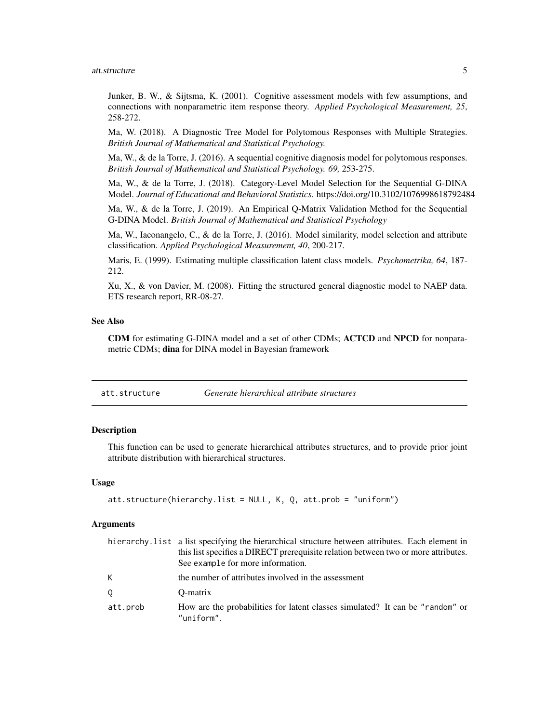<span id="page-4-0"></span>Junker, B. W., & Sijtsma, K. (2001). Cognitive assessment models with few assumptions, and connections with nonparametric item response theory. *Applied Psychological Measurement, 25*, 258-272.

Ma, W. (2018). A Diagnostic Tree Model for Polytomous Responses with Multiple Strategies. *British Journal of Mathematical and Statistical Psychology.*

Ma, W., & de la Torre, J. (2016). A sequential cognitive diagnosis model for polytomous responses. *British Journal of Mathematical and Statistical Psychology. 69,* 253-275.

Ma, W., & de la Torre, J. (2018). Category-Level Model Selection for the Sequential G-DINA Model. *Journal of Educational and Behavioral Statistics*. https://doi.org/10.3102/1076998618792484

Ma, W., & de la Torre, J. (2019). An Empirical Q-Matrix Validation Method for the Sequential G-DINA Model. *British Journal of Mathematical and Statistical Psychology*

Ma, W., Iaconangelo, C., & de la Torre, J. (2016). Model similarity, model selection and attribute classification. *Applied Psychological Measurement, 40*, 200-217.

Maris, E. (1999). Estimating multiple classification latent class models. *Psychometrika, 64*, 187- 212.

Xu, X., & von Davier, M. (2008). Fitting the structured general diagnostic model to NAEP data. ETS research report, RR-08-27.

# See Also

CDM for estimating G-DINA model and a set of other CDMs; ACTCD and NPCD for nonparametric CDMs; dina for DINA model in Bayesian framework

# Description

This function can be used to generate hierarchical attributes structures, and to provide prior joint attribute distribution with hierarchical structures.

#### Usage

```
att.structure(hierarchy.list = NULL, K, Q, att.prob = "uniform")
```

|          | hierarchy. List a list specifying the hierarchical structure between attributes. Each element in<br>this list specifies a DIRECT prerequisite relation between two or more attributes.<br>See example for more information. |
|----------|-----------------------------------------------------------------------------------------------------------------------------------------------------------------------------------------------------------------------------|
| K        | the number of attributes involved in the assessment                                                                                                                                                                         |
| 0        | O-matrix                                                                                                                                                                                                                    |
| att.prob | How are the probabilities for latent classes simulated? It can be "random" or<br>"uniform".                                                                                                                                 |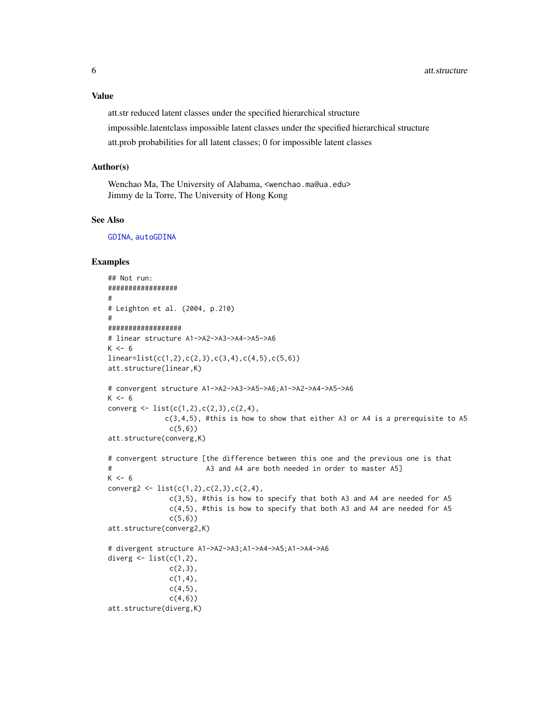# Value

att.str reduced latent classes under the specified hierarchical structure impossible.latentclass impossible latent classes under the specified hierarchical structure att.prob probabilities for all latent classes; 0 for impossible latent classes

#### Author(s)

Wenchao Ma, The University of Alabama, <wenchao.ma@ua.edu> Jimmy de la Torre, The University of Hong Kong

#### See Also

[GDINA](#page-22-1), [autoGDINA](#page-7-1)

```
## Not run:
#################
#
# Leighton et al. (2004, p.210)
#
##################
# linear structure A1->A2->A3->A4->A5->A6
K \le -6linear=list(c(1,2),c(2,3),c(3,4),c(4,5),c(5,6))
att.structure(linear,K)
# convergent structure A1->A2->A3->A5->A6;A1->A2->A4->A5->A6
K < -6converg \leq 1 ist(c(1,2),c(2,3),c(2,4),
             c(3,4,5), #this is how to show that either A3 or A4 is a prerequisite to A5
              c(5,6)att.structure(converg,K)
# convergent structure [the difference between this one and the previous one is that
# A3 and A4 are both needed in order to master A5]
K < -6converg2 <- list(c(1,2),c(2,3),c(2,4),c(3,5), #this is how to specify that both A3 and A4 are needed for A5
               c(4,5), #this is how to specify that both A3 and A4 are needed for A5
              c(5,6)att.structure(converg2,K)
# divergent structure A1->A2->A3;A1->A4->A5;A1->A4->A6
diverg \leq list(c(1,2),
              c(2,3),
              c(1,4),
              c(4,5),
               c(4,6)att.structure(diverg,K)
```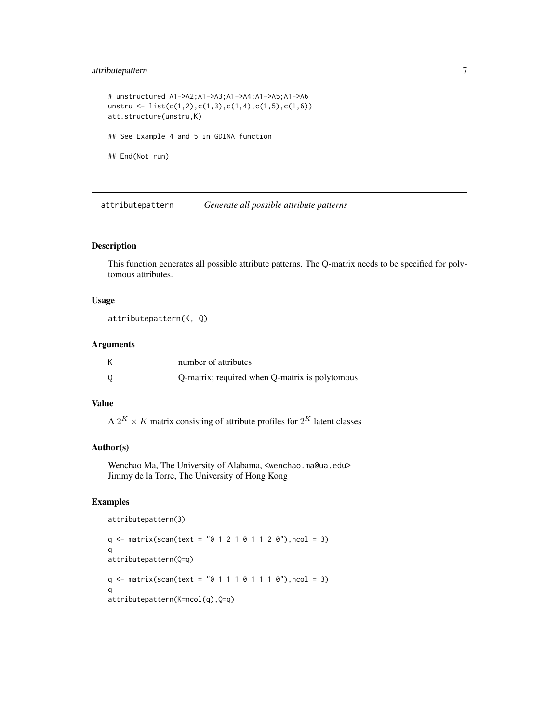# <span id="page-6-0"></span>attributepattern 7

```
# unstructured A1->A2;A1->A3;A1->A4;A1->A5;A1->A6
unstru <- list(c(1,2),c(1,3),c(1,4),c(1,5),c(1,6))
att.structure(unstru,K)
## See Example 4 and 5 in GDINA function
## End(Not run)
```
attributepattern *Generate all possible attribute patterns*

# Description

This function generates all possible attribute patterns. The Q-matrix needs to be specified for polytomous attributes.

# Usage

attributepattern(K, Q)

# Arguments

| number of attributes                           |
|------------------------------------------------|
| Q-matrix; required when Q-matrix is polytomous |

# Value

A  $2^K \times K$  matrix consisting of attribute profiles for  $2^K$  latent classes

# Author(s)

Wenchao Ma, The University of Alabama, <wenchao.ma@ua.edu> Jimmy de la Torre, The University of Hong Kong

```
attributepattern(3)
q \leq - matrix(scan(text = "0 1 2 1 0 1 1 2 0"), ncol = 3)
q
attributepattern(Q=q)
q \leq matrix(scan(text = "0 1 1 1 0 1 1 1 0"), ncol = 3)
q
attributepattern(K=ncol(q),Q=q)
```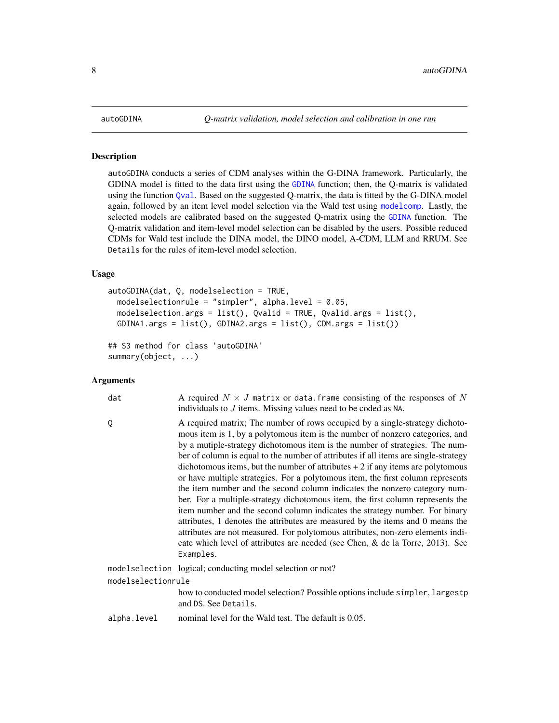#### Description

autoGDINA conducts a series of CDM analyses within the G-DINA framework. Particularly, the GDINA model is fitted to the data first using the [GDINA](#page-22-1) function; then, the Q-matrix is validated using the function [Qval](#page-61-1). Based on the suggested Q-matrix, the data is fitted by the G-DINA model again, followed by an item level model selection via the Wald test using [modelcomp](#page-51-1). Lastly, the selected models are calibrated based on the suggested Q-matrix using the [GDINA](#page-22-1) function. The Q-matrix validation and item-level model selection can be disabled by the users. Possible reduced CDMs for Wald test include the DINA model, the DINO model, A-CDM, LLM and RRUM. See Details for the rules of item-level model selection.

# Usage

```
autoGDINA(dat, Q, modelselection = TRUE,
 modelselectionrule = "simpler", alpha.level = 0.05,
 modelselection.args = list(), Qvalid = TRUE, Qvalid.args = list(),
 GDINA1.args = list(), GDINA2.args = list(), CDM.args = list())
```

```
## S3 method for class 'autoGDINA'
summary(object, ...)
```

| dat                | A required $N \times J$ matrix or data. frame consisting of the responses of N<br>individuals to $J$ items. Missing values need to be coded as NA.                                                                                                                                                                                                                                                                                                                                                                                                                                                                                                                                                                                                                                                                                                                                                                                                                                                                            |  |
|--------------------|-------------------------------------------------------------------------------------------------------------------------------------------------------------------------------------------------------------------------------------------------------------------------------------------------------------------------------------------------------------------------------------------------------------------------------------------------------------------------------------------------------------------------------------------------------------------------------------------------------------------------------------------------------------------------------------------------------------------------------------------------------------------------------------------------------------------------------------------------------------------------------------------------------------------------------------------------------------------------------------------------------------------------------|--|
| Q                  | A required matrix; The number of rows occupied by a single-strategy dichoto-<br>mous item is 1, by a polytomous item is the number of nonzero categories, and<br>by a mutiple-strategy dichotomous item is the number of strategies. The num-<br>ber of column is equal to the number of attributes if all items are single-strategy<br>dichotomous items, but the number of attributes $+2$ if any items are polytomous<br>or have multiple strategies. For a polytomous item, the first column represents<br>the item number and the second column indicates the nonzero category num-<br>ber. For a multiple-strategy dichotomous item, the first column represents the<br>item number and the second column indicates the strategy number. For binary<br>attributes, 1 denotes the attributes are measured by the items and 0 means the<br>attributes are not measured. For polytomous attributes, non-zero elements indi-<br>cate which level of attributes are needed (see Chen, & de la Torre, 2013). See<br>Examples. |  |
|                    | modelselection logical; conducting model selection or not?                                                                                                                                                                                                                                                                                                                                                                                                                                                                                                                                                                                                                                                                                                                                                                                                                                                                                                                                                                    |  |
| modelselectionrule |                                                                                                                                                                                                                                                                                                                                                                                                                                                                                                                                                                                                                                                                                                                                                                                                                                                                                                                                                                                                                               |  |
|                    | how to conducted model selection? Possible options include simpler, largestp<br>and DS. See Details.                                                                                                                                                                                                                                                                                                                                                                                                                                                                                                                                                                                                                                                                                                                                                                                                                                                                                                                          |  |
| alpha.level        | nominal level for the Wald test. The default is 0.05.                                                                                                                                                                                                                                                                                                                                                                                                                                                                                                                                                                                                                                                                                                                                                                                                                                                                                                                                                                         |  |
|                    |                                                                                                                                                                                                                                                                                                                                                                                                                                                                                                                                                                                                                                                                                                                                                                                                                                                                                                                                                                                                                               |  |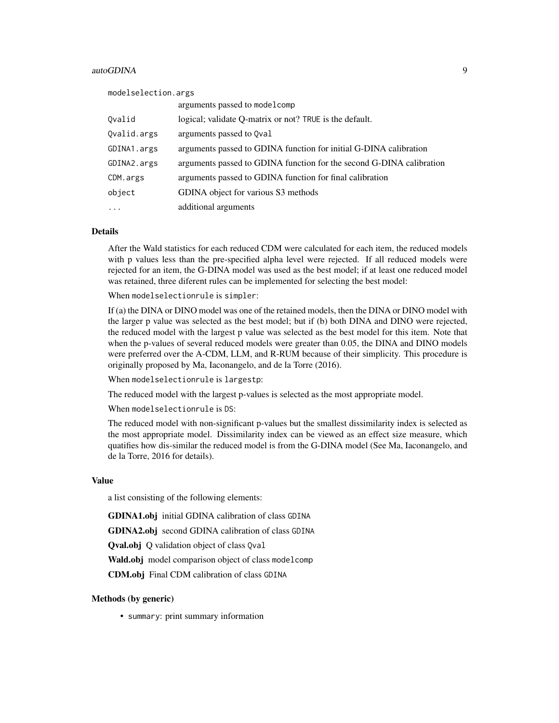#### autoGDINA 9

| modelselection.args |                                                                      |  |
|---------------------|----------------------------------------------------------------------|--|
|                     | arguments passed to model comp                                       |  |
| Ovalid              | logical; validate O-matrix or not? TRUE is the default.              |  |
| Ovalid.args         | arguments passed to Qval                                             |  |
| GDINA1.args         | arguments passed to GDINA function for initial G-DINA calibration    |  |
| GDINA2.args         | arguments passed to GDINA function for the second G-DINA calibration |  |
| CDM.args            | arguments passed to GDINA function for final calibration             |  |
| object              | GDINA object for various S3 methods                                  |  |
| $\ddots$ .          | additional arguments                                                 |  |

#### Details

After the Wald statistics for each reduced CDM were calculated for each item, the reduced models with p values less than the pre-specified alpha level were rejected. If all reduced models were rejected for an item, the G-DINA model was used as the best model; if at least one reduced model was retained, three diferent rules can be implemented for selecting the best model:

When modelselectionrule is simpler:

If (a) the DINA or DINO model was one of the retained models, then the DINA or DINO model with the larger p value was selected as the best model; but if (b) both DINA and DINO were rejected, the reduced model with the largest p value was selected as the best model for this item. Note that when the p-values of several reduced models were greater than 0.05, the DINA and DINO models were preferred over the A-CDM, LLM, and R-RUM because of their simplicity. This procedure is originally proposed by Ma, Iaconangelo, and de la Torre (2016).

When modelselectionrule is largestp:

The reduced model with the largest p-values is selected as the most appropriate model.

When modelselectionrule is DS:

The reduced model with non-significant p-values but the smallest dissimilarity index is selected as the most appropriate model. Dissimilarity index can be viewed as an effect size measure, which quatifies how dis-similar the reduced model is from the G-DINA model (See Ma, Iaconangelo, and de la Torre, 2016 for details).

#### Value

a list consisting of the following elements:

GDINA1.obj initial GDINA calibration of class GDINA

GDINA2.obj second GDINA calibration of class GDINA

Qval.obj Q validation object of class Qval

Wald.obj model comparison object of class model comp

CDM.obj Final CDM calibration of class GDINA

#### Methods (by generic)

• summary: print summary information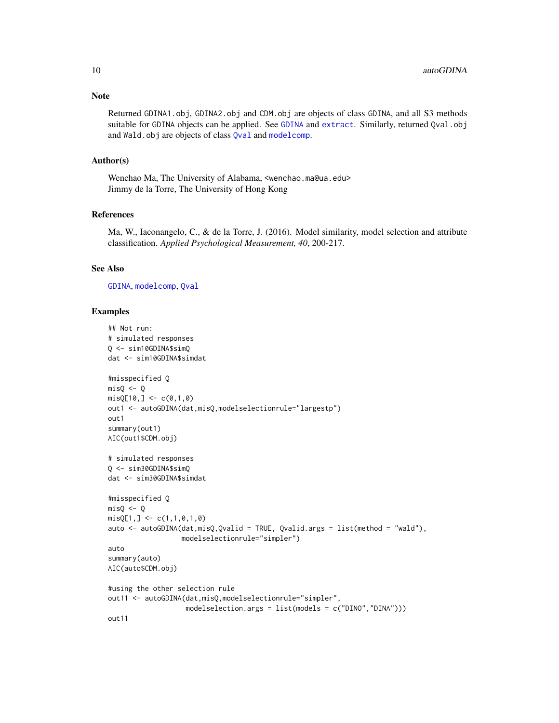Returned GDINA1.obj, GDINA2.obj and CDM.obj are objects of class GDINA, and all S3 methods suitable for [GDINA](#page-22-1) objects can be applied. See GDINA and [extract](#page-20-1). Similarly, returned Qval.obj and Wald.obj are objects of class [Qval](#page-61-1) and [modelcomp](#page-51-1).

# Author(s)

Wenchao Ma, The University of Alabama, <wenchao.ma@ua.edu> Jimmy de la Torre, The University of Hong Kong

# References

Ma, W., Iaconangelo, C., & de la Torre, J. (2016). Model similarity, model selection and attribute classification. *Applied Psychological Measurement, 40*, 200-217.

### See Also

[GDINA](#page-22-1), [modelcomp](#page-51-1), [Qval](#page-61-1)

```
## Not run:
# simulated responses
Q <- sim10GDINA$simQ
dat <- sim10GDINA$simdat
#misspecified Q
misQ \leftarrow QmisQ[10, ] < -c(0,1,0)out1 <- autoGDINA(dat,misQ,modelselectionrule="largestp")
out1
summary(out1)
AIC(out1$CDM.obj)
# simulated responses
Q <- sim30GDINA$simQ
dat <- sim30GDINA$simdat
#misspecified Q
misQ \leftarrow QmisQ[1, ] \leftarrow c(1,1,0,1,0)auto <- autoGDINA(dat, misQ, Qvalid = TRUE, Qvalid.args = list(method = "wald"),
                  modelselectionrule="simpler")
auto
summary(auto)
AIC(auto$CDM.obj)
#using the other selection rule
out11 <- autoGDINA(dat,misQ,modelselectionrule="simpler",
                   modelselection.args = list(models = c("DINO","DINA")))
out11
```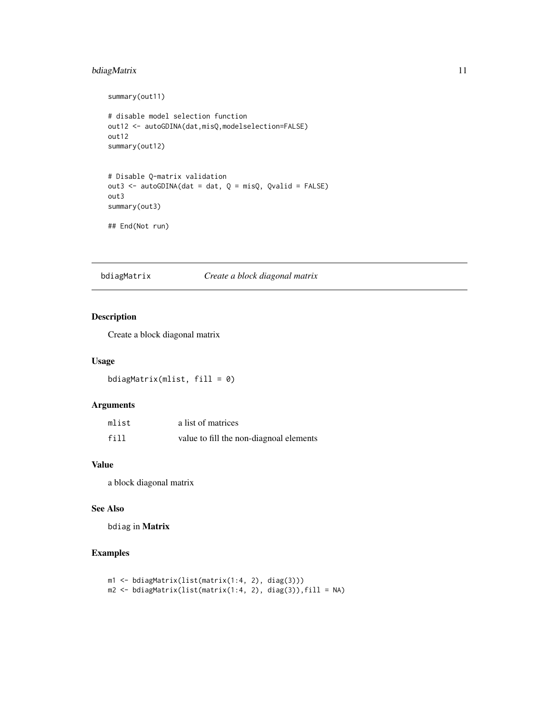# <span id="page-10-0"></span>bdiagMatrix 11

```
summary(out11)
# disable model selection function
out12 <- autoGDINA(dat,misQ,modelselection=FALSE)
out12
summary(out12)
# Disable Q-matrix validation
out3 <- autoGDINA(dat = dat, Q = misQ, Qvalid = FALSE)
out3
summary(out3)
## End(Not run)
```
bdiagMatrix *Create a block diagonal matrix*

# Description

Create a block diagonal matrix

# Usage

bdiagMatrix(mlist, fill = 0)

# Arguments

| mlist | a list of matrices                      |
|-------|-----------------------------------------|
| fill  | value to fill the non-diagnoal elements |

#### Value

a block diagonal matrix

# See Also

bdiag in Matrix

```
m1 <- bdiagMatrix(list(matrix(1:4, 2), diag(3)))
m2 <- bdiagMatrix(list(matrix(1:4, 2), diag(3)),fill = NA)
```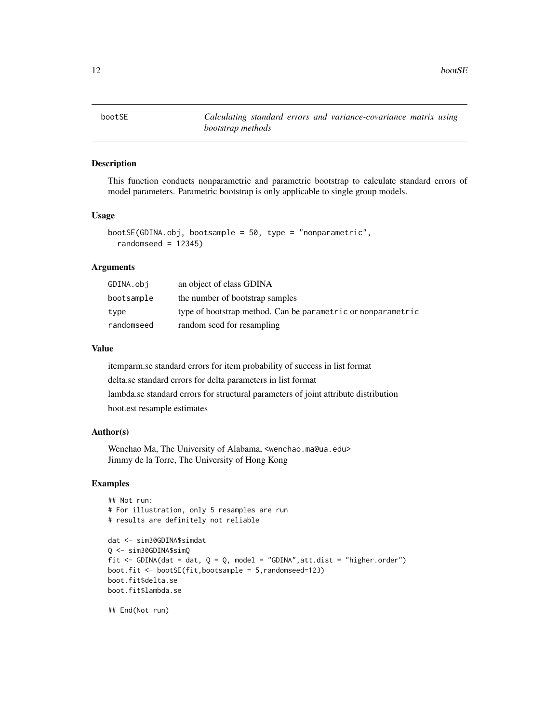<span id="page-11-0"></span>bootSE *Calculating standard errors and variance-covariance matrix using bootstrap methods*

# Description

This function conducts nonparametric and parametric bootstrap to calculate standard errors of model parameters. Parametric bootstrap is only applicable to single group models.

# Usage

```
bootSE(GDINA.obj, bootsample = 50, type = "nonparametric",
  randomseed = 12345)
```
# Arguments

| GDINA.obi  | an object of class GDINA                                     |
|------------|--------------------------------------------------------------|
| bootsample | the number of bootstrap samples                              |
| type       | type of bootstrap method. Can be parametric or nonparametric |
| randomseed | random seed for resampling                                   |

# Value

itemparm.se standard errors for item probability of success in list format delta.se standard errors for delta parameters in list format lambda.se standard errors for structural parameters of joint attribute distribution boot.est resample estimates

# Author(s)

Wenchao Ma, The University of Alabama, <wenchao.ma@ua.edu> Jimmy de la Torre, The University of Hong Kong

#### Examples

```
## Not run:
# For illustration, only 5 resamples are run
# results are definitely not reliable
```

```
dat <- sim30GDINA$simdat
Q <- sim30GDINA$simQ
fit \le GDINA(dat = dat, Q = Q, model = "GDINA", att.dist = "higher.order")
boot.fit <- bootSE(fit,bootsample = 5,randomseed=123)
boot.fit$delta.se
boot.fit$lambda.se
```
## End(Not run)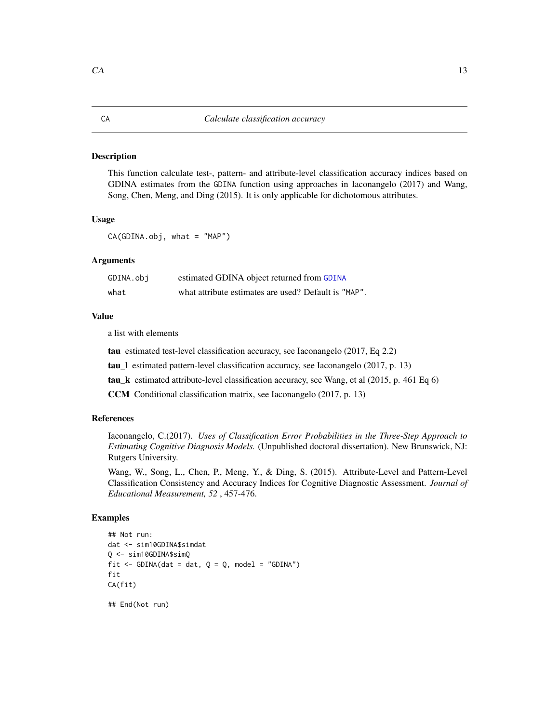#### <span id="page-12-0"></span>Description

This function calculate test-, pattern- and attribute-level classification accuracy indices based on GDINA estimates from the GDINA function using approaches in Iaconangelo (2017) and Wang, Song, Chen, Meng, and Ding (2015). It is only applicable for dichotomous attributes.

#### Usage

CA(GDINA.obj, what = "MAP")

# Arguments

| GDINA.obj | estimated GDINA object returned from GDINA           |
|-----------|------------------------------------------------------|
| what      | what attribute estimates are used? Default is "MAP". |

# Value

a list with elements

tau estimated test-level classification accuracy, see Iaconangelo (2017, Eq 2.2)

tau\_l estimated pattern-level classification accuracy, see Iaconangelo (2017, p. 13)

tau\_k estimated attribute-level classification accuracy, see Wang, et al (2015, p. 461 Eq 6)

CCM Conditional classification matrix, see Iaconangelo (2017, p. 13)

#### References

Iaconangelo, C.(2017). *Uses of Classification Error Probabilities in the Three-Step Approach to Estimating Cognitive Diagnosis Models.* (Unpublished doctoral dissertation). New Brunswick, NJ: Rutgers University.

Wang, W., Song, L., Chen, P., Meng, Y., & Ding, S. (2015). Attribute-Level and Pattern-Level Classification Consistency and Accuracy Indices for Cognitive Diagnostic Assessment. *Journal of Educational Measurement, 52* , 457-476.

```
## Not run:
dat <- sim10GDINA$simdat
Q <- sim10GDINA$simQ
fit \le - GDINA(dat = dat, Q = Q, model = "GDINA")
fit
CA(fit)
```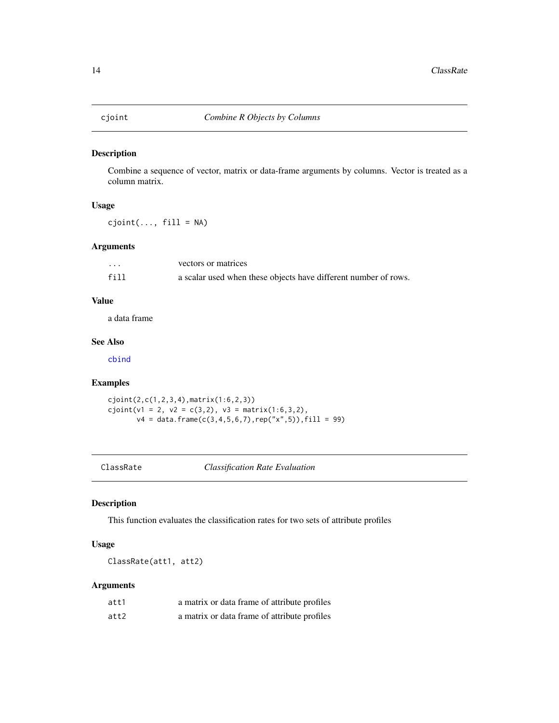<span id="page-13-0"></span>

#### Description

Combine a sequence of vector, matrix or data-frame arguments by columns. Vector is treated as a column matrix.

# Usage

 $cjoint(..., fill = NA)$ 

# Arguments

| $\cdot$ | vectors or matrices                                             |
|---------|-----------------------------------------------------------------|
| fill    | a scalar used when these objects have different number of rows. |

# Value

a data frame

# See Also

[cbind](#page-0-0)

# Examples

cjoint(2,c(1,2,3,4),matrix(1:6,2,3))  $cjoint(v1 = 2, v2 = c(3,2), v3 = matrix(1:6,3,2),$  $v4 = data.$ frame(c(3,4,5,6,7),rep("x",5)),fill = 99)

ClassRate *Classification Rate Evaluation*

# Description

This function evaluates the classification rates for two sets of attribute profiles

# Usage

ClassRate(att1, att2)

| att1 | a matrix or data frame of attribute profiles |
|------|----------------------------------------------|
| att2 | a matrix or data frame of attribute profiles |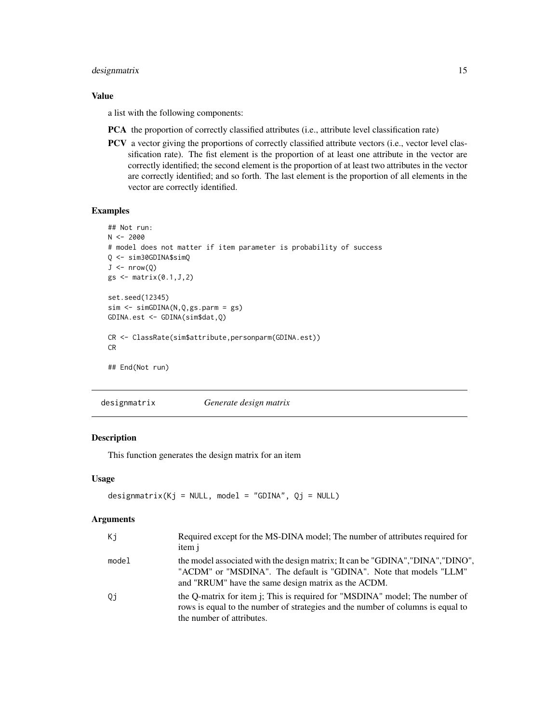# <span id="page-14-0"></span>designmatrix 15

# Value

a list with the following components:

- PCA the proportion of correctly classified attributes (i.e., attribute level classification rate)
- PCV a vector giving the proportions of correctly classified attribute vectors (i.e., vector level classification rate). The fist element is the proportion of at least one attribute in the vector are correctly identified; the second element is the proportion of at least two attributes in the vector are correctly identified; and so forth. The last element is the proportion of all elements in the vector are correctly identified.

# Examples

```
## Not run:
N < -2000# model does not matter if item parameter is probability of success
Q <- sim30GDINA$simQ
J \leftarrow \text{nrow}(Q)gs \leftarrow matrix(0.1, J, 2)set.seed(12345)
sim < -simGDINA(N,Q,gs.parm = gs)
GDINA.est <- GDINA(sim$dat,Q)
CR <- ClassRate(sim$attribute,personparm(GDINA.est))
CR
## End(Not run)
```
designmatrix *Generate design matrix*

# Description

This function generates the design matrix for an item

#### Usage

```
designmatrix(Kj = NULL, model = "GDINA", Qj = NULL)
```

| Кi    | Required except for the MS-DINA model; The number of attributes required for<br>item j                                                                                                                       |
|-------|--------------------------------------------------------------------------------------------------------------------------------------------------------------------------------------------------------------|
| model | the model associated with the design matrix; It can be "GDINA", "DINA", "DINO",<br>"ACDM" or "MSDINA". The default is "GDINA". Note that models "LLM"<br>and "RRUM" have the same design matrix as the ACDM. |
| Qj    | the Q-matrix for item j; This is required for "MSDINA" model; The number of<br>rows is equal to the number of strategies and the number of columns is equal to<br>the number of attributes.                  |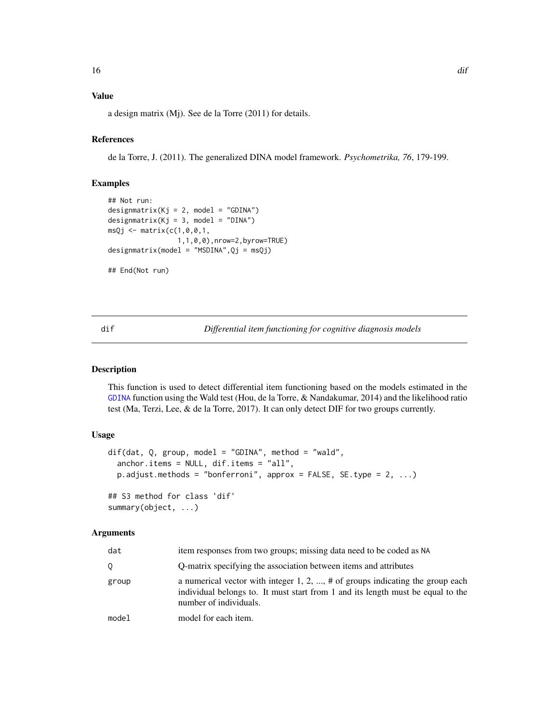# <span id="page-15-0"></span>Value

a design matrix (Mj). See de la Torre (2011) for details.

# References

de la Torre, J. (2011). The generalized DINA model framework. *Psychometrika, 76*, 179-199.

# Examples

```
## Not run:
design matrix(Kj = 2, model = "GDINA")design matrix(Kj = 3, model = "DINA")msQj \leq -\text{matrix}(c(1, 0, 0, 1,1,1,0,0),nrow=2,byrow=TRUE)
designmatrix(model = "MSDINA",Qj = msQj)
## End(Not run)
```
<span id="page-15-1"></span>dif *Differential item functioning for cognitive diagnosis models*

# Description

This function is used to detect differential item functioning based on the models estimated in the [GDINA](#page-22-1) function using the Wald test (Hou, de la Torre, & Nandakumar, 2014) and the likelihood ratio test (Ma, Terzi, Lee, & de la Torre, 2017). It can only detect DIF for two groups currently.

# Usage

```
dif(dat, Q, group, model = "GDINA", method = "wald",
  anchor.items = NULL, dif.items = "all",
 p.adjust.methods = "bonferroni", approx = FALSE, SE.type = 2, ...)
## S3 method for class 'dif'
summary(object, ...)
```

| dat   | item responses from two groups; missing data need to be coded as NA                                                                                                                           |
|-------|-----------------------------------------------------------------------------------------------------------------------------------------------------------------------------------------------|
| O.    | Q-matrix specifying the association between items and attributes                                                                                                                              |
| group | a numerical vector with integer 1, 2, , $\#$ of groups indicating the group each<br>individual belongs to. It must start from 1 and its length must be equal to the<br>number of individuals. |
| model | model for each item.                                                                                                                                                                          |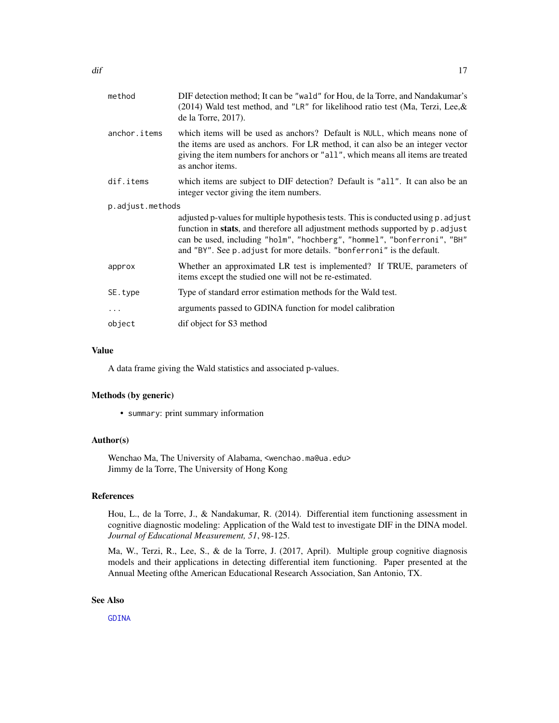| method           | DIF detection method; It can be "wald" for Hou, de la Torre, and Nandakumar's<br>(2014) Wald test method, and "LR" for likelihood ratio test (Ma, Terzi, Lee, $&$<br>de la Torre, $2017$ ).                                                                                                                               |  |
|------------------|---------------------------------------------------------------------------------------------------------------------------------------------------------------------------------------------------------------------------------------------------------------------------------------------------------------------------|--|
| anchor.items     | which items will be used as anchors? Default is NULL, which means none of<br>the items are used as anchors. For LR method, it can also be an integer vector<br>giving the item numbers for anchors or "all", which means all items are treated<br>as anchor items.                                                        |  |
| dif.items        | which items are subject to DIF detection? Default is "all". It can also be an<br>integer vector giving the item numbers.                                                                                                                                                                                                  |  |
| p.adjust.methods |                                                                                                                                                                                                                                                                                                                           |  |
|                  | adjusted p-values for multiple hypothesis tests. This is conducted using p. adjust<br>function in stats, and therefore all adjustment methods supported by p. adjust<br>can be used, including "holm", "hochberg", "hommel", "bonferroni", "BH"<br>and "BY". See p. adjust for more details. "bonferroni" is the default. |  |
| approx           | Whether an approximated LR test is implemented? If TRUE, parameters of<br>items except the studied one will not be re-estimated.                                                                                                                                                                                          |  |
| SE.type          | Type of standard error estimation methods for the Wald test.                                                                                                                                                                                                                                                              |  |
| $\cdots$         | arguments passed to GDINA function for model calibration                                                                                                                                                                                                                                                                  |  |
| object           | dif object for S3 method                                                                                                                                                                                                                                                                                                  |  |
|                  |                                                                                                                                                                                                                                                                                                                           |  |

# Value

A data frame giving the Wald statistics and associated p-values.

# Methods (by generic)

• summary: print summary information

#### Author(s)

Wenchao Ma, The University of Alabama, <wenchao.ma@ua.edu> Jimmy de la Torre, The University of Hong Kong

# References

Hou, L., de la Torre, J., & Nandakumar, R. (2014). Differential item functioning assessment in cognitive diagnostic modeling: Application of the Wald test to investigate DIF in the DINA model. *Journal of Educational Measurement, 51*, 98-125.

Ma, W., Terzi, R., Lee, S., & de la Torre, J. (2017, April). Multiple group cognitive diagnosis models and their applications in detecting differential item functioning. Paper presented at the Annual Meeting ofthe American Educational Research Association, San Antonio, TX.

#### See Also

[GDINA](#page-22-1)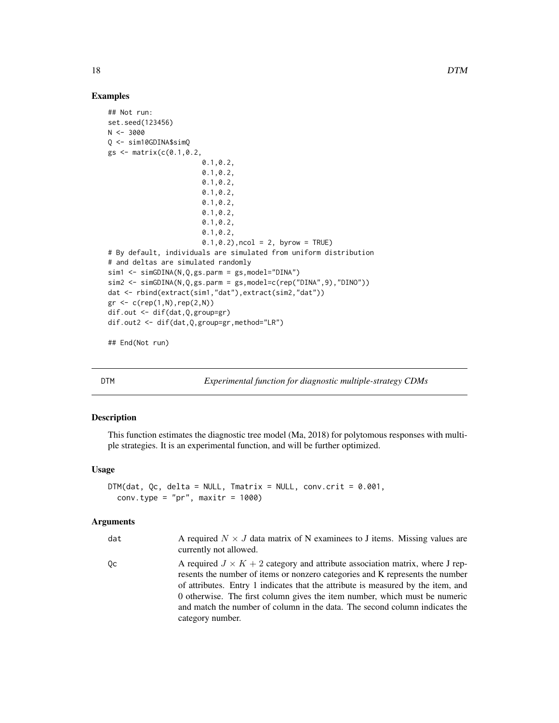# Examples

```
## Not run:
set.seed(123456)
N < -3000Q <- sim10GDINA$simQ
gs <- matrix(c(0.1,0.2,
                       0.1,0.2,
                       0.1,0.2,
                       0.1,0.2,
                       0.1,0.2,
                       0.1,0.2,
                       0.1,0.2,
                       0.1,0.2,
                       0.1,0.2,
                       0.1, 0.2), ncol = 2, byrow = TRUE)
# By default, individuals are simulated from uniform distribution
# and deltas are simulated randomly
sim1 <- simGDINA(N,Q,gs.parm = gs,model="DINA")
sim2 <- simGDINA(N,Q,gs.parm = gs,model=c(rep("DINA",9),"DINO"))
dat <- rbind(extract(sim1,"dat"),extract(sim2,"dat"))
gr < -c(rep(1,N),rep(2,N))dif.out <- dif(dat,Q,group=gr)
dif.out2 <- dif(dat,Q,group=gr,method="LR")
```
## End(Not run)

<span id="page-17-1"></span>DTM *Experimental function for diagnostic multiple-strategy CDMs*

# Description

This function estimates the diagnostic tree model (Ma, 2018) for polytomous responses with multiple strategies. It is an experimental function, and will be further optimized.

#### Usage

```
DTM(dat, Qc, delta = NULL, Tmatrix = NULL, conv.crit = 0.001,
  conv.type = "pr", maxitr = 1000)
```

| dat | A required $N \times J$ data matrix of N examinees to J items. Missing values are<br>currently not allowed.                                                                                                                                                                                                                                                                                                                               |
|-----|-------------------------------------------------------------------------------------------------------------------------------------------------------------------------------------------------------------------------------------------------------------------------------------------------------------------------------------------------------------------------------------------------------------------------------------------|
| Qс  | A required $J \times K + 2$ category and attribute association matrix, where J rep-<br>resents the number of items or nonzero categories and K represents the number<br>of attributes. Entry 1 indicates that the attribute is measured by the item, and<br>0 otherwise. The first column gives the item number, which must be numeric<br>and match the number of column in the data. The second column indicates the<br>category number. |

<span id="page-17-0"></span>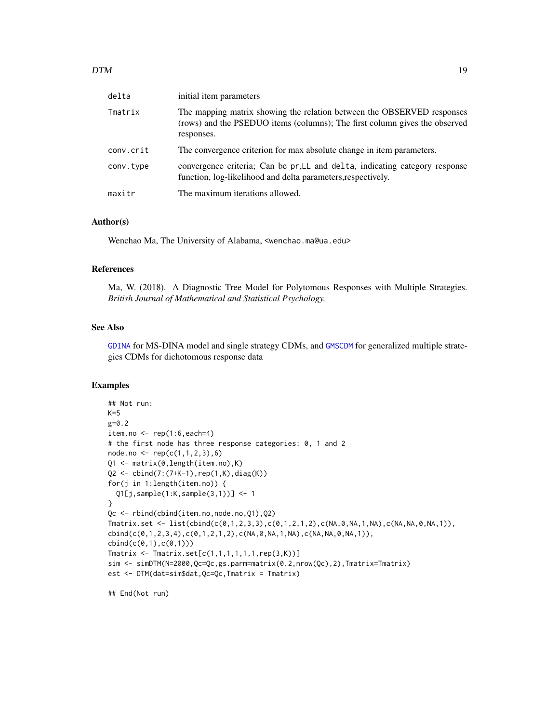| delta     | initial item parameters                                                                                                                                            |
|-----------|--------------------------------------------------------------------------------------------------------------------------------------------------------------------|
| Tmatrix   | The mapping matrix showing the relation between the OBSERVED responses<br>(rows) and the PSEDUO items (columns); The first column gives the observed<br>responses. |
| conv.crit | The convergence criterion for max absolute change in item parameters.                                                                                              |
| conv.type | convergence criteria; Can be pr, LL and delta, indicating category response<br>function, log-likelihood and delta parameters, respectively.                        |
| maxitr    | The maximum iterations allowed.                                                                                                                                    |

# Author(s)

Wenchao Ma, The University of Alabama, <wenchao.ma@ua.edu>

#### References

Ma, W. (2018). A Diagnostic Tree Model for Polytomous Responses with Multiple Strategies. *British Journal of Mathematical and Statistical Psychology.*

# See Also

[GDINA](#page-22-1) for MS-DINA model and single strategy CDMs, and [GMSCDM](#page-42-1) for generalized multiple strategies CDMs for dichotomous response data

#### Examples

```
## Not run:
K=5g=0.2
item.no \leq rep(1:6, each=4)
# the first node has three response categories: 0, 1 and 2
node.no \leftarrow rep(c(1,1,2,3),6)Q1 <- matrix(0,length(item.no),K)
Q2 <- cbind(7:(7+K-1),rep(1,K),diag(K))
for(j in 1:length(item.no)) {
  Q1[j,sample(1:K,sample(3,1))] <- 1
}
Qc <- rbind(cbind(item.no,node.no,Q1),Q2)
Tmatrix.set <- list(cbind(c(0,1,2,3,3),c(0,1,2,1,2),c(NA,0,NA,1,NA),c(NA,NA,0,NA,1)),
cbind(c(0,1,2,3,4),c(0,1,2,1,2),c(NA,0,NA,1,NA),c(NA,NA,0,NA,1)),
cbind(c(0,1),c(0,1)))
Tmatrix \leq Tmatrix.set[c(1,1,1,1,1,1,rep(3,K))]
sim <- simDTM(N=2000,Qc=Qc,gs.parm=matrix(0.2,nrow(Qc),2),Tmatrix=Tmatrix)
est <- DTM(dat=sim$dat,Qc=Qc,Tmatrix = Tmatrix)
```
## End(Not run)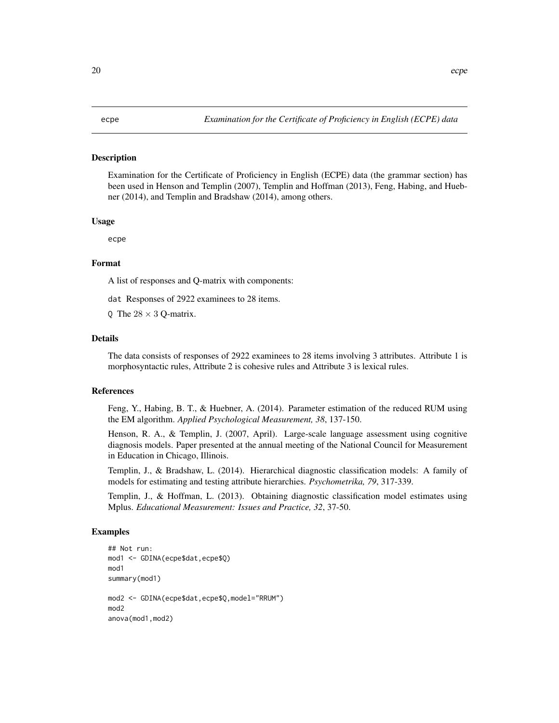### <span id="page-19-0"></span>**Description**

Examination for the Certificate of Proficiency in English (ECPE) data (the grammar section) has been used in Henson and Templin (2007), Templin and Hoffman (2013), Feng, Habing, and Huebner (2014), and Templin and Bradshaw (2014), among others.

#### Usage

ecpe

# Format

A list of responses and Q-matrix with components:

dat Responses of 2922 examinees to 28 items.

Q The  $28 \times 3$  Q-matrix.

#### Details

The data consists of responses of 2922 examinees to 28 items involving 3 attributes. Attribute 1 is morphosyntactic rules, Attribute 2 is cohesive rules and Attribute 3 is lexical rules.

# References

Feng, Y., Habing, B. T., & Huebner, A. (2014). Parameter estimation of the reduced RUM using the EM algorithm. *Applied Psychological Measurement, 38*, 137-150.

Henson, R. A., & Templin, J. (2007, April). Large-scale language assessment using cognitive diagnosis models. Paper presented at the annual meeting of the National Council for Measurement in Education in Chicago, Illinois.

Templin, J., & Bradshaw, L. (2014). Hierarchical diagnostic classification models: A family of models for estimating and testing attribute hierarchies. *Psychometrika, 79*, 317-339.

Templin, J., & Hoffman, L. (2013). Obtaining diagnostic classification model estimates using Mplus. *Educational Measurement: Issues and Practice, 32*, 37-50.

```
## Not run:
mod1 <- GDINA(ecpe$dat,ecpe$Q)
mod1
summary(mod1)
mod2 <- GDINA(ecpe$dat,ecpe$Q,model="RRUM")
mod<sub>2</sub>
anova(mod1,mod2)
```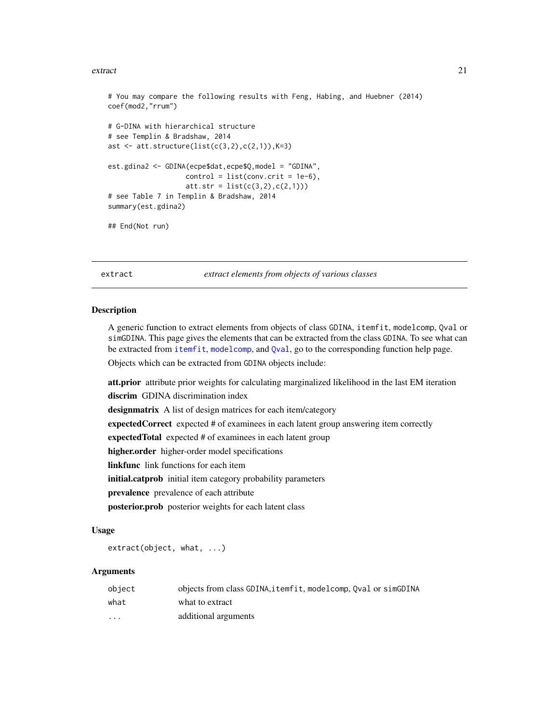#### <span id="page-20-0"></span>extract 21

```
# You may compare the following results with Feng, Habing, and Huebner (2014)
coef(mod2,"rrum")
# G-DINA with hierarchical structure
# see Templin & Bradshaw, 2014
ast \leq att.structure(list(c(3,2),c(2,1)),K=3)
est.gdina2 <- GDINA(ecpe$dat,ecpe$Q,model = "GDINA",
                   control = list(conv.crit = 1e-6),att.str = list(c(3,2), c(2,1)))# see Table 7 in Templin & Bradshaw, 2014
summary(est.gdina2)
```

```
## End(Not run)
```
<span id="page-20-1"></span>extract *extract elements from objects of various classes*

#### Description

A generic function to extract elements from objects of class GDINA, itemfit, modelcomp, Qval or simGDINA. This page gives the elements that can be extracted from the class GDINA. To see what can be extracted from [itemfit](#page-46-1), [modelcomp](#page-51-1), and [Qval](#page-61-1), go to the corresponding function help page.

Objects which can be extracted from GDINA objects include:

att.prior attribute prior weights for calculating marginalized likelihood in the last EM iteration discrim GDINA discrimination index designmatrix A list of design matrices for each item/category expectedCorrect expected # of examinees in each latent group answering item correctly expected Total expected # of examinees in each latent group higher.order higher-order model specifications **linkfunc** link functions for each item initial.catprob initial item category probability parameters prevalence prevalence of each attribute posterior.prob posterior weights for each latent class

#### Usage

extract(object, what, ...)

| object   | objects from class GDINA, itemfit, modelcomp, Oval or simGDINA |
|----------|----------------------------------------------------------------|
| what     | what to extract                                                |
| $\cdots$ | additional arguments                                           |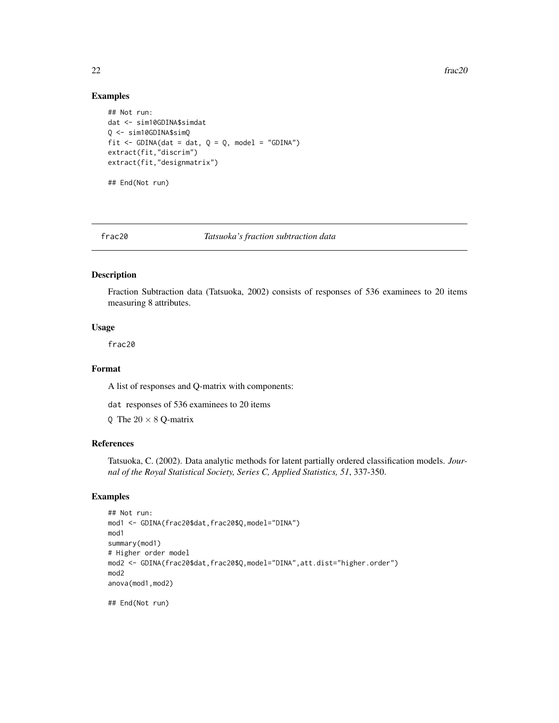22 frac20

# Examples

```
## Not run:
dat <- sim10GDINA$simdat
Q <- sim10GDINA$simQ
fit \le GDINA(dat = dat, Q = Q, model = "GDINA")
extract(fit,"discrim")
extract(fit,"designmatrix")
```
## End(Not run)

# frac20 *Tatsuoka's fraction subtraction data*

# Description

Fraction Subtraction data (Tatsuoka, 2002) consists of responses of 536 examinees to 20 items measuring 8 attributes.

#### Usage

frac20

# Format

A list of responses and Q-matrix with components:

dat responses of 536 examinees to 20 items

Q The  $20 \times 8$  Q-matrix

# References

Tatsuoka, C. (2002). Data analytic methods for latent partially ordered classification models. *Journal of the Royal Statistical Society, Series C, Applied Statistics, 51*, 337-350.

# Examples

```
## Not run:
mod1 <- GDINA(frac20$dat,frac20$Q,model="DINA")
mod1
summary(mod1)
# Higher order model
mod2 <- GDINA(frac20$dat,frac20$Q,model="DINA",att.dist="higher.order")
mod2
anova(mod1,mod2)
```
## End(Not run)

<span id="page-21-0"></span>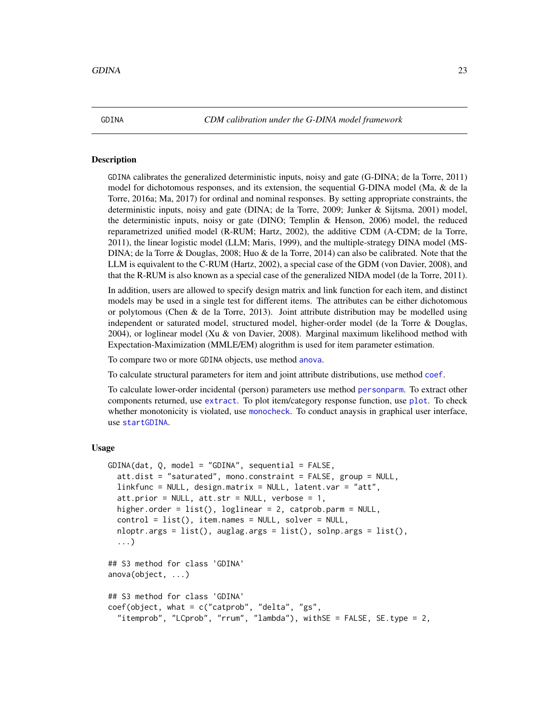<span id="page-22-1"></span><span id="page-22-0"></span>

# **Description**

GDINA calibrates the generalized deterministic inputs, noisy and gate (G-DINA; de la Torre, 2011) model for dichotomous responses, and its extension, the sequential G-DINA model (Ma, & de la Torre, 2016a; Ma, 2017) for ordinal and nominal responses. By setting appropriate constraints, the deterministic inputs, noisy and gate (DINA; de la Torre, 2009; Junker & Sijtsma, 2001) model, the deterministic inputs, noisy or gate (DINO; Templin & Henson, 2006) model, the reduced reparametrized unified model (R-RUM; Hartz, 2002), the additive CDM (A-CDM; de la Torre, 2011), the linear logistic model (LLM; Maris, 1999), and the multiple-strategy DINA model (MS-DINA; de la Torre & Douglas, 2008; Huo & de la Torre, 2014) can also be calibrated. Note that the LLM is equivalent to the C-RUM (Hartz, 2002), a special case of the GDM (von Davier, 2008), and that the R-RUM is also known as a special case of the generalized NIDA model (de la Torre, 2011).

In addition, users are allowed to specify design matrix and link function for each item, and distinct models may be used in a single test for different items. The attributes can be either dichotomous or polytomous (Chen & de la Torre, 2013). Joint attribute distribution may be modelled using independent or saturated model, structured model, higher-order model (de la Torre & Douglas, 2004), or loglinear model (Xu  $&$  von Davier, 2008). Marginal maximum likelihood method with Expectation-Maximization (MMLE/EM) alogrithm is used for item parameter estimation.

To compare two or more GDINA objects, use method [anova](#page-0-0).

To calculate structural parameters for item and joint attribute distributions, use method [coef](#page-0-0).

To calculate lower-order incidental (person) parameters use method [personparm](#page-57-1). To extract other components returned, use [extract](#page-20-1). To plot item/category response function, use [plot](#page-0-0). To check whether monotonicity is violated, use [monocheck](#page-55-1). To conduct anaysis in graphical user interface, use [startGDINA](#page-79-1).

# Usage

```
GDINA(data, Q, model = "GDINA", sequential = FALSE,att.dist = "saturated", mono.constraint = FALSE, group = NULL,
  linkfunc = NULL, design.matrix = NULL, latent.var = "att",
  att.prior = NULL, att.str = NULL, verbose = 1,
  higher.order = list(), loglinear = 2, catprob.parm = NULL,
  control = list(), item.names = NULL, solver = NULL,
  nloptr.args = list(), auglag.args = list(), solnp.args = list(),
  ...)
## S3 method for class 'GDINA'
anova(object, ...)
## S3 method for class 'GDINA'
coef(object, what = c("catprob", "delta", "gs",
  "itemprob", "LCprob", "rrum", "lambda"), withSE = FALSE, SE.type = 2,
```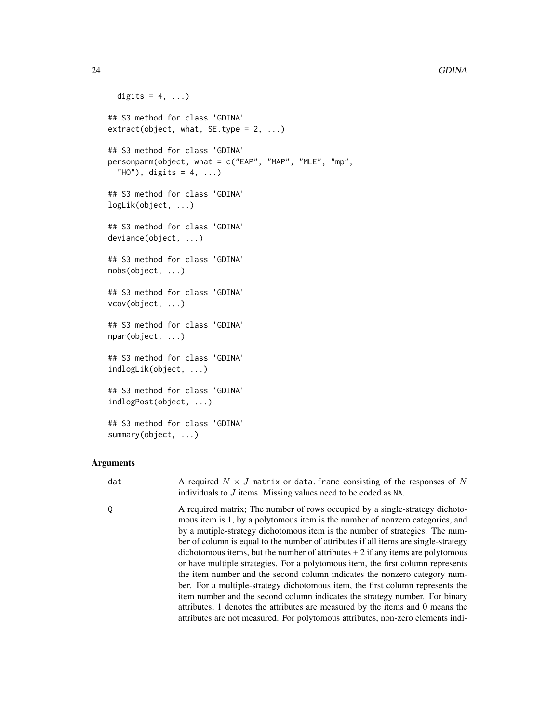#### 24 GDINA

```
digits = 4, ...)
## S3 method for class 'GDINA'
extract(object, what, SE-type = 2, ...)## S3 method for class 'GDINA'
personparm(object, what = c("EAP", "MAP", "MLE", "mp",
  "HO"), digits = 4, ...)
## S3 method for class 'GDINA'
logLik(object, ...)
## S3 method for class 'GDINA'
deviance(object, ...)
## S3 method for class 'GDINA'
nobs(object, ...)
## S3 method for class 'GDINA'
vcov(object, ...)
## S3 method for class 'GDINA'
npar(object, ...)
## S3 method for class 'GDINA'
indlogLik(object, ...)
## S3 method for class 'GDINA'
indlogPost(object, ...)
## S3 method for class 'GDINA'
summary(object, ...)
```
# Arguments

dat A required  $N \times J$  matrix or data. frame consisting of the responses of N individuals to J items. Missing values need to be coded as NA.

Q A required matrix; The number of rows occupied by a single-strategy dichotomous item is 1, by a polytomous item is the number of nonzero categories, and by a mutiple-strategy dichotomous item is the number of strategies. The number of column is equal to the number of attributes if all items are single-strategy dichotomous items, but the number of attributes  $+2$  if any items are polytomous or have multiple strategies. For a polytomous item, the first column represents the item number and the second column indicates the nonzero category number. For a multiple-strategy dichotomous item, the first column represents the item number and the second column indicates the strategy number. For binary attributes, 1 denotes the attributes are measured by the items and 0 means the attributes are not measured. For polytomous attributes, non-zero elements indi-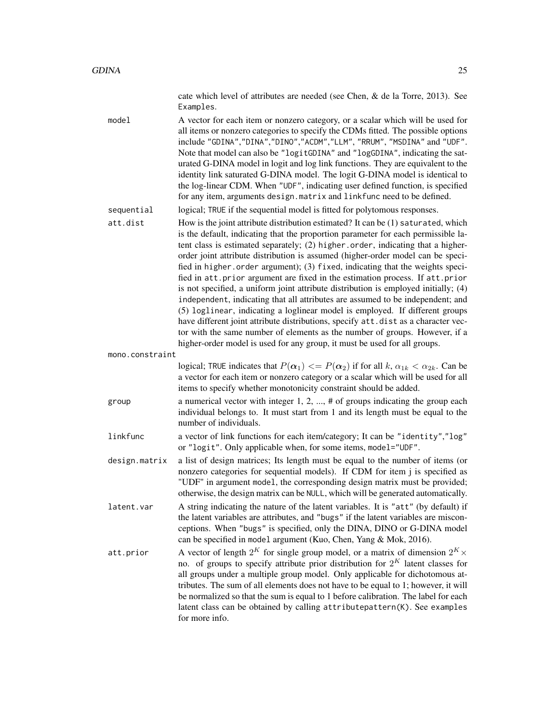cate which level of attributes are needed (see Chen, & de la Torre, 2013). See Examples.

model A vector for each item or nonzero category, or a scalar which will be used for all items or nonzero categories to specify the CDMs fitted. The possible options include "GDINA","DINA","DINO","ACDM","LLM", "RRUM", "MSDINA" and "UDF". Note that model can also be "logitGDINA" and "logGDINA", indicating the saturated G-DINA model in logit and log link functions. They are equivalent to the identity link saturated G-DINA model. The logit G-DINA model is identical to the log-linear CDM. When "UDF", indicating user defined function, is specified for any item, arguments design.matrix and linkfunc need to be defined.

sequential logical; TRUE if the sequential model is fitted for polytomous responses.

att.dist How is the joint attribute distribution estimated? It can be (1) saturated, which is the default, indicating that the proportion parameter for each permissible latent class is estimated separately; (2) higher.order, indicating that a higherorder joint attribute distribution is assumed (higher-order model can be specified in higher.order argument); (3) fixed, indicating that the weights specified in att.prior argument are fixed in the estimation process. If att.prior is not specified, a uniform joint attribute distribution is employed initially; (4) independent, indicating that all attributes are assumed to be independent; and (5) loglinear, indicating a loglinear model is employed. If different groups have different joint attribute distributions, specify att.dist as a character vector with the same number of elements as the number of groups. However, if a higher-order model is used for any group, it must be used for all groups.

mono.constraint

logical; TRUE indicates that  $P(\alpha_1) \leq P(\alpha_2)$  if for all  $k, \alpha_{1k} < \alpha_{2k}$ . Can be a vector for each item or nonzero category or a scalar which will be used for all items to specify whether monotonicity constraint should be added.

group a numerical vector with integer  $1, 2, \ldots, \#$  of groups indicating the group each individual belongs to. It must start from 1 and its length must be equal to the number of individuals.

linkfunc a vector of link functions for each item/category; It can be "identity","log" or "logit". Only applicable when, for some items, model="UDF".

design.matrix a list of design matrices; Its length must be equal to the number of items (or nonzero categories for sequential models). If CDM for item j is specified as "UDF" in argument model, the corresponding design matrix must be provided; otherwise, the design matrix can be NULL, which will be generated automatically.

- latent.var A string indicating the nature of the latent variables. It is "att" (by default) if the latent variables are attributes, and "bugs" if the latent variables are misconceptions. When "bugs" is specified, only the DINA, DINO or G-DINA model can be specified in model argument (Kuo, Chen, Yang & Mok, 2016).
- att.prior  $\hskip1cm$  A vector of length  $2^K$  for single group model, or a matrix of dimension  $2^K \times$ no. of groups to specify attribute prior distribution for  $2^K$  latent classes for all groups under a multiple group model. Only applicable for dichotomous attributes. The sum of all elements does not have to be equal to 1; however, it will be normalized so that the sum is equal to 1 before calibration. The label for each latent class can be obtained by calling attributepattern(K). See examples for more info.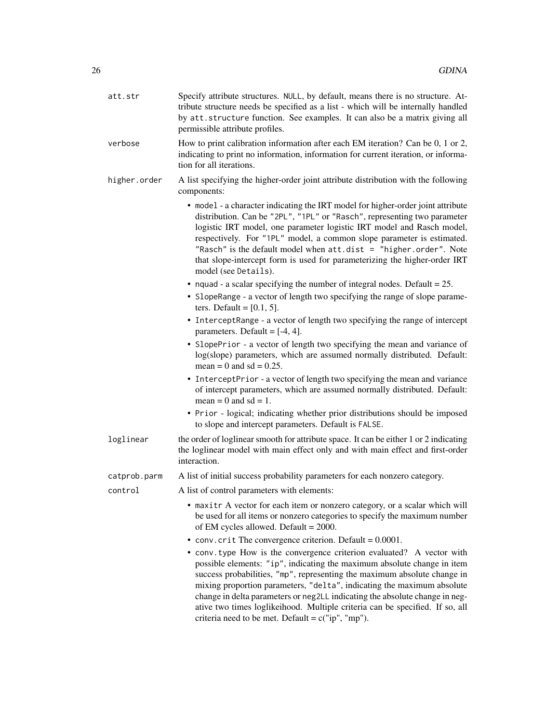| att.str      | Specify attribute structures. NULL, by default, means there is no structure. At-<br>tribute structure needs be specified as a list - which will be internally handled<br>by att.structure function. See examples. It can also be a matrix giving all<br>permissible attribute profiles.                                                                                                                                                                                                                                       |
|--------------|-------------------------------------------------------------------------------------------------------------------------------------------------------------------------------------------------------------------------------------------------------------------------------------------------------------------------------------------------------------------------------------------------------------------------------------------------------------------------------------------------------------------------------|
| verbose      | How to print calibration information after each EM iteration? Can be 0, 1 or 2,<br>indicating to print no information, information for current iteration, or informa-<br>tion for all iterations.                                                                                                                                                                                                                                                                                                                             |
| higher.order | A list specifying the higher-order joint attribute distribution with the following<br>components:                                                                                                                                                                                                                                                                                                                                                                                                                             |
|              | • model - a character indicating the IRT model for higher-order joint attribute<br>distribution. Can be "2PL", "1PL" or "Rasch", representing two parameter<br>logistic IRT model, one parameter logistic IRT model and Rasch model,<br>respectively. For "1PL" model, a common slope parameter is estimated.<br>"Rasch" is the default model when att.dist = "higher.order". Note<br>that slope-intercept form is used for parameterizing the higher-order IRT<br>model (see Details).                                       |
|              | • nquad - a scalar specifying the number of integral nodes. Default = $25$ .                                                                                                                                                                                                                                                                                                                                                                                                                                                  |
|              | • SlopeRange - a vector of length two specifying the range of slope parame-<br>ters. Default = $[0.1, 5]$ .                                                                                                                                                                                                                                                                                                                                                                                                                   |
|              | • InterceptRange - a vector of length two specifying the range of intercept<br>parameters. Default = $[-4, 4]$ .                                                                                                                                                                                                                                                                                                                                                                                                              |
|              | • SlopePrior - a vector of length two specifying the mean and variance of<br>log(slope) parameters, which are assumed normally distributed. Default:<br>mean = 0 and sd = $0.25$ .                                                                                                                                                                                                                                                                                                                                            |
|              | • InterceptPrior - a vector of length two specifying the mean and variance<br>of intercept parameters, which are assumed normally distributed. Default:<br>mean = 0 and sd = 1.                                                                                                                                                                                                                                                                                                                                               |
|              | • Prior - logical; indicating whether prior distributions should be imposed<br>to slope and intercept parameters. Default is FALSE.                                                                                                                                                                                                                                                                                                                                                                                           |
| loglinear    | the order of loglinear smooth for attribute space. It can be either 1 or 2 indicating<br>the loglinear model with main effect only and with main effect and first-order<br>interaction.                                                                                                                                                                                                                                                                                                                                       |
| catprob.parm | A list of initial success probability parameters for each nonzero category.                                                                                                                                                                                                                                                                                                                                                                                                                                                   |
| control      | A list of control parameters with elements:                                                                                                                                                                                                                                                                                                                                                                                                                                                                                   |
|              | maxitr A vector for each item or nonzero category, or a scalar which will<br>be used for all items or nonzero categories to specify the maximum number<br>of EM cycles allowed. Default = $2000$ .                                                                                                                                                                                                                                                                                                                            |
|              | • conv. crit The convergence criterion. Default = $0.0001$ .                                                                                                                                                                                                                                                                                                                                                                                                                                                                  |
|              | • conv. type How is the convergence criterion evaluated? A vector with<br>possible elements: "ip", indicating the maximum absolute change in item<br>success probabilities, "mp", representing the maximum absolute change in<br>mixing proportion parameters, "delta", indicating the maximum absolute<br>change in delta parameters or neg2LL indicating the absolute change in neg-<br>ative two times loglikeihood. Multiple criteria can be specified. If so, all<br>criteria need to be met. Default = $c("ip", "mp").$ |
|              |                                                                                                                                                                                                                                                                                                                                                                                                                                                                                                                               |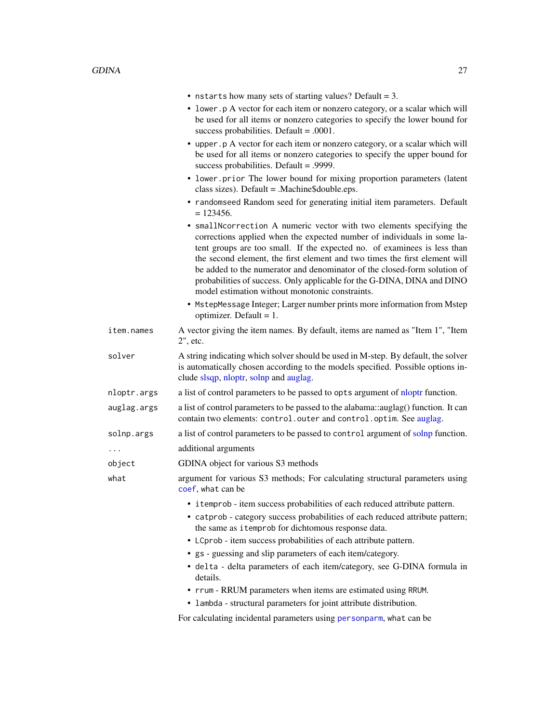|             | • nstarts how many sets of starting values? Default = 3.                                                                                                                                                                                                                                                                                                                                                                                                                                                            |
|-------------|---------------------------------------------------------------------------------------------------------------------------------------------------------------------------------------------------------------------------------------------------------------------------------------------------------------------------------------------------------------------------------------------------------------------------------------------------------------------------------------------------------------------|
|             | • lower. p A vector for each item or nonzero category, or a scalar which will<br>be used for all items or nonzero categories to specify the lower bound for<br>success probabilities. Default = $.0001$ .                                                                                                                                                                                                                                                                                                           |
|             | • upper. p A vector for each item or nonzero category, or a scalar which will<br>be used for all items or nonzero categories to specify the upper bound for<br>success probabilities. Default = .9999.                                                                                                                                                                                                                                                                                                              |
|             | • lower.prior The lower bound for mixing proportion parameters (latent<br>class sizes). Default = . Machine\$double.eps.                                                                                                                                                                                                                                                                                                                                                                                            |
|             | • randomseed Random seed for generating initial item parameters. Default<br>$= 123456.$                                                                                                                                                                                                                                                                                                                                                                                                                             |
|             | • smallNcorrection A numeric vector with two elements specifying the<br>corrections applied when the expected number of individuals in some la-<br>tent groups are too small. If the expected no. of examinees is less than<br>the second element, the first element and two times the first element will<br>be added to the numerator and denominator of the closed-form solution of<br>probabilities of success. Only applicable for the G-DINA, DINA and DINO<br>model estimation without monotonic constraints. |
|             | • MstepMessage Integer; Larger number prints more information from Mstep<br>optimizer. Default = $1$ .                                                                                                                                                                                                                                                                                                                                                                                                              |
| item.names  | A vector giving the item names. By default, items are named as "Item 1", "Item<br>2", etc.                                                                                                                                                                                                                                                                                                                                                                                                                          |
| solver      | A string indicating which solver should be used in M-step. By default, the solver<br>is automatically chosen according to the models specified. Possible options in-<br>clude slsqp, nloptr, solnp and auglag.                                                                                                                                                                                                                                                                                                      |
| nloptr.args | a list of control parameters to be passed to opts argument of nloptr function.                                                                                                                                                                                                                                                                                                                                                                                                                                      |
| auglag.args | a list of control parameters to be passed to the alabama::auglag() function. It can<br>contain two elements: control.outer and control.optim. See auglag.                                                                                                                                                                                                                                                                                                                                                           |
| solnp.args  | a list of control parameters to be passed to control argument of solnp function.                                                                                                                                                                                                                                                                                                                                                                                                                                    |
| .           | additional arguments                                                                                                                                                                                                                                                                                                                                                                                                                                                                                                |
| object      | GDINA object for various S3 methods                                                                                                                                                                                                                                                                                                                                                                                                                                                                                 |
| what        | argument for various S3 methods; For calculating structural parameters using<br>coef, what can be                                                                                                                                                                                                                                                                                                                                                                                                                   |
|             | • i temprob - item success probabilities of each reduced attribute pattern.<br>• catprob - category success probabilities of each reduced attribute pattern;<br>the same as itemprob for dichtomous response data.<br>• LCprob - item success probabilities of each attribute pattern.<br>• gs - guessing and slip parameters of each item/category.<br>· delta - delta parameters of each item/category, see G-DINA formula in                                                                                     |
|             | details.<br>• rrum - RRUM parameters when items are estimated using RRUM.                                                                                                                                                                                                                                                                                                                                                                                                                                           |
|             | • lambda - structural parameters for joint attribute distribution.                                                                                                                                                                                                                                                                                                                                                                                                                                                  |
|             | For calculating incidental parameters using personparm, what can be                                                                                                                                                                                                                                                                                                                                                                                                                                                 |
|             |                                                                                                                                                                                                                                                                                                                                                                                                                                                                                                                     |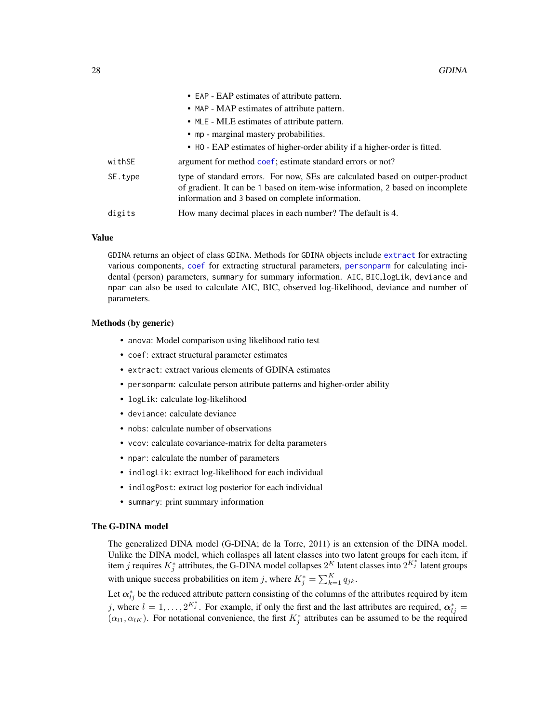|         | $\bullet$ EAP - EAP estimates of authority pattern.                                                                                                                                                                |
|---------|--------------------------------------------------------------------------------------------------------------------------------------------------------------------------------------------------------------------|
|         | • MAP - MAP estimates of attribute pattern.                                                                                                                                                                        |
|         | • MLE - MLE estimates of attribute pattern.                                                                                                                                                                        |
|         | • mp - marginal mastery probabilities.                                                                                                                                                                             |
|         | • HO - EAP estimates of higher-order ability if a higher-order is fitted.                                                                                                                                          |
| withSE  | argument for method coef; estimate standard errors or not?                                                                                                                                                         |
| SE.type | type of standard errors. For now, SEs are calculated based on outper-product<br>of gradient. It can be 1 based on item-wise information, 2 based on incomplete<br>information and 3 based on complete information. |
| digits  | How many decimal places in each number? The default is 4.                                                                                                                                                          |
|         |                                                                                                                                                                                                                    |

 $\cdot$  FAP  $\cdot$  EAP estimates of attribute pattern.

#### Value

GDINA returns an object of class GDINA. Methods for GDINA objects include [extract](#page-20-1) for extracting various components, [coef](#page-0-0) for extracting structural parameters, [personparm](#page-57-1) for calculating incidental (person) parameters, summary for summary information. AIC, BIC, logLik, deviance and npar can also be used to calculate AIC, BIC, observed log-likelihood, deviance and number of parameters.

#### Methods (by generic)

- anova: Model comparison using likelihood ratio test
- coef: extract structural parameter estimates
- extract: extract various elements of GDINA estimates
- personparm: calculate person attribute patterns and higher-order ability
- logLik: calculate log-likelihood
- deviance: calculate deviance
- nobs: calculate number of observations
- vcov: calculate covariance-matrix for delta parameters
- npar: calculate the number of parameters
- indlogLik: extract log-likelihood for each individual
- indlogPost: extract log posterior for each individual
- summary: print summary information

# The G-DINA model

The generalized DINA model (G-DINA; de la Torre, 2011) is an extension of the DINA model. Unlike the DINA model, which collaspes all latent classes into two latent groups for each item, if item j requires  $K_j^*$  attributes, the G-DINA model collapses  $2^K$  latent classes into  $2^{K_j^*}$  latent groups with unique success probabilities on item j, where  $K_j^* = \sum_{k=1}^K q_{jk}$ .

Let  $\alpha_{lj}^*$  be the reduced attribute pattern consisting of the columns of the attributes required by item j, where  $l = 1, ..., 2^{K_j^*}$ . For example, if only the first and the last attributes are required,  $\alpha_{lj}^* =$  $(\alpha_{l1}, \alpha_{lK})$ . For notational convenience, the first  $K_j^*$  attributes can be assumed to be the required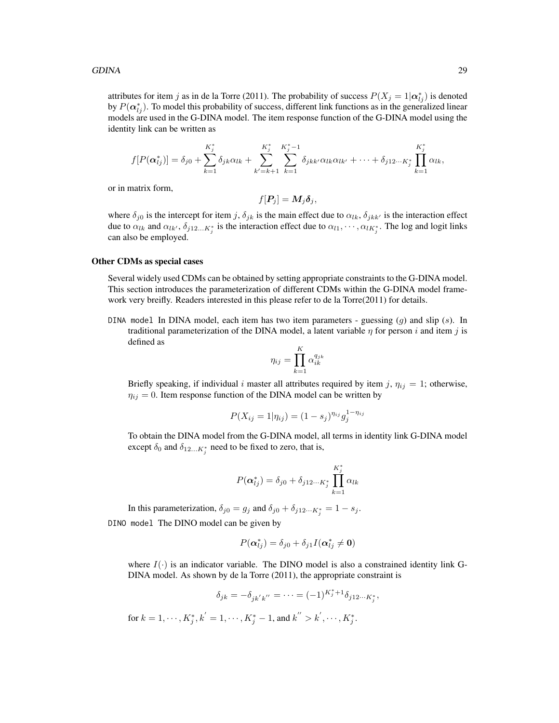#### GDINA 29

attributes for item j as in de la Torre (2011). The probability of success  $P(X_j = 1 | \alpha_{ij}^*)$  is denoted by  $P(\boldsymbol{\alpha}_{lj}^*)$ . To model this probability of success, different link functions as in the generalized linear models are used in the G-DINA model. The item response function of the G-DINA model using the identity link can be written as

$$
f[P(\boldsymbol{\alpha}_{lj}^{*})] = \delta_{j0} + \sum_{k=1}^{K_{j}^{*}} \delta_{jk} \alpha_{lk} + \sum_{k'=k+1}^{K_{j}^{*}} \sum_{k=1}^{K_{j}^{*}-1} \delta_{jkk'} \alpha_{lk} \alpha_{lk'} + \cdots + \delta_{j12\cdots K_{j}^{*}} \prod_{k=1}^{K_{j}^{*}} \alpha_{lk},
$$

or in matrix form,

$$
f[\boldsymbol{P}_j] = \boldsymbol{M}_j \boldsymbol{\delta}_j,
$$

where  $\delta_{j0}$  is the intercept for item j,  $\delta_{jk}$  is the main effect due to  $\alpha_{lk}$ ,  $\delta_{jkk'}$  is the interaction effect due to  $\alpha_{lk}$  and  $\alpha_{lk'}$ ,  $\delta_{j12...K_j^*}$  is the interaction effect due to  $\alpha_{l1}, \cdots, \alpha_{lK_j^*}$ . The log and logit links can also be employed.

# Other CDMs as special cases

Several widely used CDMs can be obtained by setting appropriate constraints to the G-DINA model. This section introduces the parameterization of different CDMs within the G-DINA model framework very breifly. Readers interested in this please refer to de la Torre(2011) for details.

DINA model In DINA model, each item has two item parameters - guessing  $(g)$  and slip  $(s)$ . In traditional parameterization of the DINA model, a latent variable  $\eta$  for person i and item j is defined as

$$
\eta_{ij} = \prod_{k=1}^K \alpha_{ik}^{q_{jk}}
$$

Briefly speaking, if individual i master all attributes required by item j,  $\eta_{ij} = 1$ ; otherwise,  $\eta_{ij} = 0$ . Item response function of the DINA model can be written by

$$
P(X_{ij} = 1 | \eta_{ij}) = (1 - s_j)^{\eta_{ij}} g_j^{1 - \eta_{ij}}
$$

To obtain the DINA model from the G-DINA model, all terms in identity link G-DINA model except  $\delta_0$  and  $\delta_{12...K_j^*}$  need to be fixed to zero, that is,

$$
P(\boldsymbol{\alpha}_{lj}^*) = \delta_{j0} + \delta_{j12\cdots K_j^*} \prod_{k=1}^{K_j^*} \alpha_{lk}
$$

In this parameterization,  $\delta_{j0} = g_j$  and  $\delta_{j0} + \delta_{j12\cdots K_j^*} = 1 - s_j$ . DINO model The DINO model can be given by

$$
P(\boldsymbol{\alpha}_{lj}^*) = \delta_{j0} + \delta_{j1} I(\boldsymbol{\alpha}_{lj}^* \neq \mathbf{0})
$$

where  $I(\cdot)$  is an indicator variable. The DINO model is also a constrained identity link G-DINA model. As shown by de la Torre (2011), the appropriate constraint is

$$
\delta_{jk} = -\delta_{jk'k''} = \dots = (-1)^{K_j^* + 1} \delta_{j12\cdots K_j^*},
$$

for  $k = 1, \dots, K_j^*, k' = 1, \dots, K_j^* - 1$ , and  $k'' > k', \dots, K_j^*$ .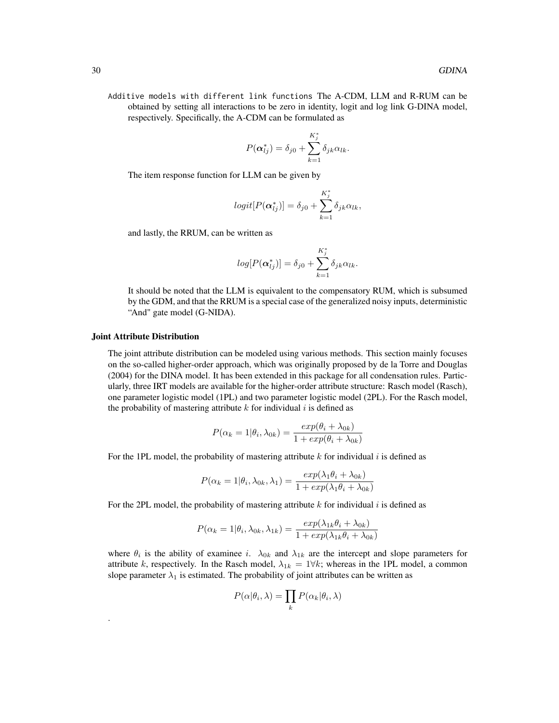Additive models with different link functions The A-CDM, LLM and R-RUM can be obtained by setting all interactions to be zero in identity, logit and log link G-DINA model, respectively. Specifically, the A-CDM can be formulated as

$$
P(\boldsymbol{\alpha}_{lj}^*) = \delta_{j0} + \sum_{k=1}^{K_j^*} \delta_{jk} \alpha_{lk}.
$$

The item response function for LLM can be given by

$$
logit[P(\boldsymbol{\alpha}_{lj}^*)]=\delta_{j0}+\sum_{k=1}^{K_j^*}\delta_{jk}\alpha_{lk},
$$

and lastly, the RRUM, can be written as

$$
log[P(\boldsymbol{\alpha}_{lj}^*)] = \delta_{j0} + \sum_{k=1}^{K_j^*} \delta_{jk} \alpha_{lk}.
$$

It should be noted that the LLM is equivalent to the compensatory RUM, which is subsumed by the GDM, and that the RRUM is a special case of the generalized noisy inputs, deterministic "And" gate model (G-NIDA).

#### Joint Attribute Distribution

.

The joint attribute distribution can be modeled using various methods. This section mainly focuses on the so-called higher-order approach, which was originally proposed by de la Torre and Douglas (2004) for the DINA model. It has been extended in this package for all condensation rules. Particularly, three IRT models are available for the higher-order attribute structure: Rasch model (Rasch), one parameter logistic model (1PL) and two parameter logistic model (2PL). For the Rasch model, the probability of mastering attribute  $k$  for individual  $i$  is defined as

$$
P(\alpha_k = 1 | \theta_i, \lambda_{0k}) = \frac{exp(\theta_i + \lambda_{0k})}{1 + exp(\theta_i + \lambda_{0k})}
$$

For the 1PL model, the probability of mastering attribute  $k$  for individual  $i$  is defined as

$$
P(\alpha_k = 1 | \theta_i, \lambda_{0k}, \lambda_1) = \frac{exp(\lambda_1 \theta_i + \lambda_{0k})}{1 + exp(\lambda_1 \theta_i + \lambda_{0k})}
$$

For the 2PL model, the probability of mastering attribute k for individual i is defined as

$$
P(\alpha_k = 1 | \theta_i, \lambda_{0k}, \lambda_{1k}) = \frac{exp(\lambda_{1k}\theta_i + \lambda_{0k})}{1 + exp(\lambda_{1k}\theta_i + \lambda_{0k})}
$$

where  $\theta_i$  is the ability of examinee i.  $\lambda_{0k}$  and  $\lambda_{1k}$  are the intercept and slope parameters for attribute k, respectively. In the Rasch model,  $\lambda_{1k} = 1 \forall k$ ; whereas in the 1PL model, a common slope parameter  $\lambda_1$  is estimated. The probability of joint attributes can be written as

$$
P(\alpha|\theta_i, \lambda) = \prod_k P(\alpha_k|\theta_i, \lambda)
$$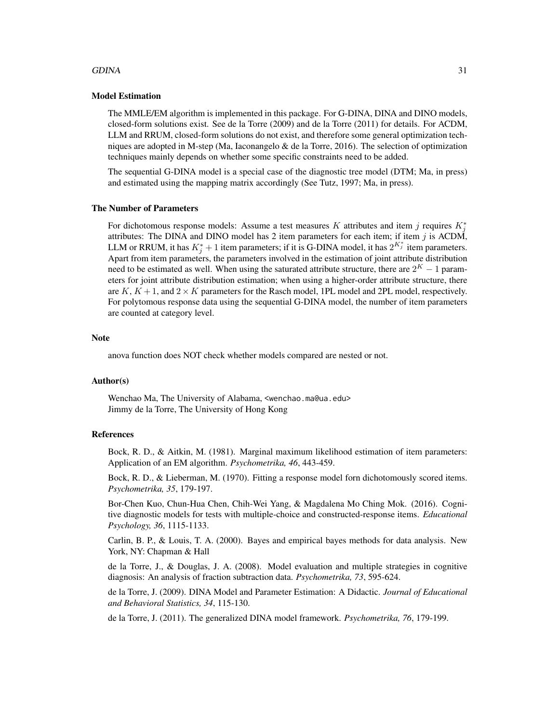#### GDINA 31

# Model Estimation

The MMLE/EM algorithm is implemented in this package. For G-DINA, DINA and DINO models, closed-form solutions exist. See de la Torre (2009) and de la Torre (2011) for details. For ACDM, LLM and RRUM, closed-form solutions do not exist, and therefore some general optimization techniques are adopted in M-step (Ma, Iaconangelo & de la Torre, 2016). The selection of optimization techniques mainly depends on whether some specific constraints need to be added.

The sequential G-DINA model is a special case of the diagnostic tree model (DTM; Ma, in press) and estimated using the mapping matrix accordingly (See Tutz, 1997; Ma, in press).

#### The Number of Parameters

For dichotomous response models: Assume a test measures K attributes and item j requires  $K_j^*$ attributes: The DINA and DINO model has 2 item parameters for each item; if item  $j$  is ACDM, LLM or RRUM, it has  $K_j^* + 1$  item parameters; if it is G-DINA model, it has  $2^{K_j^*}$  item parameters. Apart from item parameters, the parameters involved in the estimation of joint attribute distribution need to be estimated as well. When using the saturated attribute structure, there are  $2<sup>K</sup> - 1$  parameters for joint attribute distribution estimation; when using a higher-order attribute structure, there are  $K, K+1$ , and  $2 \times K$  parameters for the Rasch model, 1PL model and 2PL model, respectively. For polytomous response data using the sequential G-DINA model, the number of item parameters are counted at category level.

#### **Note**

anova function does NOT check whether models compared are nested or not.

# Author(s)

Wenchao Ma, The University of Alabama, <wenchao.ma@ua.edu> Jimmy de la Torre, The University of Hong Kong

# References

Bock, R. D., & Aitkin, M. (1981). Marginal maximum likelihood estimation of item parameters: Application of an EM algorithm. *Psychometrika, 46*, 443-459.

Bock, R. D., & Lieberman, M. (1970). Fitting a response model forn dichotomously scored items. *Psychometrika, 35*, 179-197.

Bor-Chen Kuo, Chun-Hua Chen, Chih-Wei Yang, & Magdalena Mo Ching Mok. (2016). Cognitive diagnostic models for tests with multiple-choice and constructed-response items. *Educational Psychology, 36*, 1115-1133.

Carlin, B. P., & Louis, T. A. (2000). Bayes and empirical bayes methods for data analysis. New York, NY: Chapman & Hall

de la Torre, J., & Douglas, J. A. (2008). Model evaluation and multiple strategies in cognitive diagnosis: An analysis of fraction subtraction data. *Psychometrika, 73*, 595-624.

de la Torre, J. (2009). DINA Model and Parameter Estimation: A Didactic. *Journal of Educational and Behavioral Statistics, 34*, 115-130.

de la Torre, J. (2011). The generalized DINA model framework. *Psychometrika, 76*, 179-199.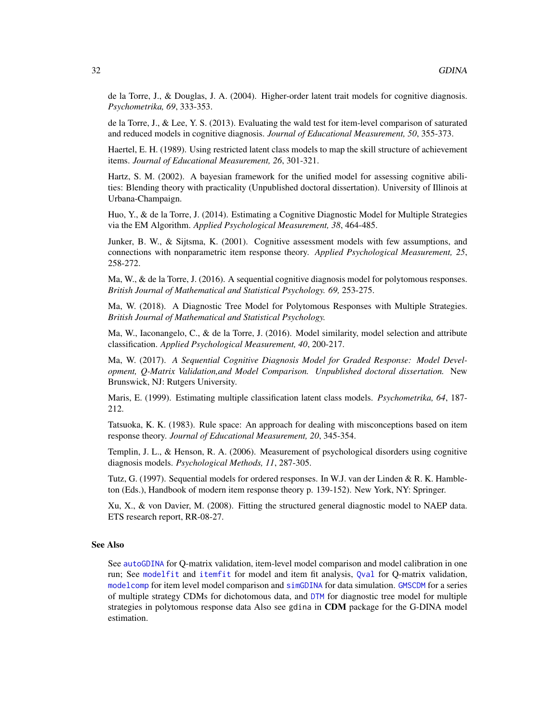de la Torre, J., & Douglas, J. A. (2004). Higher-order latent trait models for cognitive diagnosis. *Psychometrika, 69*, 333-353.

de la Torre, J., & Lee, Y. S. (2013). Evaluating the wald test for item-level comparison of saturated and reduced models in cognitive diagnosis. *Journal of Educational Measurement, 50*, 355-373.

Haertel, E. H. (1989). Using restricted latent class models to map the skill structure of achievement items. *Journal of Educational Measurement, 26*, 301-321.

Hartz, S. M. (2002). A bayesian framework for the unified model for assessing cognitive abilities: Blending theory with practicality (Unpublished doctoral dissertation). University of Illinois at Urbana-Champaign.

Huo, Y., & de la Torre, J. (2014). Estimating a Cognitive Diagnostic Model for Multiple Strategies via the EM Algorithm. *Applied Psychological Measurement, 38*, 464-485.

Junker, B. W., & Sijtsma, K. (2001). Cognitive assessment models with few assumptions, and connections with nonparametric item response theory. *Applied Psychological Measurement, 25*, 258-272.

Ma, W., & de la Torre, J. (2016). A sequential cognitive diagnosis model for polytomous responses. *British Journal of Mathematical and Statistical Psychology. 69,* 253-275.

Ma, W. (2018). A Diagnostic Tree Model for Polytomous Responses with Multiple Strategies. *British Journal of Mathematical and Statistical Psychology.*

Ma, W., Iaconangelo, C., & de la Torre, J. (2016). Model similarity, model selection and attribute classification. *Applied Psychological Measurement, 40*, 200-217.

Ma, W. (2017). *A Sequential Cognitive Diagnosis Model for Graded Response: Model Development, Q-Matrix Validation,and Model Comparison. Unpublished doctoral dissertation.* New Brunswick, NJ: Rutgers University.

Maris, E. (1999). Estimating multiple classification latent class models. *Psychometrika, 64*, 187- 212.

Tatsuoka, K. K. (1983). Rule space: An approach for dealing with misconceptions based on item response theory. *Journal of Educational Measurement, 20*, 345-354.

Templin, J. L., & Henson, R. A. (2006). Measurement of psychological disorders using cognitive diagnosis models. *Psychological Methods, 11*, 287-305.

Tutz, G. (1997). Sequential models for ordered responses. In W.J. van der Linden & R. K. Hambleton (Eds.), Handbook of modern item response theory p. 139-152). New York, NY: Springer.

Xu, X., & von Davier, M. (2008). Fitting the structured general diagnostic model to NAEP data. ETS research report, RR-08-27.

#### See Also

See [autoGDINA](#page-7-1) for Q-matrix validation, item-level model comparison and model calibration in one run; See [modelfit](#page-54-1) and [itemfit](#page-46-1) for model and item fit analysis, [Qval](#page-61-1) for Q-matrix validation, [modelcomp](#page-51-1) for item level model comparison and [simGDINA](#page-69-1) for data simulation. [GMSCDM](#page-42-1) for a series of multiple strategy CDMs for dichotomous data, and [DTM](#page-17-1) for diagnostic tree model for multiple strategies in polytomous response data Also see gdina in CDM package for the G-DINA model estimation.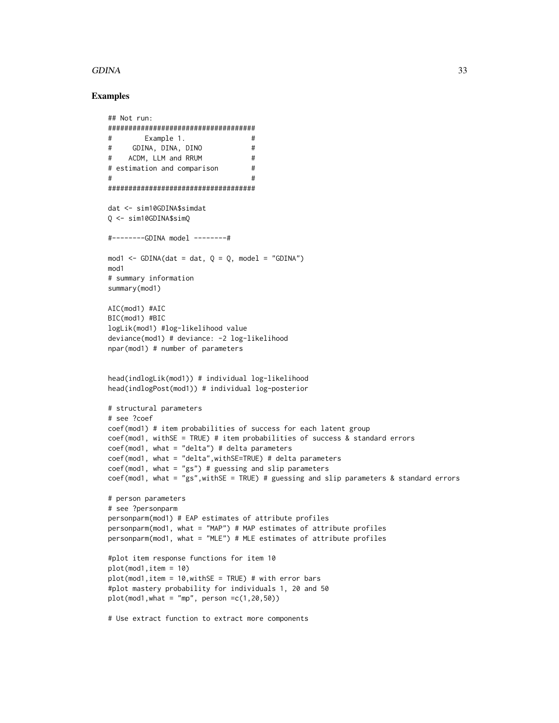# GDINA 33

```
## Not run:
####################################
# Example 1. #
# GDINA, DINA, DINO #
# ACDM, LLM and RRUM #
# estimation and comparison #
\#####################################
dat <- sim10GDINA$simdat
Q <- sim10GDINA$simQ
#--------GDINA model --------#
mod1 <- GDINA(dat = dat, Q = Q, model = "GDINA")
mod1
# summary information
summary(mod1)
AIC(mod1) #AIC
BIC(mod1) #BIC
logLik(mod1) #log-likelihood value
deviance(mod1) # deviance: -2 log-likelihood
npar(mod1) # number of parameters
head(indlogLik(mod1)) # individual log-likelihood
head(indlogPost(mod1)) # individual log-posterior
# structural parameters
# see ?coef
coef(mod1) # item probabilities of success for each latent group
coef(mod1, withSE = TRUE) # item probabilities of success & standard errors
coef(mod1, what = "delta") # delta parameterscoef(mod1, what = "delta",withSE=TRUE) # delta parameters
coef(mod1, what = "gs") # guessing and slip parameterscoef(mod1, what = "gs",withSE = TRUE) # guessing and slip parameters & standard errors
# person parameters
# see ?personparm
personparm(mod1) # EAP estimates of attribute profiles
personparm(mod1, what = "MAP") # MAP estimates of attribute profiles
personparm(mod1, what = "MLE") # MLE estimates of attribute profiles
#plot item response functions for item 10
plot(mod1,item = 10)
plot(mod1,item = 10, withSE = TRUE) # with error bars
#plot mastery probability for individuals 1, 20 and 50
plot(mod1, what = "mp", person =c(1,20,50))# Use extract function to extract more components
```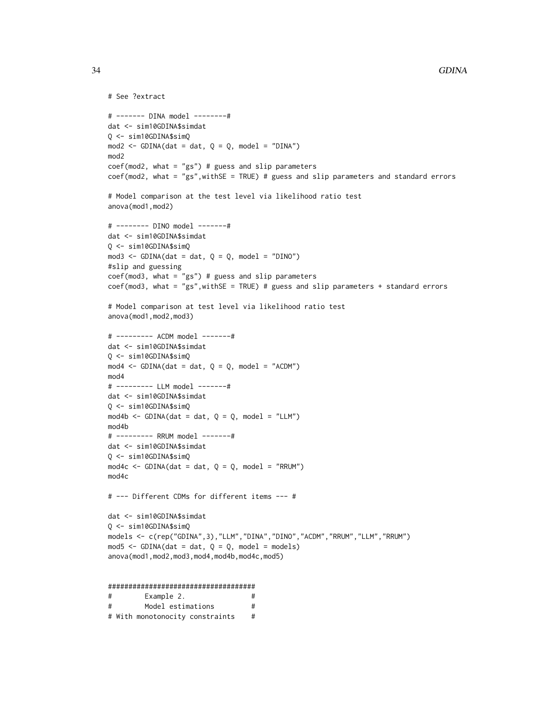```
# See ?extract
# ------- DINA model --------#
dat <- sim10GDINA$simdat
Q <- sim10GDINA$simQ
mod2 \le - GDINA(dat = dat, Q = Q, model = "DINA")
mod2
coef(mod2, what = "gs") # guess and slip parameterscoef(mod2, what = "gs",withSE = TRUE) # guess and slip parameters and standard errors
# Model comparison at the test level via likelihood ratio test
anova(mod1,mod2)
# -------- DINO model -------#
dat <- sim10GDINA$simdat
Q <- sim10GDINA$simQ
mod3 \leq GDINA(dat = dat, Q = Q, model = "DINO")
#slip and guessing
coef(mod3, what = "gs") # guess and slip parameterscoef(mod3, what = "gs",withSE = TRUE) # guess and slip parameters + standard errors
# Model comparison at test level via likelihood ratio test
anova(mod1,mod2,mod3)
# --------- ACDM model -------#
dat <- sim10GDINA$simdat
Q <- sim10GDINA$simQ
mod4 \le - GDINA(dat = dat, Q = Q, model = "ACDM")
mod4
# --------- LLM model -------#
dat <- sim10GDINA$simdat
Q <- sim10GDINA$simQ
mod4b <- GDINA(dat = dat, Q = Q, model = "LLM")
mod4b
# --------- RRUM model -------#
dat <- sim10GDINA$simdat
Q <- sim10GDINA$simQ
mod4c <- GDINA(dat = dat, Q = Q, model = "RRUM")
mod4c
# --- Different CDMs for different items --- #
dat <- sim10GDINA$simdat
Q <- sim10GDINA$simQ
models <- c(rep("GDINA",3),"LLM","DINA","DINO","ACDM","RRUM","LLM","RRUM")
mod5 <- GDINA(dat = dat, Q = Q, model = models)
anova(mod1,mod2,mod3,mod4,mod4b,mod4c,mod5)
####################################
# Example 2. #
```
# Model estimations # # With monotonocity constraints #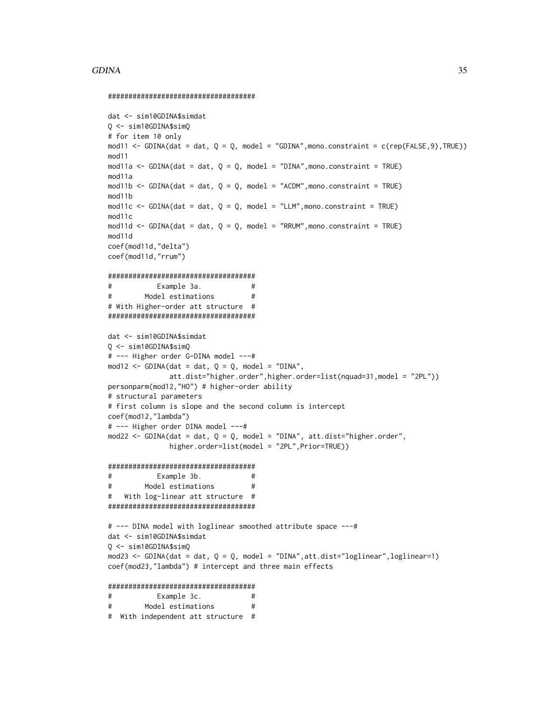#### GDINA 35

#### ####################################

```
dat <- sim10GDINA$simdat
Q <- sim10GDINA$simQ
# for item 10 only
mod11 <- GDINA(dat = dat, Q = Q, model = "GDINA", mono.constraint = c(rep(FALSE, 9), TRUE))
mod11
mod11a <- GDINA(dat = dat, Q = Q, model = "DINA", mono.constraint = TRUE)
mod11a
mod11b <- GDINA(dat = dat, Q = Q, model = "ACDM", mono.constraint = TRUE)
mod11b
mod11c <- GDINA(dat = dat, Q = Q, model = "LLM", mono.constraint = TRUE)
mod11c
mod11d \le GDINA(dat = dat, Q = Q, model = "RRUM", mono.constraint = TRUE)
mod11d
coef(mod11d,"delta")
coef(mod11d,"rrum")
####################################
# Example 3a. #
# Model estimations #
# With Higher-order att structure #
####################################
dat <- sim10GDINA$simdat
Q <- sim10GDINA$simQ
# --- Higher order G-DINA model ---#
mod12 <- GDINA(dat = dat, Q = Q, model = "DINA",
              att.dist="higher.order",higher.order=list(nquad=31,model = "2PL"))
personparm(mod12,"HO") # higher-order ability
# structural parameters
# first column is slope and the second column is intercept
coef(mod12,"lambda")
# --- Higher order DINA model ---#
mod22 \leq GDINA(dat = dat, Q = Q, model = "DINA", att.dist="higher.order",
              higher.order=list(model = "2PL",Prior=TRUE))
####################################
# Example 3b. #
# Model estimations #
# With log-linear att structure #
####################################
# --- DINA model with loglinear smoothed attribute space ---#
dat <- sim10GDINA$simdat
Q <- sim10GDINA$simQ
mod23 <- GDINA(dat = dat, Q = Q, model = "DINA",att.dist="loglinear",loglinear=1)
coef(mod23,"lambda") # intercept and three main effects
####################################
# Example 3c. #
# Model estimations #
# With independent att structure #
```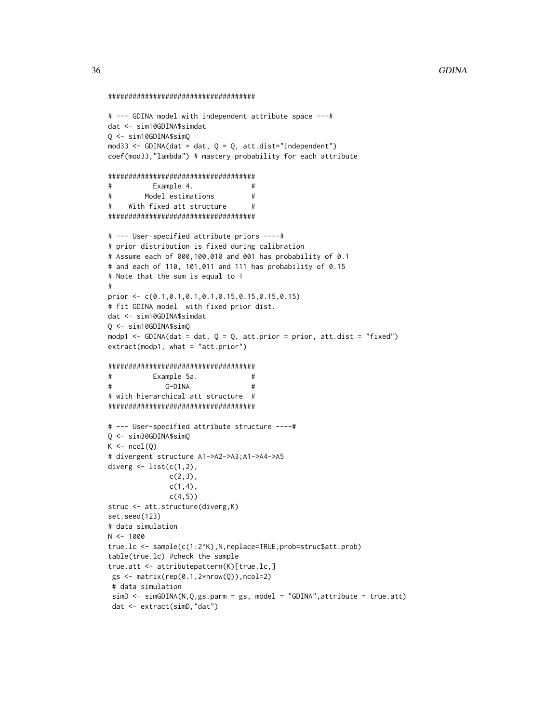```
####################################
```

```
# --- GDINA model with independent attribute space ---#
dat <- sim10GDINA$simdat
Q <- sim10GDINA$simQ
mod33 <- GDINA(dat = dat, Q = Q, att.dist="independent")
coef(mod33,"lambda") # mastery probability for each attribute
####################################
# Example 4. #
# Model estimations #
# With fixed att structure #
####################################
# --- User-specified attribute priors ----#
# prior distribution is fixed during calibration
# Assume each of 000,100,010 and 001 has probability of 0.1
# and each of 110, 101,011 and 111 has probability of 0.15
# Note that the sum is equal to 1
#
prior <- c(0.1,0.1,0.1,0.1,0.15,0.15,0.15,0.15)
# fit GDINA model with fixed prior dist.
dat <- sim10GDINA$simdat
Q <- sim10GDINA$simQ
modp1 <- GDINA(dat = dat, Q = Q, att.prior = prior, att.dist = "fixed")
extract(modp1, what = "att.prior")
####################################
# Example 5a. #
# G-DINA #
# with hierarchical att structure #
####################################
# --- User-specified attribute structure ----#
Q <- sim30GDINA$simQ
K \leftarrow \text{ncol}(Q)# divergent structure A1->A2->A3;A1->A4->A5
diverg \leq list(c(1,2),
              c(2,3),
              c(1,4),
              c(4,5)struc <- att.structure(diverg,K)
set.seed(123)
# data simulation
N < - 1000true.lc <- sample(c(1:2^K),N,replace=TRUE,prob=struc$att.prob)
table(true.lc) #check the sample
true.att <- attributepattern(K)[true.lc,]
gs <- matrix(rep(0.1,2*nrow(Q)),ncol=2)
# data simulation
simD <- simGDINA(N,Q,gs.parm = gs, model = "GDINA",attribute = true.att)
 dat <- extract(simD,"dat")
```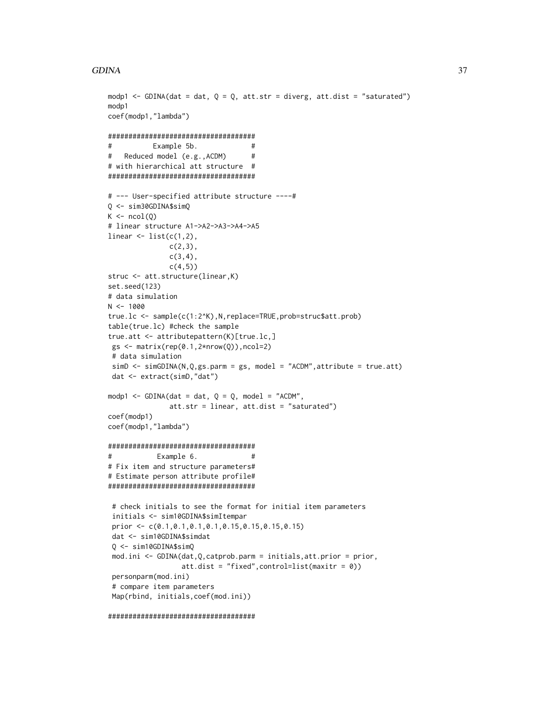```
modp1 <- GDINA(dat = dat, Q = Q, att.str = diverg, att.dist = "saturated")
modp1
coef(modp1,"lambda")
####################################
# Example 5b. #
# Reduced model (e.g.,ACDM) #
# with hierarchical att structure #
####################################
# --- User-specified attribute structure ----#
Q <- sim30GDINA$simQ
K \leftarrow \text{ncol}(Q)# linear structure A1->A2->A3->A4->A5
linear \leq list(c(1,2),
               c(2,3),
               c(3, 4),
              c(4,5)struc <- att.structure(linear,K)
set.seed(123)
# data simulation
N < - 1000true.lc <- sample(c(1:2^K),N,replace=TRUE,prob=struc$att.prob)
table(true.lc) #check the sample
true.att <- attributepattern(K)[true.lc,]
 gs \leftarrow matrix(rep(0.1,2*nrow(Q)),ncol=2)# data simulation
 simD \leftarrow simGDINA(N,Q,gs.parm = gs, model = "ACDM", attribute = true.att)dat <- extract(simD,"dat")
modp1 <- GDINA(dat = dat, Q = Q, model = "ACDM",
              att.str = linear, att.dist = "saturated")
coef(modp1)
coef(modp1,"lambda")
####################################
# Example 6. #
# Fix item and structure parameters#
# Estimate person attribute profile#
####################################
 # check initials to see the format for initial item parameters
 initials <- sim10GDINA$simItempar
 prior <- c(0.1,0.1,0.1,0.1,0.15,0.15,0.15,0.15)
 dat <- sim10GDINA$simdat
 Q <- sim10GDINA$simQ
 mod.ini <- GDINA(dat,Q,catprob.parm = initials,att.prior = prior,
                  att.dist = "fixed",control=list(maxitr = 0))
 personparm(mod.ini)
 # compare item parameters
 Map(rbind, initials,coef(mod.ini))
```

```
####################################
```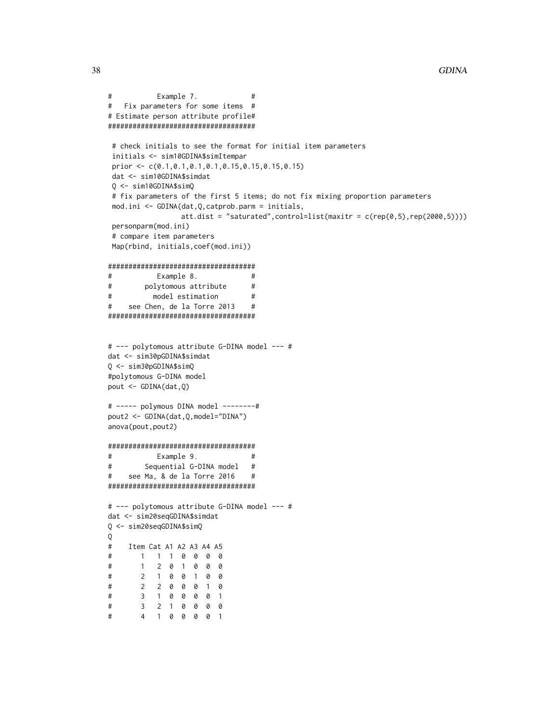```
# Example 7. #
# Fix parameters for some items #
# Estimate person attribute profile#
####################################
# check initials to see the format for initial item parameters
initials <- sim10GDINA$simItempar
prior <- c(0.1,0.1,0.1,0.1,0.15,0.15,0.15,0.15)
dat <- sim10GDINA$simdat
Q <- sim10GDINA$simQ
# fix parameters of the first 5 items; do not fix mixing proportion parameters
mod.ini <- GDINA(dat,Q,catprob.parm = initials,
               att.dist = "saturated", control=list(maxitr = c(rep(\theta,5), rep(2000,5))))personparm(mod.ini)
# compare item parameters
Map(rbind, initials,coef(mod.ini))
####################################
# Example 8. #
# polytomous attribute #
# model estimation #
# see Chen, de la Torre 2013 #
####################################
# --- polytomous attribute G-DINA model --- #
dat <- sim30pGDINA$simdat
Q <- sim30pGDINA$simQ
#polytomous G-DINA model
pout <- GDINA(dat,Q)
# ----- polymous DINA model --------#
pout2 <- GDINA(dat,Q,model="DINA")
anova(pout,pout2)
####################################
# Example 9. #
# Sequential G-DINA model #
# see Ma, & de la Torre 2016 #
####################################
# --- polytomous attribute G-DINA model --- #
dat <- sim20seqGDINA$simdat
Q <- sim20seqGDINA$simQ
Q
# Item Cat A1 A2 A3 A4 A5
# 1 1 1 0 0 0 0
# 1 2 0 1 0 0 0
# 2 1 0 0 1 0 0
# 2 2 0 0 0 1 0
# 3 1 0 0 0 0 1
# 3 2 1 0 0 0 0
# 4 1 0 0 0 0 1
```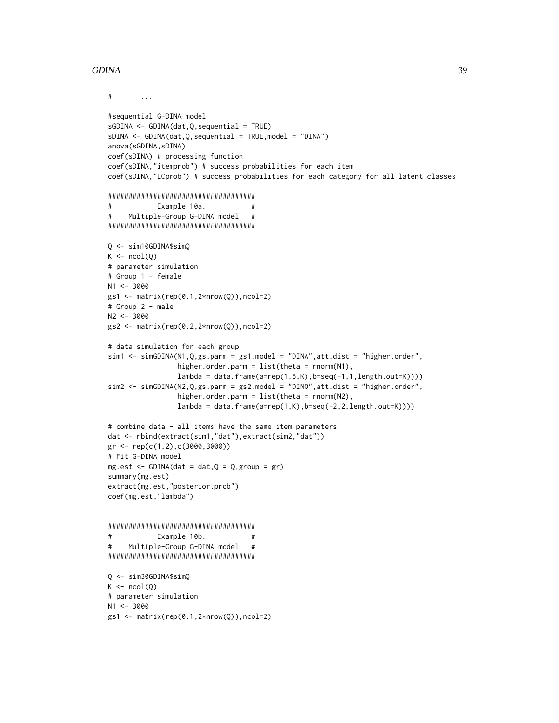#### GDINA 39

```
\# ...
#sequential G-DINA model
sGDINA \leftarrow GDINA(data, Q, sequential = TRUE)sDINA <- GDINA(dat,Q,sequential = TRUE,model = "DINA")
anova(sGDINA, sDINA)
coef(sDINA) # processing function
coef(sDINA,"itemprob") # success probabilities for each item
coef(sDINA,"LCprob") # success probabilities for each category for all latent classes
####################################
# Example 10a. #
# Multiple-Group G-DINA model #
####################################
Q <- sim10GDINA$simQ
K \leftarrow \text{ncol}(Q)# parameter simulation
# Group 1 - female
N1 <- 3000
gs1 \leftarrow matrix(rep(0.1,2*nrow(Q)),ncol=2)# Group 2 - male
N2 < -3000gs2 <- matrix(rep(0.2,2*nrow(Q)),ncol=2)
# data simulation for each group
sim1 <- simGDINA(N1,Q,gs.parm = gs1,model = "DINA",att.dist = "higher.order",
                 higher.order.parm = list(theta = rnorm(N1),
                 lambda = data.frame(a=rep(1.5,K),b=seq(-1,1,length.out=K))))
sim2 <- simGDINA(N2,Q,gs.parm = gs2,model = "DINO",att.dist = "higher.order",
                 higher.order.parm = list(theta = rnorm(N2),
                 lambda = data.frame(a=rep(1,K),b=seq(-2,2,length.out=K))))
# combine data - all items have the same item parameters
dat <- rbind(extract(sim1,"dat"),extract(sim2,"dat"))
gr <- rep(c(1,2),c(3000,3000))
# Fit G-DINA model
mg.est \leq GDINA(dat = dat,Q = Q, group = gr)
summary(mg.est)
extract(mg.est,"posterior.prob")
coef(mg.est,"lambda")
####################################
# Example 10b. #
# Multiple-Group G-DINA model #
####################################
Q <- sim30GDINA$simQ
K \leftarrow \text{ncol}(Q)# parameter simulation
N1 <- 3000
gs1 \leftarrow matrix(rep(0.1,2*nrow(Q)),ncol=2)
```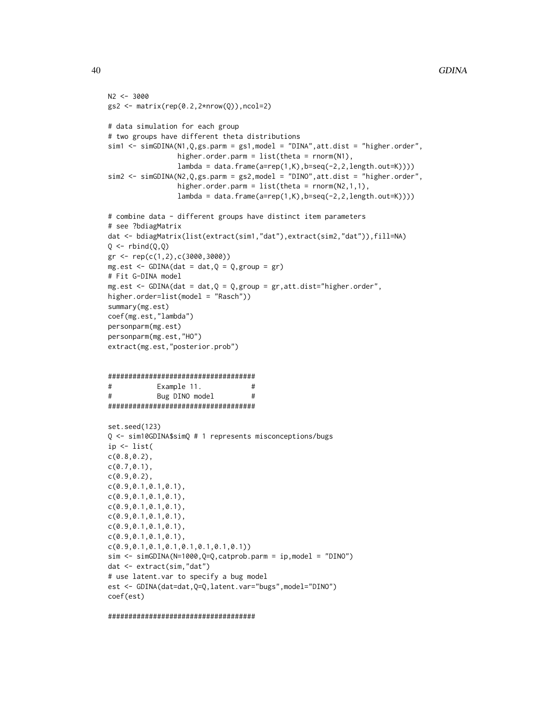```
N2 < -3000gs2 \leftarrow matrix(rep(0.2,2*nrow(Q)),ncol=2)# data simulation for each group
# two groups have different theta distributions
sim1 <- simGDINA(N1, Q, gs.parm = gs1, model = "DINA", att.dist = "higher.order",
                 higher.order.parm = list(theta = rnorm(N1),
                 lambda = data.frame(a=rep(1,K),b=seq(-2,2,length.out=K))))
sim2 <- simGDINA(N2,Q,gs.parm = gs2,model = "DINO",att.dist = "higher.order",
                 higher.order.parm = list(theta = rnorm(N2,1,1),lambda = data frame(a=rep(1,K),b=seq(-2,2,length.out=K))))# combine data - different groups have distinct item parameters
# see ?bdiagMatrix
dat <- bdiagMatrix(list(extract(sim1,"dat"),extract(sim2,"dat")),fill=NA)
Q \leftarrow \text{rbind}(Q, Q)gr <- rep(c(1,2),c(3000,3000))
mg.est <- GDINA(dat = dat,Q = Q,group = gr)
# Fit G-DINA model
mg.est \leq GDINA(dat = dat,Q = Q, group = gr, att.dist="higher.order",
higher.order=list(model = "Rasch"))
summary(mg.est)
coef(mg.est,"lambda")
personparm(mg.est)
personparm(mg.est,"HO")
extract(mg.est,"posterior.prob")
####################################
# Example 11. #
# Bug DINO model #
####################################
set.seed(123)
Q <- sim10GDINA$simQ # 1 represents misconceptions/bugs
ip <- list(
c(0.8,0.2),
c(0.7,0.1),
c(0.9,0.2),
c(0.9,0.1,0.1,0.1),
c(0.9, 0.1, 0.1, 0.1),
c(0.9,0.1,0.1,0.1),
c(0.9,0.1,0.1,0.1),
c(0.9,0.1,0.1,0.1),
c(0.9, 0.1, 0.1, 0.1),
c(0.9,0.1,0.1,0.1,0.1,0.1,0.1,0.1))
sim < simGDINA(N=1000,Q=Q,catprob.parm = ip,model = "DINO")
dat <- extract(sim,"dat")
# use latent.var to specify a bug model
est <- GDINA(dat=dat,Q=Q,latent.var="bugs",model="DINO")
coef(est)
```
####################################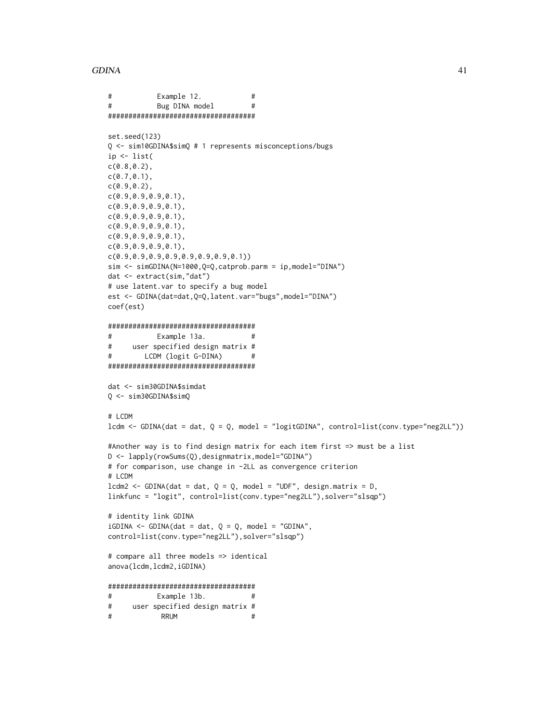```
# Example 12. #
# Bug DINA model #
####################################
set.seed(123)
Q <- sim10GDINA$simQ # 1 represents misconceptions/bugs
ip <- list(
c(0.8, 0.2),
c(0.7, 0.1),
c(0.9,0.2),
c(0.9,0.9,0.9,0.1),
c(0.9,0.9,0.9,0.1),
c(0.9,0.9,0.9,0.1),
c(0.9,0.9,0.9,0.1),
c(0.9,0.9,0.9,0.1),
c(0.9,0.9,0.9,0.1),
c(0.9,0.9,0.9,0.9,0.9,0.9,0.9,0.1))
sim <- simGDINA(N=1000,Q=Q,catprob.parm = ip,model="DINA")
dat <- extract(sim,"dat")
# use latent.var to specify a bug model
est <- GDINA(dat=dat,Q=Q,latent.var="bugs",model="DINA")
coef(est)
####################################
# Example 13a. #
# user specified design matrix #
# LCDM (logit G-DINA) #
####################################
dat <- sim30GDINA$simdat
Q <- sim30GDINA$simQ
# LCDM
lcdm <- GDINA(dat = dat, Q = Q, model = "logitGDINA", control=list(conv.type="neg2LL"))
#Another way is to find design matrix for each item first => must be a list
D <- lapply(rowSums(Q),designmatrix,model="GDINA")
# for comparison, use change in -2LL as convergence criterion
# LCDM
lcdm2 \leq GDINA(data = dat, Q = Q, model = "UDF", design_matrix = D,linkfunc = "logit", control=list(conv.type="neg2LL"),solver="slsqp")
# identity link GDINA
iGDINA \leftarrow GDINA(data = dat, Q = Q, model = "GDINA",control=list(conv.type="neg2LL"),solver="slsqp")
# compare all three models => identical
anova(lcdm,lcdm2,iGDINA)
####################################
# Example 13b. #
# user specified design matrix #
# RRUM #
```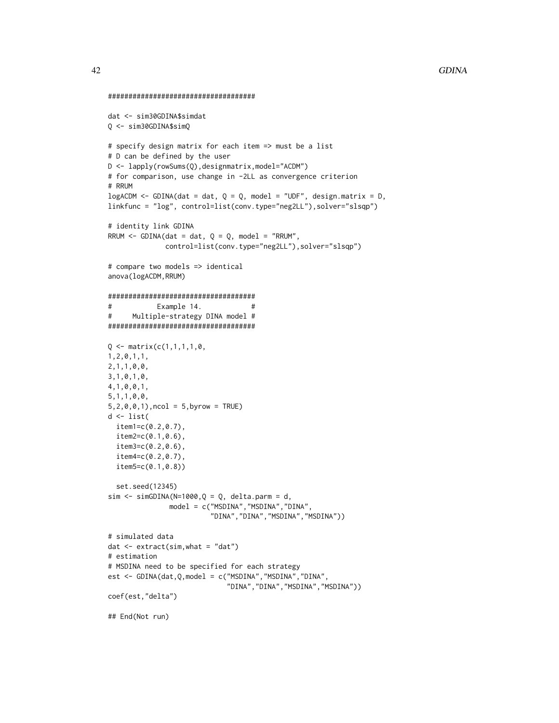```
####################################
dat <- sim30GDINA$simdat
Q <- sim30GDINA$simQ
# specify design matrix for each item => must be a list
# D can be defined by the user
D <- lapply(rowSums(Q),designmatrix,model="ACDM")
# for comparison, use change in -2LL as convergence criterion
# RRUM
logACDM \leq GDINA(data = dat, Q = Q, model = "UDF", design_matrix = D,linkfunc = "log", control=list(conv.type="neg2LL"),solver="slsqp")
# identity link GDINA
RRUM \leq GDINA(dat = dat, Q = Q, model = "RRUM",
              control=list(conv.type="neg2LL"),solver="slsqp")
# compare two models => identical
anova(logACDM,RRUM)
####################################
# Example 14. #
# Multiple-strategy DINA model #
####################################
Q \leq - matrix(c(1,1,1,1,0,
1,2,0,1,1,
2,1,1,0,0,
3,1,0,1,0,
4,1,0,0,1,
5,1,1,0,0,
5, 2, 0, 0, 1), ncol = 5, byrow = TRUE)
d <- list(
 item1=c(0.2,0.7),
  item2=c(0.1,0.6),
  item3=c(0.2,0.6),
  item4=c(0.2,0.7),
  item5=c(0.1,0.8))
  set.seed(12345)
sim < simGDINA(N=1000,Q = Q, delta.parm = d,
              model = c("MSDINA","MSDINA","DINA",
                         "DINA","DINA","MSDINA","MSDINA"))
# simulated data
dat <- extract(sim,what = "dat")
# estimation
# MSDINA need to be specified for each strategy
est <- GDINA(dat,Q,model = c("MSDINA","MSDINA","DINA",
                             "DINA","DINA","MSDINA","MSDINA"))
coef(est,"delta")
## End(Not run)
```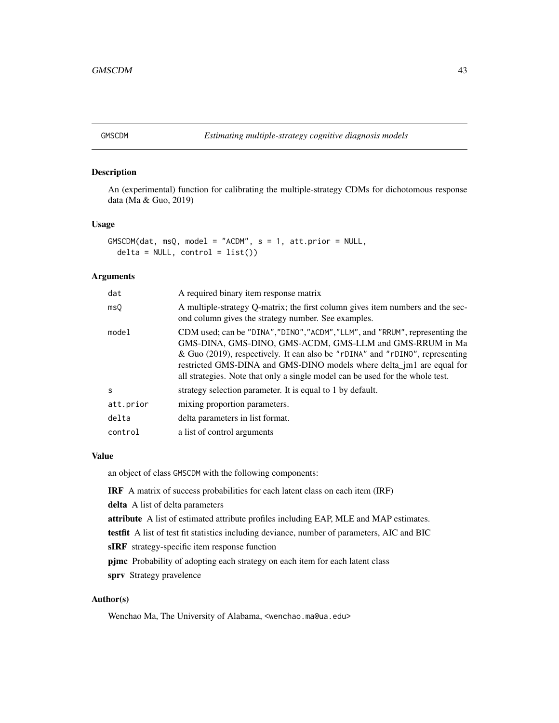An (experimental) function for calibrating the multiple-strategy CDMs for dichotomous response data (Ma & Guo, 2019)

#### Usage

```
GMSCDM(dat, msQ, model = "ACDM", s = 1, att.prior = NULL,
  delta = NULL, control = list())
```
# Arguments

| dat          | A required binary item response matrix                                                                                                                                                                                                                                                                                                                                             |
|--------------|------------------------------------------------------------------------------------------------------------------------------------------------------------------------------------------------------------------------------------------------------------------------------------------------------------------------------------------------------------------------------------|
| msQ          | A multiple-strategy Q-matrix; the first column gives item numbers and the sec-<br>ond column gives the strategy number. See examples.                                                                                                                                                                                                                                              |
| model        | CDM used; can be "DINA", "DINO", "ACDM", "LLM", and "RRUM", representing the<br>GMS-DINA, GMS-DINO, GMS-ACDM, GMS-LLM and GMS-RRUM in Ma<br>& Guo (2019), respectively. It can also be "rDINA" and "rDINO", representing<br>restricted GMS-DINA and GMS-DINO models where delta_jm1 are equal for<br>all strategies. Note that only a single model can be used for the whole test. |
| <sub>S</sub> | strategy selection parameter. It is equal to 1 by default.                                                                                                                                                                                                                                                                                                                         |
| att.prior    | mixing proportion parameters.                                                                                                                                                                                                                                                                                                                                                      |
| delta        | delta parameters in list format.                                                                                                                                                                                                                                                                                                                                                   |
| control      | a list of control arguments                                                                                                                                                                                                                                                                                                                                                        |

# Value

an object of class GMSCDM with the following components:

IRF A matrix of success probabilities for each latent class on each item (IRF)

delta A list of delta parameters

attribute A list of estimated attribute profiles including EAP, MLE and MAP estimates.

testfit A list of test fit statistics including deviance, number of parameters, AIC and BIC

sIRF strategy-specific item response function

pjmc Probability of adopting each strategy on each item for each latent class sprv Strategy pravelence

# Author(s)

Wenchao Ma, The University of Alabama, <wenchao.ma@ua.edu>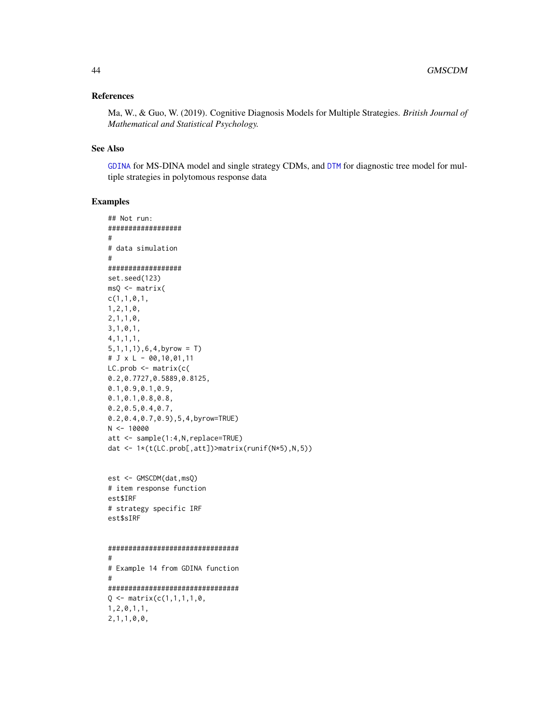## References

Ma, W., & Guo, W. (2019). Cognitive Diagnosis Models for Multiple Strategies. *British Journal of Mathematical and Statistical Psychology.*

#### See Also

[GDINA](#page-22-0) for MS-DINA model and single strategy CDMs, and [DTM](#page-17-0) for diagnostic tree model for multiple strategies in polytomous response data

# Examples

```
## Not run:
##################
#
# data simulation
#
##################
set.seed(123)
msQ <- matrix(
c(1,1,0,1,1,2,1,0,
2,1,1,0,
3,1,0,1,
4,1,1,1,
5,1,1,1),6,4,byrow = T)
# J x L - 00,10,01,11
LC.prob <- matrix(c(
0.2,0.7727,0.5889,0.8125,
0.1,0.9,0.1,0.9,
0.1,0.1,0.8,0.8,
0.2,0.5,0.4,0.7,
0.2,0.4,0.7,0.9),5,4,byrow=TRUE)
N < - 10000att <- sample(1:4,N,replace=TRUE)
dat <- 1*(t(LC.prob[,att])>matrix(runif(N*5),N,5))
est <- GMSCDM(dat,msQ)
# item response function
est$IRF
# strategy specific IRF
est$sIRF
################################
#
# Example 14 from GDINA function
#
################################
Q \leq - matrix(c(1,1,1,1,0,
1,2,0,1,1,
2,1,1,0,0,
```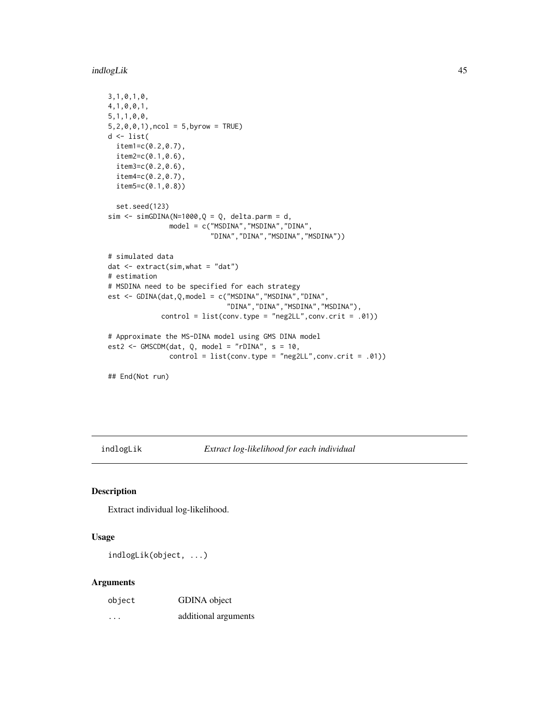indlogLik 45

```
3,1,0,1,0,
4,1,0,0,1,
5,1,1,0,0,
5, 2, 0, 0, 1), ncol = 5, byrow = TRUE)
d <- list(
 item1=c(0.2,0.7),
  item2=c(0.1,0.6),
  item3=c(0.2,0.6),
  item4=c(0.2,0.7),
  item5=c(0.1,0.8))
  set.seed(123)
sim < simGDINA(N=1000,Q = Q, delta.parm = d,
               model = c("MSDINA","MSDINA","DINA",
                          "DINA","DINA","MSDINA","MSDINA"))
# simulated data
dat <- extract(sim,what = "dat")
# estimation
# MSDINA need to be specified for each strategy
est <- GDINA(dat,Q,model = c("MSDINA","MSDINA","DINA",
                              "DINA","DINA","MSDINA","MSDINA"),
             control = list(conv.\text{type} = "neg2LL", conv.crit = .01))# Approximate the MS-DINA model using GMS DINA model
est2 <- GMSCDM(dat, Q, model = "rDINA", s = 10,
               control = list(conv.type = "neg2LL", conv.crit = .01))
```
## End(Not run)

indlogLik *Extract log-likelihood for each individual*

# Description

Extract individual log-likelihood.

#### Usage

indlogLik(object, ...)

#### Arguments

| object | GDINA object         |
|--------|----------------------|
| .      | additional arguments |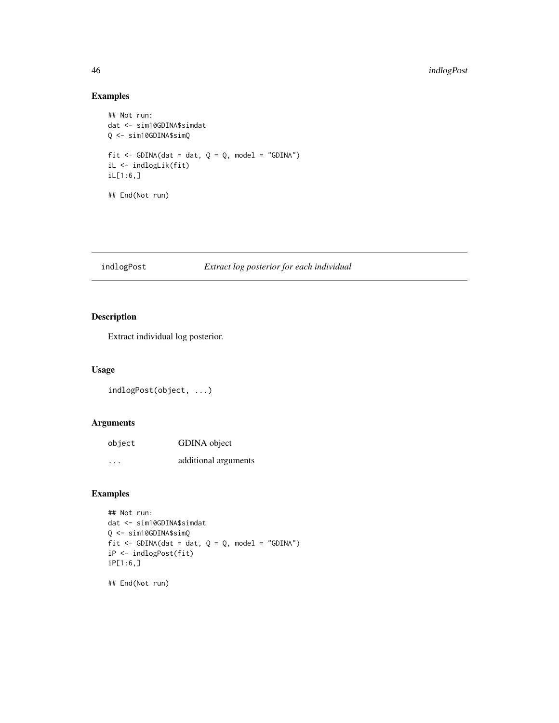# Examples

```
## Not run:
dat <- sim10GDINA$simdat
Q <- sim10GDINA$simQ
fit \le GDINA(dat = dat, Q = Q, model = "GDINA")
iL <- indlogLik(fit)
iL[1:6,]
## End(Not run)
```
## indlogPost *Extract log posterior for each individual*

# Description

Extract individual log posterior.

# Usage

```
indlogPost(object, ...)
```
# Arguments

| object | GDINA object         |
|--------|----------------------|
| .      | additional arguments |

# Examples

```
## Not run:
dat <- sim10GDINA$simdat
Q <- sim10GDINA$simQ
fit \le GDINA(dat = dat, Q = Q, model = "GDINA")
iP <- indlogPost(fit)
iP[1:6,]
```
## End(Not run)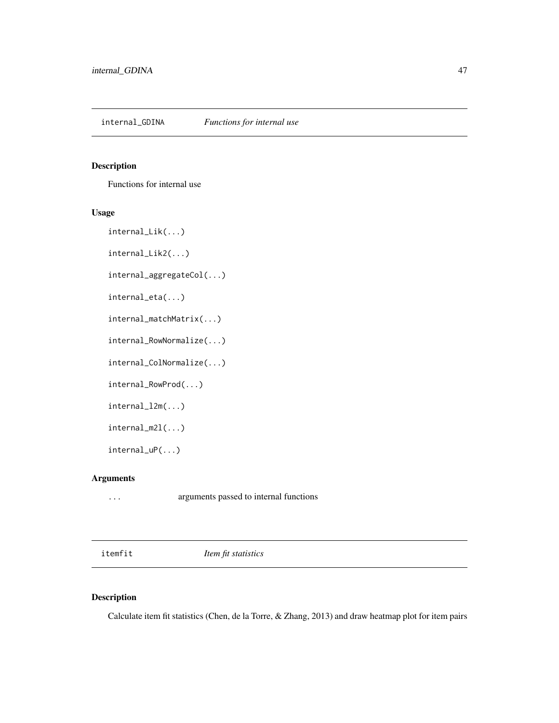internal\_GDINA *Functions for internal use*

# Description

Functions for internal use

## Usage

internal\_Lik(...)

internal\_Lik2(...)

internal\_aggregateCol(...)

internal\_eta(...)

internal\_matchMatrix(...)

internal\_RowNormalize(...)

internal\_ColNormalize(...)

internal\_RowProd(...)

internal\_l2m(...)

internal\_m2l(...)

internal\_uP(...)

# Arguments

... arguments passed to internal functions

<span id="page-46-0"></span>itemfit *Item fit statistics*

# Description

Calculate item fit statistics (Chen, de la Torre, & Zhang, 2013) and draw heatmap plot for item pairs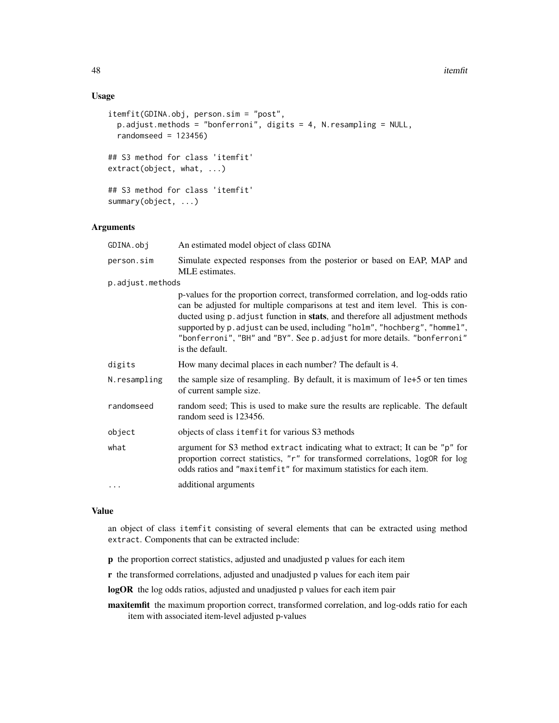## Usage

```
itemfit(GDINA.obj, person.sim = "post",
 p.adjust.methods = "bonferroni", digits = 4, N.resampling = NULL,
 randomseed = 123456)
## S3 method for class 'itemfit'
extract(object, what, ...)
## S3 method for class 'itemfit'
summary(object, ...)
```
# Arguments

| GDINA.obj        | An estimated model object of class GDINA                                                                                                                                                                                                                                                                                                                                                                                           |
|------------------|------------------------------------------------------------------------------------------------------------------------------------------------------------------------------------------------------------------------------------------------------------------------------------------------------------------------------------------------------------------------------------------------------------------------------------|
| person.sim       | Simulate expected responses from the posterior or based on EAP, MAP and<br>MLE estimates.                                                                                                                                                                                                                                                                                                                                          |
| p.adjust.methods |                                                                                                                                                                                                                                                                                                                                                                                                                                    |
|                  | p-values for the proportion correct, transformed correlation, and log-odds ratio<br>can be adjusted for multiple comparisons at test and item level. This is con-<br>ducted using p. adjust function in stats, and therefore all adjustment methods<br>supported by p. adjust can be used, including "holm", "hochberg", "hommel",<br>"bonferroni", "BH" and "BY". See p. adjust for more details. "bonferroni"<br>is the default. |
| digits           | How many decimal places in each number? The default is 4.                                                                                                                                                                                                                                                                                                                                                                          |
| N.resampling     | the sample size of resampling. By default, it is maximum of $1e+5$ or ten times<br>of current sample size.                                                                                                                                                                                                                                                                                                                         |
| randomseed       | random seed; This is used to make sure the results are replicable. The default<br>random seed is 123456.                                                                                                                                                                                                                                                                                                                           |
| object           | objects of class itemfit for various S3 methods                                                                                                                                                                                                                                                                                                                                                                                    |
| what             | argument for S3 method extract indicating what to extract; It can be "p" for<br>proportion correct statistics, "r" for transformed correlations, logOR for log<br>odds ratios and "maxitemfit" for maximum statistics for each item.                                                                                                                                                                                               |
| $\cdots$         | additional arguments                                                                                                                                                                                                                                                                                                                                                                                                               |

# Value

an object of class itemfit consisting of several elements that can be extracted using method extract. Components that can be extracted include:

- p the proportion correct statistics, adjusted and unadjusted p values for each item
- r the transformed correlations, adjusted and unadjusted p values for each item pair

logOR the log odds ratios, adjusted and unadjusted p values for each item pair

maxitemfit the maximum proportion correct, transformed correlation, and log-odds ratio for each item with associated item-level adjusted p-values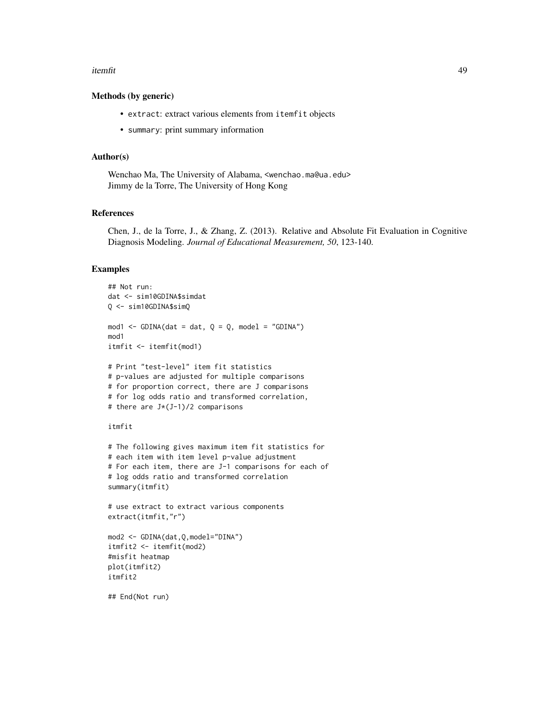#### itemfit 49

#### Methods (by generic)

- extract: extract various elements from itemfit objects
- summary: print summary information

## Author(s)

Wenchao Ma, The University of Alabama, <wenchao.ma@ua.edu> Jimmy de la Torre, The University of Hong Kong

## References

Chen, J., de la Torre, J., & Zhang, Z. (2013). Relative and Absolute Fit Evaluation in Cognitive Diagnosis Modeling. *Journal of Educational Measurement, 50*, 123-140.

## Examples

```
## Not run:
dat <- sim10GDINA$simdat
Q <- sim10GDINA$simQ
mod1 <- GDINA(dat = dat, Q = Q, model = "GDINA")
mod1
itmfit <- itemfit(mod1)
# Print "test-level" item fit statistics
# p-values are adjusted for multiple comparisons
# for proportion correct, there are J comparisons
# for log odds ratio and transformed correlation,
# there are J*(J-1)/2 comparisons
itmfit
# The following gives maximum item fit statistics for
# each item with item level p-value adjustment
# For each item, there are J-1 comparisons for each of
# log odds ratio and transformed correlation
summary(itmfit)
# use extract to extract various components
extract(itmfit,"r")
mod2 <- GDINA(dat,Q,model="DINA")
itmfit2 <- itemfit(mod2)
#misfit heatmap
plot(itmfit2)
itmfit2
## End(Not run)
```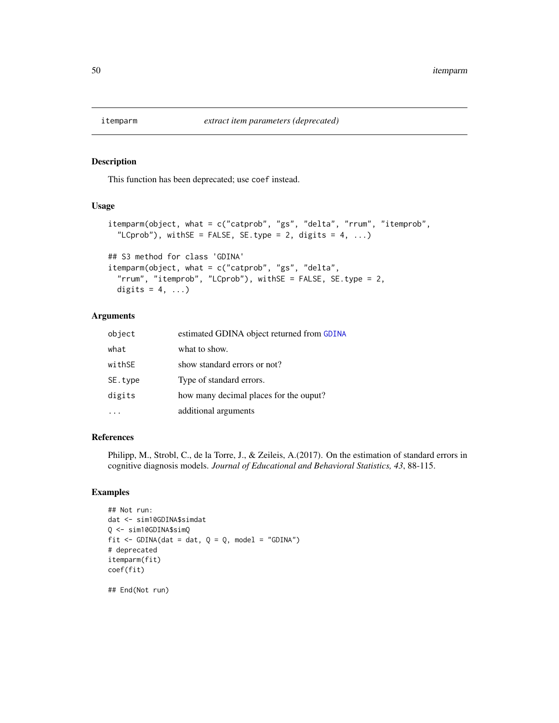This function has been deprecated; use coef instead.

## Usage

```
itemparm(object, what = c("catprob", "gs", "delta", "rrum", "itemprob",
  "LCprob"), withSE = FALSE, SE.type = 2, digits = 4, ...)
## S3 method for class 'GDINA'
itemparm(object, what = c("catprob", "gs", "delta",
 "rrum", "itemprob", "LCprob"), withSE = FALSE, SE.type = 2,
```
# Arguments

digits =  $4, ...$ )

| object  | estimated GDINA object returned from GDINA |
|---------|--------------------------------------------|
| what    | what to show.                              |
| withSE  | show standard errors or not?               |
| SE.type | Type of standard errors.                   |
| digits  | how many decimal places for the ouput?     |
|         | additional arguments                       |

#### References

Philipp, M., Strobl, C., de la Torre, J., & Zeileis, A.(2017). On the estimation of standard errors in cognitive diagnosis models. *Journal of Educational and Behavioral Statistics, 43*, 88-115.

# Examples

```
## Not run:
dat <- sim10GDINA$simdat
Q <- sim10GDINA$simQ
fit \le - GDINA(dat = dat, Q = Q, model = "GDINA")
# deprecated
itemparm(fit)
coef(fit)
```
## End(Not run)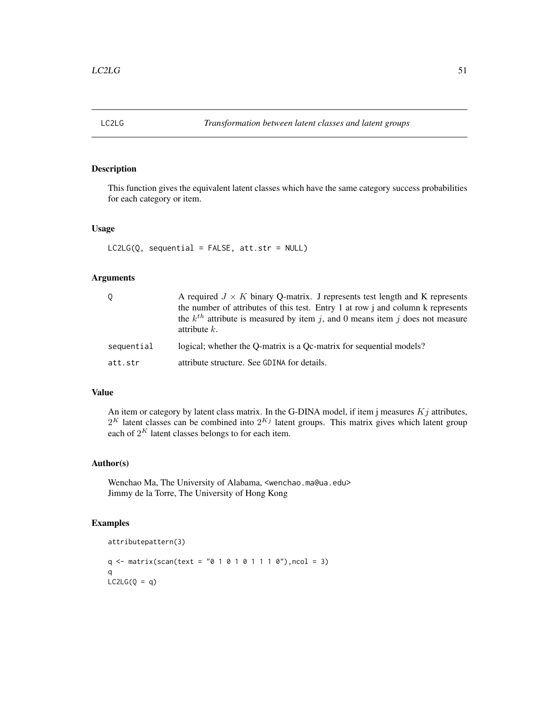This function gives the equivalent latent classes which have the same category success probabilities for each category or item.

#### Usage

```
LC2LG(Q, sequential = FALSE, att.str = NULL)
```
# Arguments

|            | A required $J \times K$ binary Q-matrix. J represents test length and K represents<br>the number of attributes of this test. Entry 1 at row j and column k represents<br>the $k^{th}$ attribute is measured by item j, and 0 means item j does not measure<br>attribute $k$ . |
|------------|-------------------------------------------------------------------------------------------------------------------------------------------------------------------------------------------------------------------------------------------------------------------------------|
| sequential | logical; whether the O-matrix is a Oc-matrix for sequential models?                                                                                                                                                                                                           |
| att.str    | attribute structure. See GDINA for details.                                                                                                                                                                                                                                   |

## Value

An item or category by latent class matrix. In the G-DINA model, if item j measures  $Kj$  attributes,  $2^K$  latent classes can be combined into  $2^{Kj}$  latent groups. This matrix gives which latent group each of  $2^K$  latent classes belongs to for each item.

# Author(s)

Wenchao Ma, The University of Alabama, <wenchao.ma@ua.edu> Jimmy de la Torre, The University of Hong Kong

# Examples

attributepattern(3)

 $q \leq -$  matrix(scan(text = "0 1 0 1 0 1 1 1 0"), ncol = 3) q  $LC2LG(Q = q)$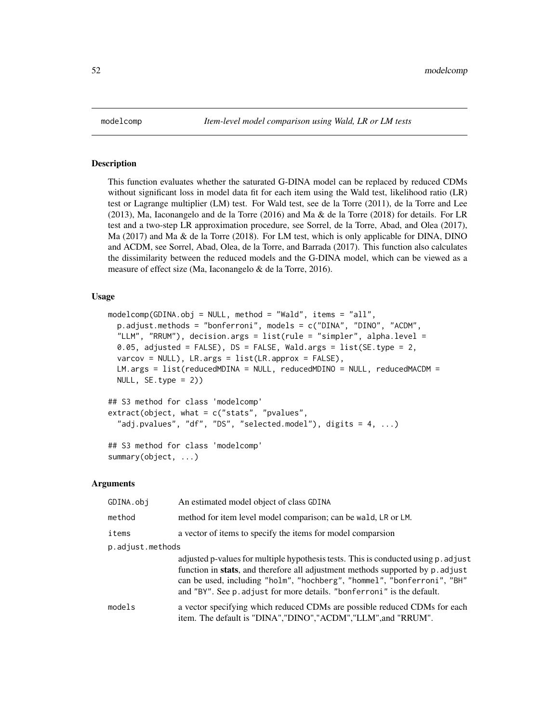This function evaluates whether the saturated G-DINA model can be replaced by reduced CDMs without significant loss in model data fit for each item using the Wald test, likelihood ratio (LR) test or Lagrange multiplier (LM) test. For Wald test, see de la Torre (2011), de la Torre and Lee (2013), Ma, Iaconangelo and de la Torre (2016) and Ma & de la Torre (2018) for details. For LR test and a two-step LR approximation procedure, see Sorrel, de la Torre, Abad, and Olea (2017), Ma (2017) and Ma & de la Torre (2018). For LM test, which is only applicable for DINA, DINO and ACDM, see Sorrel, Abad, Olea, de la Torre, and Barrada (2017). This function also calculates the dissimilarity between the reduced models and the G-DINA model, which can be viewed as a measure of effect size (Ma, Iaconangelo & de la Torre, 2016).

## Usage

```
modelcomp(GDINA.obj = NULL, method = "Wald", items = "all",
  p.adjust.methods = "bonferroni", models = c("DINA", "DINO", "ACDM",
  "LLM", "RRUM"), decision.args = list(rule = "simpler", alpha.level =
  0.05, adjusted = FALSE), DS = FALSE, Wald.args = list(SE.type = 2,
  varcov = NULL, LR \text{.} \arg s = list(LR \text{.} \text{approx} = FALSE),
  LM.args = list(reducedMDINA = NULL, reducedMDINO = NULL, reducedMACDM =
 NULL, SE.type = 2))
```

```
## S3 method for class 'modelcomp'
extract(object, what = c("stats", "pvalues",
  "adj.pvalues", "df", "DS", "selected.model"), digits = 4, ...)
## S3 method for class 'modelcomp'
```
summary(object, ...)

#### Arguments

| GDINA.obj        | An estimated model object of class GDINA                                                                                                                                                                                                                                                                                  |  |
|------------------|---------------------------------------------------------------------------------------------------------------------------------------------------------------------------------------------------------------------------------------------------------------------------------------------------------------------------|--|
| method           | method for item level model comparison; can be wald, LR or LM.                                                                                                                                                                                                                                                            |  |
| items            | a vector of items to specify the items for model comparsion                                                                                                                                                                                                                                                               |  |
| p.adjust.methods |                                                                                                                                                                                                                                                                                                                           |  |
|                  | adjusted p-values for multiple hypothesis tests. This is conducted using p. adjust<br>function in stats, and therefore all adjustment methods supported by p. adjust<br>can be used, including "holm", "hochberg", "hommel", "bonferroni", "BH"<br>and "BY". See p. adjust for more details. "bonferroni" is the default. |  |
| models           | a vector specifying which reduced CDMs are possible reduced CDMs for each<br>item. The default is "DINA", "DINO", "ACDM", "LLM", and "RRUM".                                                                                                                                                                              |  |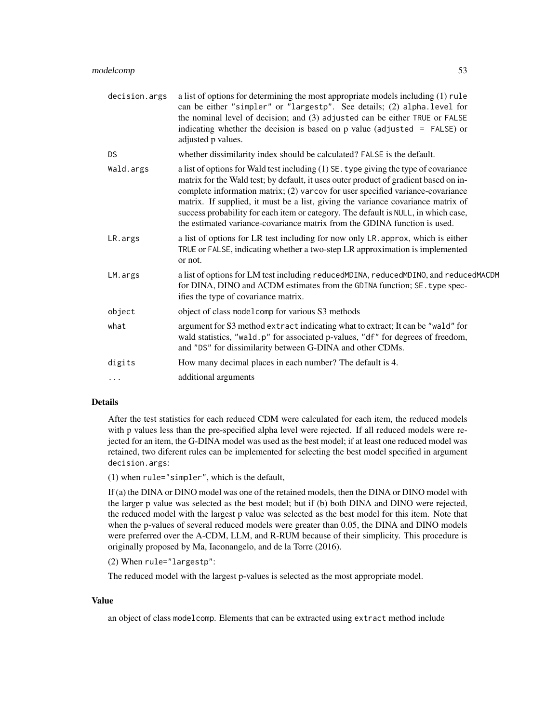| decision.args | a list of options for determining the most appropriate models including (1) rule<br>can be either "simpler" or "largestp". See details; (2) alpha.level for<br>the nominal level of decision; and (3) adjusted can be either TRUE or FALSE<br>indicating whether the decision is based on $p$ value (adjusted = FALSE) or<br>adjusted p values.                                                                                                                                                                       |
|---------------|-----------------------------------------------------------------------------------------------------------------------------------------------------------------------------------------------------------------------------------------------------------------------------------------------------------------------------------------------------------------------------------------------------------------------------------------------------------------------------------------------------------------------|
| DS.           | whether dissimilarity index should be calculated? FALSE is the default.                                                                                                                                                                                                                                                                                                                                                                                                                                               |
| Wald.args     | a list of options for Wald test including (1) SE. type giving the type of covariance<br>matrix for the Wald test; by default, it uses outer product of gradient based on in-<br>complete information matrix; (2) varcov for user specified variance-covariance<br>matrix. If supplied, it must be a list, giving the variance covariance matrix of<br>success probability for each item or category. The default is NULL, in which case,<br>the estimated variance-covariance matrix from the GDINA function is used. |
| LR.args       | a list of options for LR test including for now only LR. approx, which is either<br>TRUE or FALSE, indicating whether a two-step LR approximation is implemented<br>or not.                                                                                                                                                                                                                                                                                                                                           |
| LM.args       | a list of options for LM test including reducedMDINA, reducedMDINO, and reducedMACDM<br>for DINA, DINO and ACDM estimates from the GDINA function; SE. type spec-<br>ifies the type of covariance matrix.                                                                                                                                                                                                                                                                                                             |
| object        | object of class model comp for various S3 methods                                                                                                                                                                                                                                                                                                                                                                                                                                                                     |
| what          | argument for S3 method extract indicating what to extract; It can be "wald" for<br>wald statistics, "wald.p" for associated p-values, "df" for degrees of freedom,<br>and "DS" for dissimilarity between G-DINA and other CDMs.                                                                                                                                                                                                                                                                                       |
| digits        | How many decimal places in each number? The default is 4.                                                                                                                                                                                                                                                                                                                                                                                                                                                             |
| $\cdots$      | additional arguments                                                                                                                                                                                                                                                                                                                                                                                                                                                                                                  |

# Details

After the test statistics for each reduced CDM were calculated for each item, the reduced models with p values less than the pre-specified alpha level were rejected. If all reduced models were rejected for an item, the G-DINA model was used as the best model; if at least one reduced model was retained, two diferent rules can be implemented for selecting the best model specified in argument decision.args:

(1) when rule="simpler", which is the default,

If (a) the DINA or DINO model was one of the retained models, then the DINA or DINO model with the larger p value was selected as the best model; but if (b) both DINA and DINO were rejected, the reduced model with the largest p value was selected as the best model for this item. Note that when the p-values of several reduced models were greater than 0.05, the DINA and DINO models were preferred over the A-CDM, LLM, and R-RUM because of their simplicity. This procedure is originally proposed by Ma, Iaconangelo, and de la Torre (2016).

```
(2) When rule="largestp":
```
The reduced model with the largest p-values is selected as the most appropriate model.

## Value

an object of class modelcomp. Elements that can be extracted using extract method include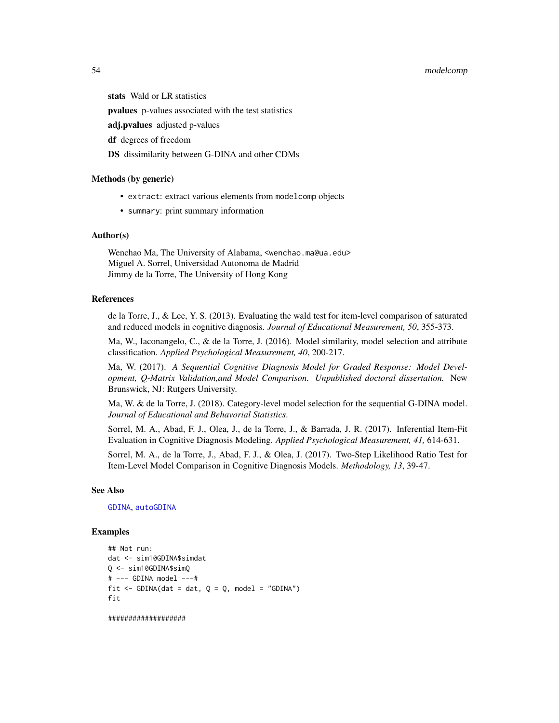# 54 modelcomp

stats Wald or LR statistics

pvalues p-values associated with the test statistics

adj.pvalues adjusted p-values

df degrees of freedom

DS dissimilarity between G-DINA and other CDMs

#### Methods (by generic)

- extract: extract various elements from modelcomp objects
- summary: print summary information

## Author(s)

Wenchao Ma, The University of Alabama, <wenchao.ma@ua.edu> Miguel A. Sorrel, Universidad Autonoma de Madrid Jimmy de la Torre, The University of Hong Kong

# References

de la Torre, J., & Lee, Y. S. (2013). Evaluating the wald test for item-level comparison of saturated and reduced models in cognitive diagnosis. *Journal of Educational Measurement, 50*, 355-373.

Ma, W., Iaconangelo, C., & de la Torre, J. (2016). Model similarity, model selection and attribute classification. *Applied Psychological Measurement, 40*, 200-217.

Ma, W. (2017). *A Sequential Cognitive Diagnosis Model for Graded Response: Model Development, Q-Matrix Validation,and Model Comparison. Unpublished doctoral dissertation.* New Brunswick, NJ: Rutgers University.

Ma, W. & de la Torre, J. (2018). Category-level model selection for the sequential G-DINA model. *Journal of Educational and Behavorial Statistics*.

Sorrel, M. A., Abad, F. J., Olea, J., de la Torre, J., & Barrada, J. R. (2017). Inferential Item-Fit Evaluation in Cognitive Diagnosis Modeling. *Applied Psychological Measurement, 41,* 614-631.

Sorrel, M. A., de la Torre, J., Abad, F. J., & Olea, J. (2017). Two-Step Likelihood Ratio Test for Item-Level Model Comparison in Cognitive Diagnosis Models. *Methodology, 13*, 39-47.

## See Also

[GDINA](#page-22-0), [autoGDINA](#page-7-0)

## Examples

```
## Not run:
dat <- sim10GDINA$simdat
Q <- sim10GDINA$simQ
# --- GDINA model ---#
fit \le - GDINA(dat = dat, Q = Q, model = "GDINA")
fit
```
###################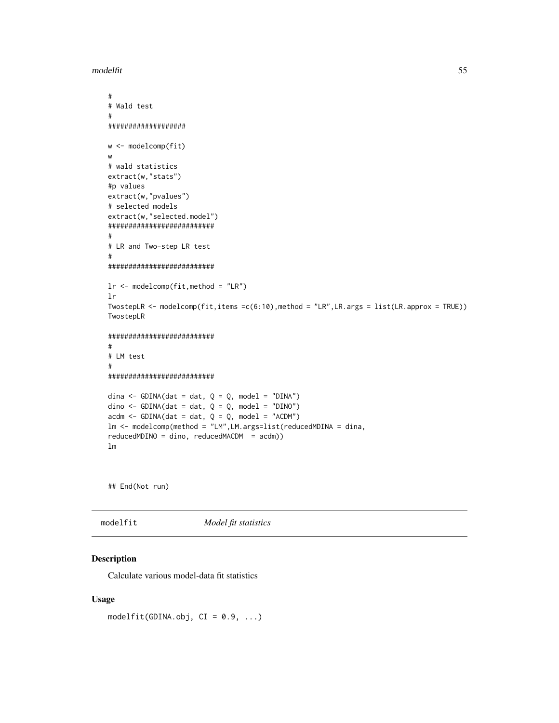modelfit 55

```
#
# Wald test
#
###################
w <- modelcomp(fit)
w
# wald statistics
extract(w,"stats")
#p values
extract(w,"pvalues")
# selected models
extract(w,"selected.model")
##########################
#
# LR and Two-step LR test
#
##########################
lr <- modelcomp(fit,method = "LR")
lr
TwostepLR <- modelcomp(fit,items =c(6:10),method = "LR",LR.args = list(LR.approx = TRUE))
TwostepLR
##########################
#
# LM test
#
##########################
dina <- GDINA(dat = dat, Q = Q, model = "DINA")
dino <- GDINA(dat = dat, Q = Q, model = "DINO")
\text{acdm} \leq -\text{GDINA}(\text{dat} = \text{dat}, \ Q = Q, \text{model} = \text{"ACDM"})lm <- modelcomp(method = "LM",LM.args=list(reducedMDINA = dina,
reducedMDINO = dino, reducedMACDM = acdm))
lm
```
## End(Not run)

modelfit *Model fit statistics*

# Description

Calculate various model-data fit statistics

#### Usage

modelfit(GDINA.obj,  $CI = 0.9, ...$ )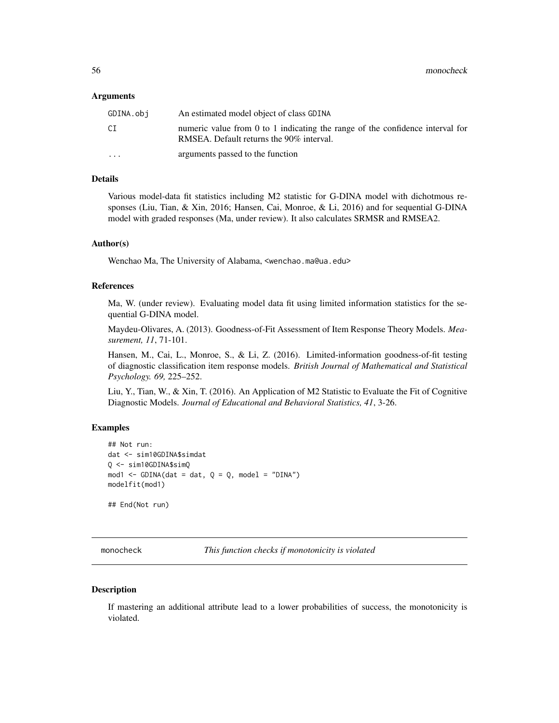#### Arguments

| GDINA.obi               | An estimated model object of class GDINA                                                                                  |
|-------------------------|---------------------------------------------------------------------------------------------------------------------------|
| СI                      | numeric value from 0 to 1 indicating the range of the confidence interval for<br>RMSEA. Default returns the 90% interval. |
| $\cdot$ $\cdot$ $\cdot$ | arguments passed to the function                                                                                          |

## Details

Various model-data fit statistics including M2 statistic for G-DINA model with dichotmous responses (Liu, Tian, & Xin, 2016; Hansen, Cai, Monroe, & Li, 2016) and for sequential G-DINA model with graded responses (Ma, under review). It also calculates SRMSR and RMSEA2.

## Author(s)

Wenchao Ma, The University of Alabama, <wenchao.ma@ua.edu>

## References

Ma, W. (under review). Evaluating model data fit using limited information statistics for the sequential G-DINA model.

Maydeu-Olivares, A. (2013). Goodness-of-Fit Assessment of Item Response Theory Models. *Measurement, 11*, 71-101.

Hansen, M., Cai, L., Monroe, S., & Li, Z. (2016). Limited-information goodness-of-fit testing of diagnostic classification item response models. *British Journal of Mathematical and Statistical Psychology. 69,* 225–252.

Liu, Y., Tian, W., & Xin, T. (2016). An Application of M2 Statistic to Evaluate the Fit of Cognitive Diagnostic Models. *Journal of Educational and Behavioral Statistics, 41*, 3-26.

#### Examples

```
## Not run:
dat <- sim10GDINA$simdat
Q <- sim10GDINA$simQ
mod1 <- GDINA(dat = dat, Q = Q, model = "DINA")
modelfit(mod1)
## End(Not run)
```
monocheck *This function checks if monotonicity is violated*

## Description

If mastering an additional attribute lead to a lower probabilities of success, the monotonicity is violated.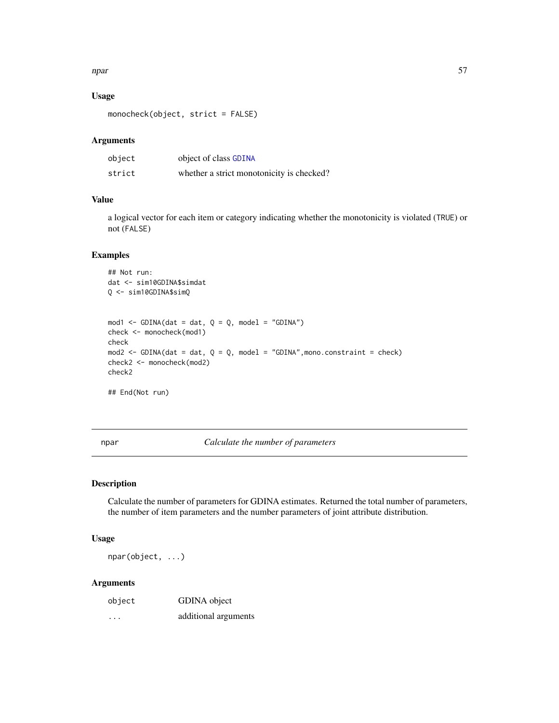## npar 57

# Usage

monocheck(object, strict = FALSE)

# Arguments

| object | object of class GDINA                     |
|--------|-------------------------------------------|
| strict | whether a strict monotonicity is checked? |

# Value

a logical vector for each item or category indicating whether the monotonicity is violated (TRUE) or not (FALSE)

# Examples

```
## Not run:
dat <- sim10GDINA$simdat
Q <- sim10GDINA$simQ
mod1 <- GDINA(dat = dat, Q = Q, model = "GDINA")
check <- monocheck(mod1)
check
mod2 <- GDINA(dat = dat, Q = Q, model = "GDINA", mono.constraint = check)
check2 <- monocheck(mod2)
check2
## End(Not run)
```
npar *Calculate the number of parameters*

## Description

Calculate the number of parameters for GDINA estimates. Returned the total number of parameters, the number of item parameters and the number parameters of joint attribute distribution.

## Usage

npar(object, ...)

## Arguments

| object | GDINA object         |
|--------|----------------------|
| .      | additional arguments |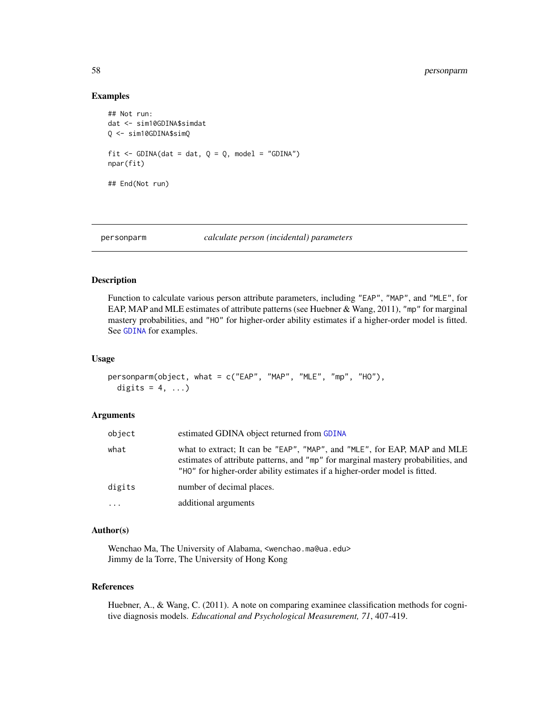## Examples

```
## Not run:
dat <- sim10GDINA$simdat
Q <- sim10GDINA$simQ
fit \le GDINA(dat = dat, Q = Q, model = "GDINA")
npar(fit)
## End(Not run)
```

```
personparm calculate person (incidental) parameters
```
#### Description

Function to calculate various person attribute parameters, including "EAP", "MAP", and "MLE", for EAP, MAP and MLE estimates of attribute patterns (see Huebner & Wang, 2011), "mp" for marginal mastery probabilities, and "HO" for higher-order ability estimates if a higher-order model is fitted. See [GDINA](#page-22-0) for examples.

#### Usage

```
personparm(object, what = c("EAP", "MAP", "MLE", "mp", "HO"),
 digits = 4, ...)
```
#### Arguments

| object   | estimated GDINA object returned from GDINA                                                                                                                                                                                                  |
|----------|---------------------------------------------------------------------------------------------------------------------------------------------------------------------------------------------------------------------------------------------|
| what     | what to extract; It can be "EAP", "MAP", and "MLE", for EAP, MAP and MLE<br>estimates of attribute patterns, and "mp" for marginal mastery probabilities, and<br>"HO" for higher-order ability estimates if a higher-order model is fitted. |
| digits   | number of decimal places.                                                                                                                                                                                                                   |
| $\cdots$ | additional arguments                                                                                                                                                                                                                        |

# Author(s)

Wenchao Ma, The University of Alabama, <wenchao.ma@ua.edu> Jimmy de la Torre, The University of Hong Kong

# References

Huebner, A., & Wang, C. (2011). A note on comparing examinee classification methods for cognitive diagnosis models. *Educational and Psychological Measurement, 71*, 407-419.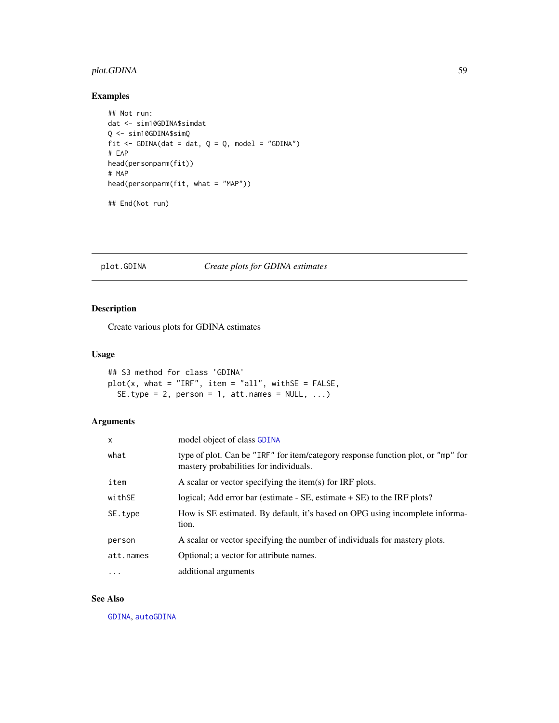# plot.GDINA 59

# Examples

```
## Not run:
dat <- sim10GDINA$simdat
Q <- sim10GDINA$simQ
fit \le GDINA(dat = dat, Q = Q, model = "GDINA")
# EAP
head(personparm(fit))
# MAP
head(personparm(fit, what = "MAP"))
## End(Not run)
```
# plot.GDINA *Create plots for GDINA estimates*

# Description

Create various plots for GDINA estimates

## Usage

```
## S3 method for class 'GDINA'
plot(x, what = "IRF", item = "all", withSE = FALSE,SE.type = 2, person = 1, att.names = NULL, ...)
```
# Arguments

| $\mathsf{x}$ | model object of class GDINA                                                                                                |
|--------------|----------------------------------------------------------------------------------------------------------------------------|
| what         | type of plot. Can be "IRF" for item/category response function plot, or "mp" for<br>mastery probabilities for individuals. |
| item         | A scalar or vector specifying the item(s) for IRF plots.                                                                   |
| withSE       | logical; Add error bar (estimate $-$ SE, estimate $+$ SE) to the IRF plots?                                                |
| SE.type      | How is SE estimated. By default, it's based on OPG using incomplete informa-<br>tion.                                      |
| person       | A scalar or vector specifying the number of individuals for mastery plots.                                                 |
| att.names    | Optional; a vector for attribute names.                                                                                    |
| .            | additional arguments                                                                                                       |

# See Also

[GDINA](#page-22-0), [autoGDINA](#page-7-0)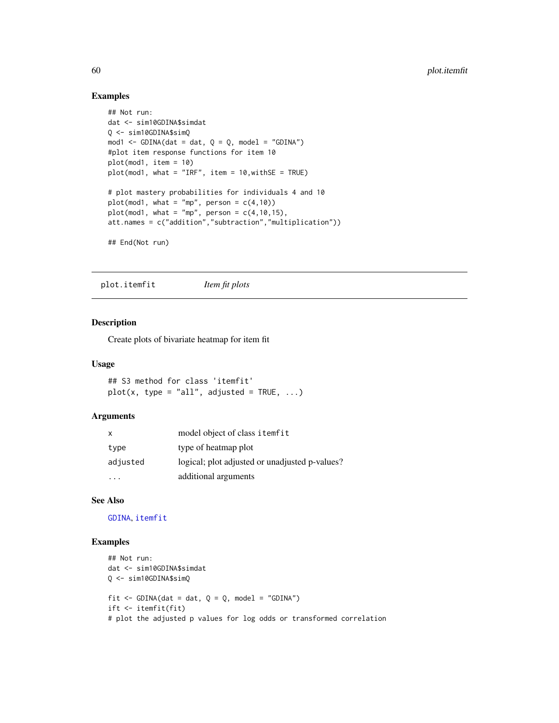# Examples

```
## Not run:
dat <- sim10GDINA$simdat
Q <- sim10GDINA$simQ
mod1 <- GDINA(dat = dat, Q = Q, model = "GDINA")
#plot item response functions for item 10
plot(mod1, item = 10)
plot(mod1, what = "IRF", item = 10,withSE = TRUE)
# plot mastery probabilities for individuals 4 and 10
plot(mod1, what = "mp", person = c(4,10))plot(mod1, what = "mp", person = c(4, 10, 15),att.names = c("addition","subtraction","multiplication"))
## End(Not run)
```
plot.itemfit *Item fit plots*

## Description

Create plots of bivariate heatmap for item fit

## Usage

```
## S3 method for class 'itemfit'
plot(x, type = "all", adjusted = TRUE, ...)
```
# Arguments

| X        | model object of class itemfit                  |
|----------|------------------------------------------------|
| type     | type of heatmap plot                           |
| adjusted | logical; plot adjusted or unadjusted p-values? |
|          | additional arguments                           |

## See Also

[GDINA](#page-22-0), [itemfit](#page-46-0)

# Examples

```
## Not run:
dat <- sim10GDINA$simdat
Q <- sim10GDINA$simQ
fit \le GDINA(dat = dat, Q = Q, model = "GDINA")
ift <- itemfit(fit)
# plot the adjusted p values for log odds or transformed correlation
```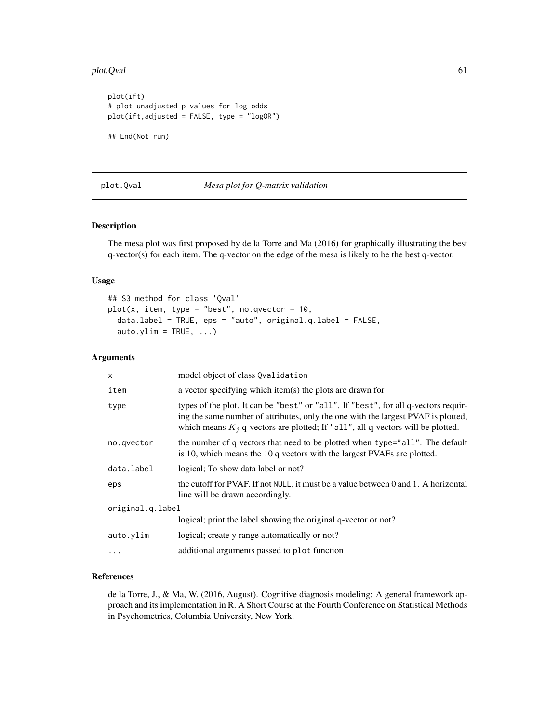#### plot.Qval 61

```
plot(ift)
# plot unadjusted p values for log odds
plot(ift,adjusted = FALSE, type = "logOR")
## End(Not run)
```
# plot.Qval *Mesa plot for Q-matrix validation*

# Description

The mesa plot was first proposed by de la Torre and Ma (2016) for graphically illustrating the best q-vector(s) for each item. The q-vector on the edge of the mesa is likely to be the best q-vector.

# Usage

```
## S3 method for class 'Qval'
plot(x, item, type = "best", no.qvector = 10,data.label = TRUE, eps = "auto", original.q.label = FALSE,
  auto.ylim = TRUE, ...)
```
# Arguments

| $\mathsf{x}$     | model object of class Qvalidation                                                                                                                                                                                                                            |
|------------------|--------------------------------------------------------------------------------------------------------------------------------------------------------------------------------------------------------------------------------------------------------------|
| item             | a vector specifying which item(s) the plots are drawn for                                                                                                                                                                                                    |
| type             | types of the plot. It can be "best" or "all". If "best", for all q-vectors requir-<br>ing the same number of attributes, only the one with the largest PVAF is plotted,<br>which means $K_i$ q-vectors are plotted; If "all", all q-vectors will be plotted. |
| no.qvector       | the number of q vectors that need to be plotted when type="all". The default<br>is 10, which means the 10 q vectors with the largest PVAFs are plotted.                                                                                                      |
| data.label       | logical; To show data label or not?                                                                                                                                                                                                                          |
| eps              | the cutoff for PVAF. If not NULL, it must be a value between 0 and 1. A horizontal<br>line will be drawn accordingly.                                                                                                                                        |
| original.q.label |                                                                                                                                                                                                                                                              |
|                  | logical; print the label showing the original q-vector or not?                                                                                                                                                                                               |
| auto.ylim        | logical; create y range automatically or not?                                                                                                                                                                                                                |
| $\ddotsc$        | additional arguments passed to plot function                                                                                                                                                                                                                 |

# References

de la Torre, J., & Ma, W. (2016, August). Cognitive diagnosis modeling: A general framework approach and its implementation in R. A Short Course at the Fourth Conference on Statistical Methods in Psychometrics, Columbia University, New York.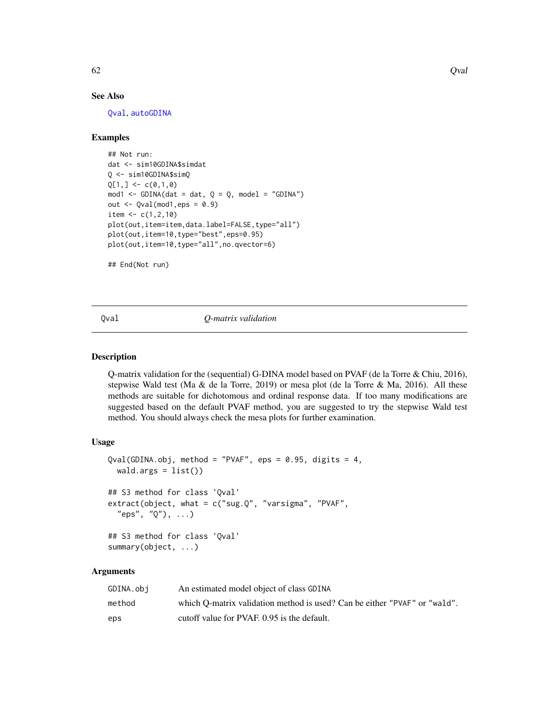## See Also

[Qval](#page-61-0), [autoGDINA](#page-7-0)

# Examples

```
## Not run:
dat <- sim10GDINA$simdat
Q <- sim10GDINA$simQ
Q[1, ] \leftarrow c(0,1,0)mod1 <- GDINA(dat = dat, Q = Q, model = "GDINA")
out \leq Qval(mod1, eps = 0.9)
item <-c(1,2,10)plot(out,item=item,data.label=FALSE,type="all")
plot(out,item=10,type="best",eps=0.95)
plot(out,item=10,type="all",no.qvector=6)
```
## End(Not run)

<span id="page-61-0"></span>Qval *Q-matrix validation*

# Description

Q-matrix validation for the (sequential) G-DINA model based on PVAF (de la Torre & Chiu, 2016), stepwise Wald test (Ma & de la Torre, 2019) or mesa plot (de la Torre & Ma, 2016). All these methods are suitable for dichotomous and ordinal response data. If too many modifications are suggested based on the default PVAF method, you are suggested to try the stepwise Wald test method. You should always check the mesa plots for further examination.

# Usage

```
Qval(GDINA.obj, method = "PVAF",eps = 0.95, digits = 4,wald.args = list()## S3 method for class 'Qval'
extract(object, what = c("sug.Q", "varsigma", "PVAF","eps", "Q"), ...)
## S3 method for class 'Qval'
summary(object, ...)
```
# Arguments

| GDINA.obi | An estimated model object of class GDINA                                  |
|-----------|---------------------------------------------------------------------------|
| method    | which O-matrix validation method is used? Can be either "PVAF" or "wald". |
| eps       | cutoff value for PVAF, 0.95 is the default.                               |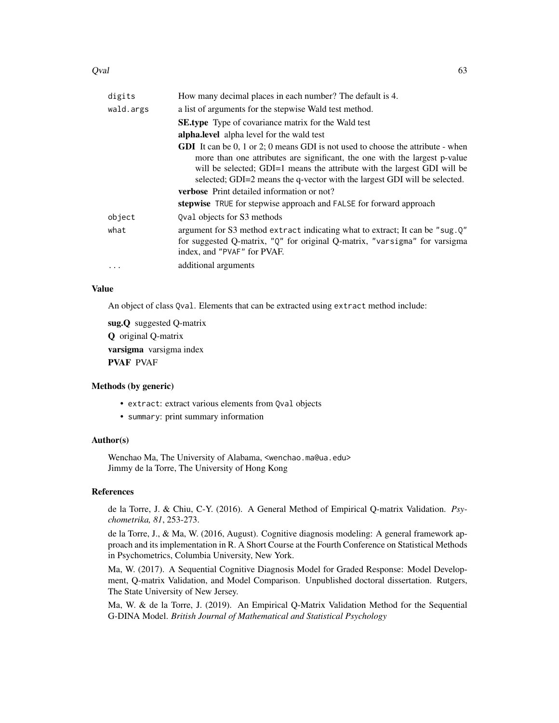#### $Qval$  63

| digits    | How many decimal places in each number? The default is 4.                                                                                                                                                                                                                                                                                                                                                                                                |
|-----------|----------------------------------------------------------------------------------------------------------------------------------------------------------------------------------------------------------------------------------------------------------------------------------------------------------------------------------------------------------------------------------------------------------------------------------------------------------|
| wald.args | a list of arguments for the stepwise Wald test method.                                                                                                                                                                                                                                                                                                                                                                                                   |
|           | <b>SE.type</b> Type of covariance matrix for the Wald test                                                                                                                                                                                                                                                                                                                                                                                               |
|           | alpha.level alpha level for the wald test                                                                                                                                                                                                                                                                                                                                                                                                                |
|           | <b>GDI</b> It can be 0, 1 or 2; 0 means GDI is not used to choose the attribute - when<br>more than one attributes are significant, the one with the largest p-value<br>will be selected; GDI=1 means the attribute with the largest GDI will be<br>selected; GDI=2 means the q-vector with the largest GDI will be selected.<br><b>verbose</b> Print detailed information or not?<br>stepwise TRUE for stepwise approach and FALSE for forward approach |
| object    | Oval objects for S3 methods                                                                                                                                                                                                                                                                                                                                                                                                                              |
| what      | argument for S3 method extract indicating what to extract; It can be "sug. Q"<br>for suggested Q-matrix, "Q" for original Q-matrix, "varsigma" for varsigma<br>index, and "PVAF" for PVAF.                                                                                                                                                                                                                                                               |
| $\cdots$  | additional arguments                                                                                                                                                                                                                                                                                                                                                                                                                                     |

# Value

An object of class Qval. Elements that can be extracted using extract method include:

sug.Q suggested Q-matrix Q original Q-matrix varsigma varsigma index PVAF PVAF

# Methods (by generic)

- extract: extract various elements from Qval objects
- summary: print summary information

# Author(s)

Wenchao Ma, The University of Alabama, <wenchao.ma@ua.edu> Jimmy de la Torre, The University of Hong Kong

# References

de la Torre, J. & Chiu, C-Y. (2016). A General Method of Empirical Q-matrix Validation. *Psychometrika, 81*, 253-273.

de la Torre, J., & Ma, W. (2016, August). Cognitive diagnosis modeling: A general framework approach and its implementation in R. A Short Course at the Fourth Conference on Statistical Methods in Psychometrics, Columbia University, New York.

Ma, W. (2017). A Sequential Cognitive Diagnosis Model for Graded Response: Model Development, Q-matrix Validation, and Model Comparison. Unpublished doctoral dissertation. Rutgers, The State University of New Jersey.

Ma, W. & de la Torre, J. (2019). An Empirical Q-Matrix Validation Method for the Sequential G-DINA Model. *British Journal of Mathematical and Statistical Psychology*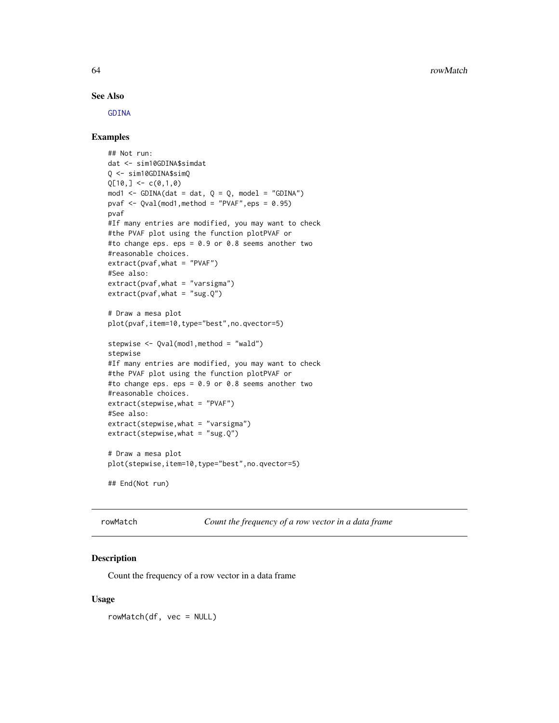# See Also

[GDINA](#page-22-0)

# Examples

```
## Not run:
dat <- sim10GDINA$simdat
Q <- sim10GDINA$simQ
Q[10, ] \leq C(0,1,0)mod1 <- GDINA(dat = dat, Q = Q, model = "GDINA")
pvaf \leq Qval(mod1, method = "PVAF", eps = 0.95)
pvaf
#If many entries are modified, you may want to check
#the PVAF plot using the function plotPVAF or
#to change eps. eps = 0.9 or 0.8 seems another two
#reasonable choices.
extract(pvaf,what = "PVAF")
#See also:
extract(pvaf,what = "varsigma")
extract(pvaf, what = "sug.Q")# Draw a mesa plot
plot(pvaf,item=10,type="best",no.qvector=5)
stepwise <- Qval(mod1,method = "wald")
stepwise
#If many entries are modified, you may want to check
#the PVAF plot using the function plotPVAF or
#to change eps. eps = 0.9 or 0.8 seems another two
#reasonable choices.
extract(stepwise,what = "PVAF")
#See also:
extract(stepwise,what = "varsigma")
extract(stepwise, what = "sug.Q")# Draw a mesa plot
plot(stepwise,item=10,type="best",no.qvector=5)
## End(Not run)
```
rowMatch *Count the frequency of a row vector in a data frame*

# **Description**

Count the frequency of a row vector in a data frame

#### Usage

rowMatch(df, vec = NULL)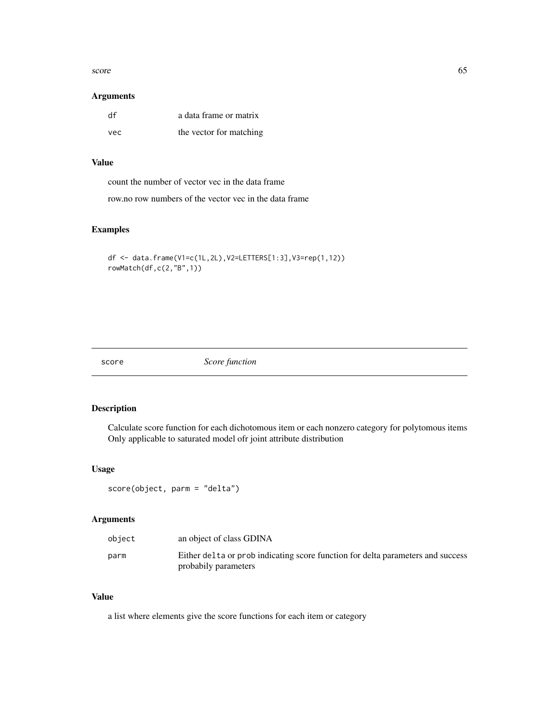#### score to the contract of the contract of the contract of the contract of the contract of the contract of the contract of the contract of the contract of the contract of the contract of the contract of the contract of the c

# Arguments

| df  | a data frame or matrix  |
|-----|-------------------------|
| vec | the vector for matching |

# Value

count the number of vector vec in the data frame

row.no row numbers of the vector vec in the data frame

# Examples

```
df <- data.frame(V1=c(1L,2L),V2=LETTERS[1:3],V3=rep(1,12))
rowMatch(df,c(2,"B",1))
```
score *Score function*

# Description

Calculate score function for each dichotomous item or each nonzero category for polytomous items Only applicable to saturated model ofr joint attribute distribution

## Usage

```
score(object, parm = "delta")
```
# Arguments

| object | an object of class GDINA                                                                                |
|--------|---------------------------------------------------------------------------------------------------------|
| parm   | Either delta or prob indicating score function for delta parameters and success<br>probabily parameters |

# Value

a list where elements give the score functions for each item or category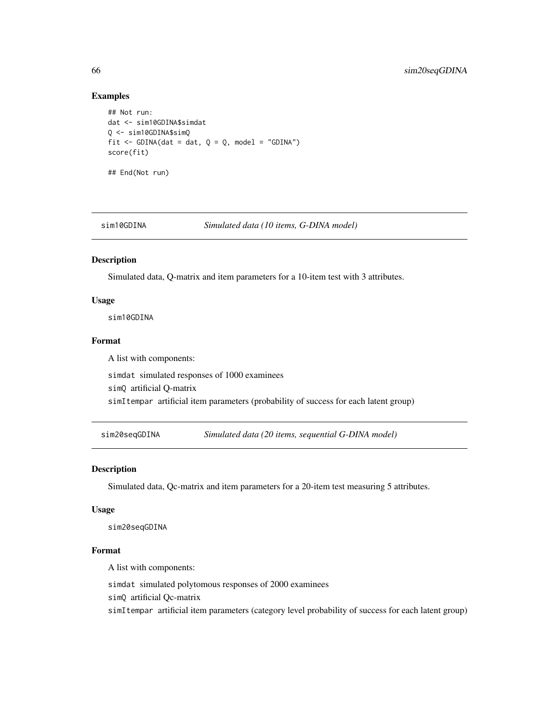# Examples

```
## Not run:
dat <- sim10GDINA$simdat
Q <- sim10GDINA$simQ
fit \le GDINA(dat = dat, Q = Q, model = "GDINA")
score(fit)
## End(Not run)
```
sim10GDINA *Simulated data (10 items, G-DINA model)*

## Description

Simulated data, Q-matrix and item parameters for a 10-item test with 3 attributes.

# Usage

sim10GDINA

#### Format

A list with components:

simdat simulated responses of 1000 examinees

simQ artificial Q-matrix

simItempar artificial item parameters (probability of success for each latent group)

sim20seqGDINA *Simulated data (20 items, sequential G-DINA model)*

#### Description

Simulated data, Qc-matrix and item parameters for a 20-item test measuring 5 attributes.

## Usage

sim20seqGDINA

#### Format

A list with components:

simdat simulated polytomous responses of 2000 examinees

simQ artificial Qc-matrix

simItempar artificial item parameters (category level probability of success for each latent group)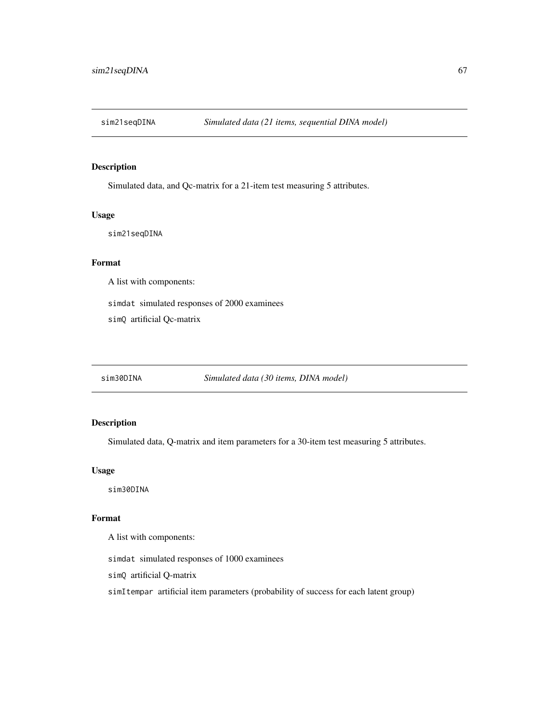Simulated data, and Qc-matrix for a 21-item test measuring 5 attributes.

## Usage

sim21seqDINA

## Format

A list with components:

simdat simulated responses of 2000 examinees

simQ artificial Qc-matrix

sim30DINA *Simulated data (30 items, DINA model)*

# Description

Simulated data, Q-matrix and item parameters for a 30-item test measuring 5 attributes.

## Usage

sim30DINA

# Format

A list with components:

simdat simulated responses of 1000 examinees

simQ artificial Q-matrix

simItempar artificial item parameters (probability of success for each latent group)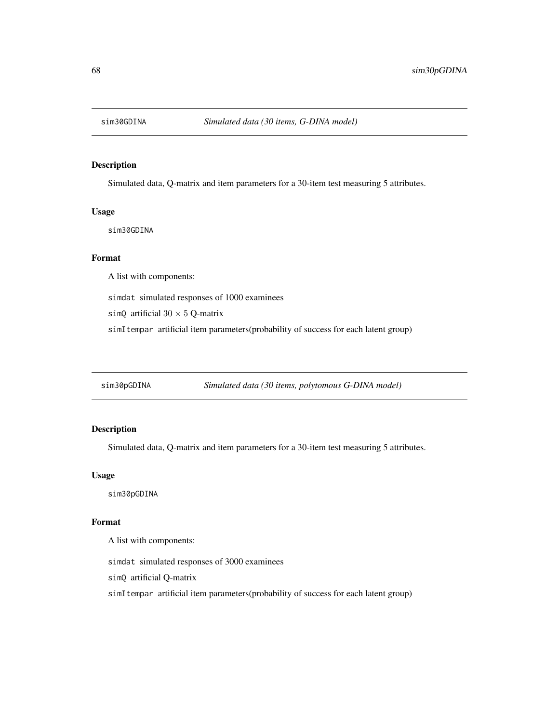Simulated data, Q-matrix and item parameters for a 30-item test measuring 5 attributes.

## Usage

sim30GDINA

# Format

A list with components:

simdat simulated responses of 1000 examinees

simQ artificial  $30 \times 5$  Q-matrix

simItempar artificial item parameters(probability of success for each latent group)

sim30pGDINA *Simulated data (30 items, polytomous G-DINA model)*

# Description

Simulated data, Q-matrix and item parameters for a 30-item test measuring 5 attributes.

## Usage

sim30pGDINA

## Format

A list with components:

simdat simulated responses of 3000 examinees

simQ artificial Q-matrix

simItempar artificial item parameters(probability of success for each latent group)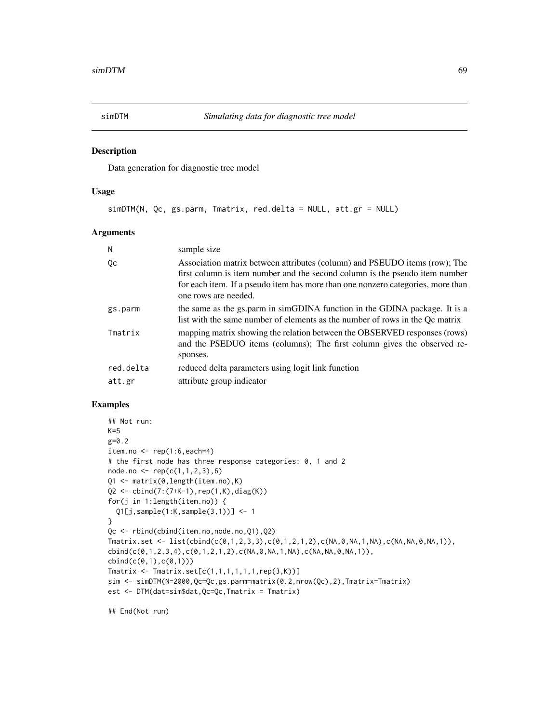Data generation for diagnostic tree model

# Usage

simDTM(N, Qc, gs.parm, Tmatrix, red.delta = NULL, att.gr = NULL)

#### Arguments

| N         | sample size                                                                                                                                                                                                                                                          |
|-----------|----------------------------------------------------------------------------------------------------------------------------------------------------------------------------------------------------------------------------------------------------------------------|
| Qс        | Association matrix between attributes (column) and PSEUDO items (row); The<br>first column is item number and the second column is the pseudo item number<br>for each item. If a pseudo item has more than one nonzero categories, more than<br>one rows are needed. |
| gs.parm   | the same as the gs.parm in simGDINA function in the GDINA package. It is a<br>list with the same number of elements as the number of rows in the Qc matrix                                                                                                           |
| Tmatrix   | mapping matrix showing the relation between the OBSERVED responses (rows)<br>and the PSEDUO items (columns); The first column gives the observed re-<br>sponses.                                                                                                     |
| red.delta | reduced delta parameters using logit link function                                                                                                                                                                                                                   |
| att.gr    | attribute group indicator                                                                                                                                                                                                                                            |

#### Examples

```
## Not run:
K=5g=0.2
item.no <- rep(1:6,each=4)
# the first node has three response categories: 0, 1 and 2
node.no <- rep(c(1,1,2,3),6)
Q1 <- matrix(0,length(item.no),K)
Q2 <- cbind(7:(7+K-1),rep(1,K),diag(K))
for(j in 1:length(item.no)) {
  Q1[j,sample(1:K,sample(3,1))] <- 1
}
Qc <- rbind(cbind(item.no,node.no,Q1),Q2)
Tmatrix.set <- list(cbind(c(0,1,2,3,3),c(0,1,2,1,2),c(NA,0,NA,1,NA),c(NA,NA,0,NA,1)),
cbind(c(0,1,2,3,4),c(0,1,2,1,2),c(NA,0,NA,1,NA),c(NA,NA,0,NA,1)),
cbind(c(0,1),c(0,1)))
Tmatrix <- Tmatrix.set[c(1,1,1,1,1,1,rep(3,K))]
sim <- simDTM(N=2000,Qc=Qc,gs.parm=matrix(0.2,nrow(Qc),2),Tmatrix=Tmatrix)
est <- DTM(dat=sim$dat,Qc=Qc,Tmatrix = Tmatrix)
```
## End(Not run)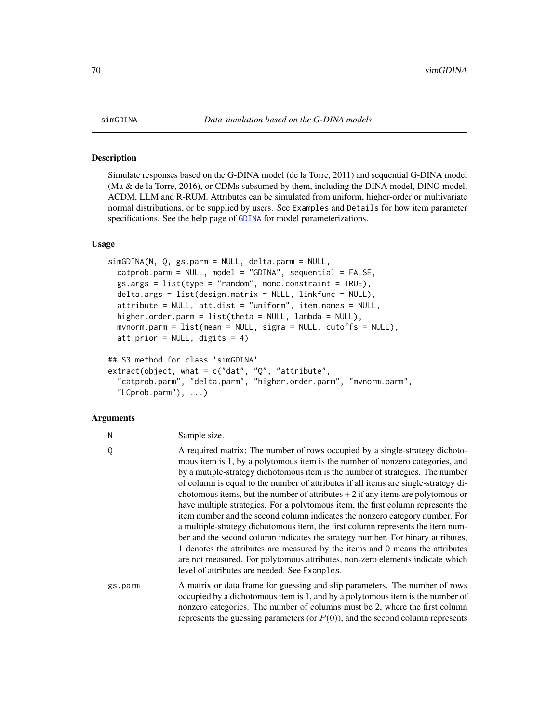Simulate responses based on the G-DINA model (de la Torre, 2011) and sequential G-DINA model (Ma & de la Torre, 2016), or CDMs subsumed by them, including the DINA model, DINO model, ACDM, LLM and R-RUM. Attributes can be simulated from uniform, higher-order or multivariate normal distributions, or be supplied by users. See Examples and Details for how item parameter specifications. See the help page of [GDINA](#page-22-0) for model parameterizations.

# Usage

```
simGDINA(N, Q, gs.parm = NULL, delta.parm = NULL,
 catprob.parm = NULL, model = "GDINA", sequential = FALSE,gs.argv = list(type = "random", mono.config, int = TRUE),delta.args = list(design.matrix = NULL, linkfunc = NULL),
  attribute = NULL, att.dist = "uniform", item.names = NULL,
 higher.order.parm = list(theta = NULL, lambda = NULL),
 mvnorm.parm = list(mean = NULL, sigma = NULL, cutoffs = NULL),
 att.prior = NULL, digits = 4)
## S3 method for class 'simGDINA'
extract(object, what = c("dat", "Q", "attribute",
  "catprob.parm", "delta.parm", "higher.order.parm", "mvnorm.parm",
  "LCprob.parm"), ...)
```
# Arguments

| N       | Sample size.                                                                                                                                                                                                                                                                                                                                                                                                                                                                                                                                                                                                                                                                                                                                                                                                                                                                                                                                                                             |
|---------|------------------------------------------------------------------------------------------------------------------------------------------------------------------------------------------------------------------------------------------------------------------------------------------------------------------------------------------------------------------------------------------------------------------------------------------------------------------------------------------------------------------------------------------------------------------------------------------------------------------------------------------------------------------------------------------------------------------------------------------------------------------------------------------------------------------------------------------------------------------------------------------------------------------------------------------------------------------------------------------|
| 0       | A required matrix; The number of rows occupied by a single-strategy dichoto-<br>mous item is 1, by a polytomous item is the number of nonzero categories, and<br>by a mutiple-strategy dichotomous item is the number of strategies. The number<br>of column is equal to the number of attributes if all items are single-strategy di-<br>chotomous items, but the number of attributes $+2$ if any items are polytomous or<br>have multiple strategies. For a polytomous item, the first column represents the<br>item number and the second column indicates the nonzero category number. For<br>a multiple-strategy dichotomous item, the first column represents the item num-<br>ber and the second column indicates the strategy number. For binary attributes,<br>1 denotes the attributes are measured by the items and 0 means the attributes<br>are not measured. For polytomous attributes, non-zero elements indicate which<br>level of attributes are needed. See Examples. |
| gs.parm | A matrix or data frame for guessing and slip parameters. The number of rows<br>occupied by a dichotomous item is 1, and by a polytomous item is the number of<br>nonzero categories. The number of columns must be 2, where the first column<br>represents the guessing parameters (or $P(0)$ ), and the second column represents                                                                                                                                                                                                                                                                                                                                                                                                                                                                                                                                                                                                                                                        |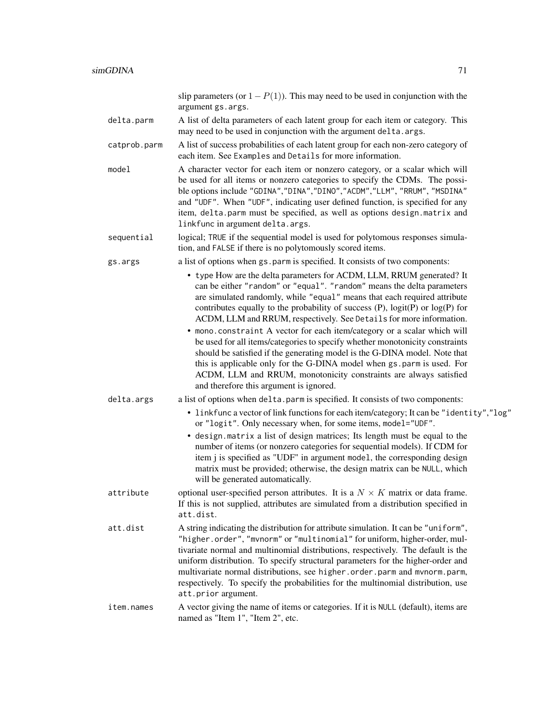slip parameters (or  $1 - P(1)$ ). This may need to be used in conjunction with the argument gs.args.

- delta.parm A list of delta parameters of each latent group for each item or category. This may need to be used in conjunction with the argument delta.args.
- catprob.parm A list of success probabilities of each latent group for each non-zero category of each item. See Examples and Details for more information.
- model A character vector for each item or nonzero category, or a scalar which will be used for all items or nonzero categories to specify the CDMs. The possible options include "GDINA","DINA","DINO","ACDM","LLM", "RRUM", "MSDINA" and "UDF". When "UDF", indicating user defined function, is specified for any item, delta.parm must be specified, as well as options design.matrix and linkfunc in argument delta.args.
- sequential logical; TRUE if the sequential model is used for polytomous responses simulation, and FALSE if there is no polytomously scored items.
- gs.args a list of options when gs.parm is specified. It consists of two components:
	- type How are the delta parameters for ACDM, LLM, RRUM generated? It can be either "random" or "equal". "random" means the delta parameters are simulated randomly, while "equal" means that each required attribute contributes equally to the probability of success  $(P)$ , logit $(P)$  or log $(P)$  for ACDM, LLM and RRUM, respectively. See Details for more information.
		- mono.constraint A vector for each item/category or a scalar which will be used for all items/categories to specify whether monotonicity constraints should be satisfied if the generating model is the G-DINA model. Note that this is applicable only for the G-DINA model when gs.parm is used. For ACDM, LLM and RRUM, monotonicity constraints are always satisfied and therefore this argument is ignored.
- 
- delta.args a list of options when delta.parm is specified. It consists of two components:
	- linkfunc a vector of link functions for each item/category; It can be "identity","log" or "logit". Only necessary when, for some items, model="UDF".
	- design.matrix a list of design matrices; Its length must be equal to the number of items (or nonzero categories for sequential models). If CDM for item j is specified as "UDF" in argument model, the corresponding design matrix must be provided; otherwise, the design matrix can be NULL, which will be generated automatically.
- attribute optional user-specified person attributes. It is a  $N \times K$  matrix or data frame. If this is not supplied, attributes are simulated from a distribution specified in att.dist.
- att.dist A string indicating the distribution for attribute simulation. It can be "uniform", "higher.order", "mvnorm" or "multinomial" for uniform, higher-order, multivariate normal and multinomial distributions, respectively. The default is the uniform distribution. To specify structural parameters for the higher-order and multivariate normal distributions, see higher.order.parm and mvnorm.parm, respectively. To specify the probabilities for the multinomial distribution, use att.prior argument.
- item.names A vector giving the name of items or categories. If it is NULL (default), items are named as "Item 1", "Item 2", etc.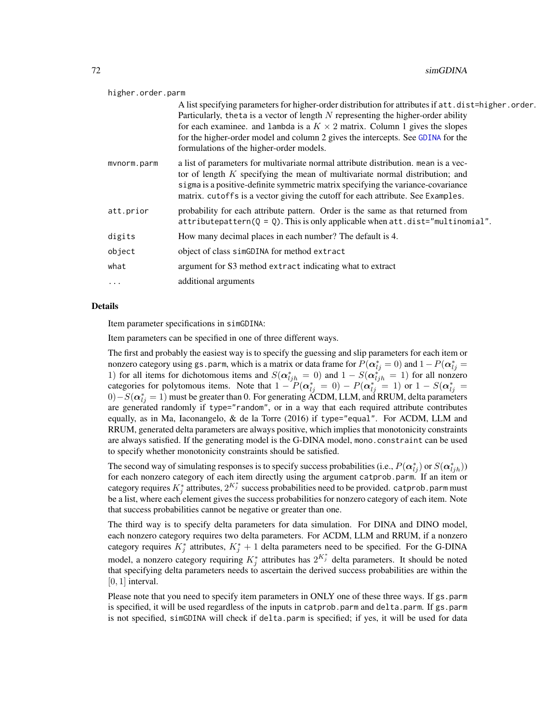#### higher.order.parm

|             | A list specifying parameters for higher-order distribution for attributes if att.dist=higher.order.<br>Particularly, theta is a vector of length $N$ representing the higher-order ability<br>for each examinee. and lambda is a $K \times 2$ matrix. Column 1 gives the slopes<br>for the higher-order model and column 2 gives the intercepts. See GDINA for the<br>formulations of the higher-order models. |
|-------------|----------------------------------------------------------------------------------------------------------------------------------------------------------------------------------------------------------------------------------------------------------------------------------------------------------------------------------------------------------------------------------------------------------------|
| mvnorm.parm | a list of parameters for multivariate normal attribute distribution. mean is a vec-<br>tor of length $K$ specifying the mean of multivariate normal distribution; and<br>sigma is a positive-definite symmetric matrix specifying the variance-covariance<br>matrix. cutoffs is a vector giving the cutoff for each attribute. See Examples.                                                                   |
| att.prior   | probability for each attribute pattern. Order is the same as that returned from<br>$attribute$ pattern( $Q = Q$ ). This is only applicable when $att.dist="multinomial"$ .                                                                                                                                                                                                                                     |
| digits      | How many decimal places in each number? The default is 4.                                                                                                                                                                                                                                                                                                                                                      |
| object      | object of class simGDINA for method extract                                                                                                                                                                                                                                                                                                                                                                    |
| what        | argument for S3 method extract indicating what to extract                                                                                                                                                                                                                                                                                                                                                      |
| $\cdots$    | additional arguments                                                                                                                                                                                                                                                                                                                                                                                           |
|             |                                                                                                                                                                                                                                                                                                                                                                                                                |

## Details

Item parameter specifications in simGDINA:

Item parameters can be specified in one of three different ways.

The first and probably the easiest way is to specify the guessing and slip parameters for each item or nonzero category using gs.parm, which is a matrix or data frame for  $P(\bm{\alpha}_{lj}^*=0)$  and  $1-P(\bm{\alpha}_{lj}^*=0)$ 1) for all items for dichotomous items and  $S(\alpha_{ljh}^* = 0)$  and  $1 - S(\alpha_{ljh}^*) = 1$  for all nonzero categories for polytomous items. Note that  $1 - P(\alpha_{lj}^* = 0) - P(\alpha_{lj}^* = 1)$  or  $1 - S(\alpha_{lj}^* = 1)$  $(0) - S(\boldsymbol{\alpha}_{lj}^*=1)$  must be greater than 0. For generating ACDM, LLM, and RRUM, delta parameters are generated randomly if type="random", or in a way that each required attribute contributes equally, as in Ma, Iaconangelo, & de la Torre (2016) if type="equal". For ACDM, LLM and RRUM, generated delta parameters are always positive, which implies that monotonicity constraints are always satisfied. If the generating model is the G-DINA model, mono.constraint can be used to specify whether monotonicity constraints should be satisfied.

The second way of simulating responses is to specify success probabilities (i.e.,  $P(\alpha_{lj}^*)$  or  $S(\alpha_{ljh}^*)$ ) for each nonzero category of each item directly using the argument catprob.parm. If an item or category requires  $K_j^*$  attributes,  $2^{K_j^*}$  success probabilities need to be provided. catprob. parm must be a list, where each element gives the success probabilities for nonzero category of each item. Note that success probabilities cannot be negative or greater than one.

The third way is to specify delta parameters for data simulation. For DINA and DINO model, each nonzero category requires two delta parameters. For ACDM, LLM and RRUM, if a nonzero category requires  $K_j^*$  attributes,  $K_j^* + 1$  delta parameters need to be specified. For the G-DINA model, a nonzero category requiring  $K_j^*$  attributes has  $2^{K_j^*}$  delta parameters. It should be noted that specifying delta parameters needs to ascertain the derived success probabilities are within the  $[0, 1]$  interval.

Please note that you need to specify item parameters in ONLY one of these three ways. If gs.parm is specified, it will be used regardless of the inputs in catprob.parm and delta.parm. If gs.parm is not specified, simGDINA will check if delta.parm is specified; if yes, it will be used for data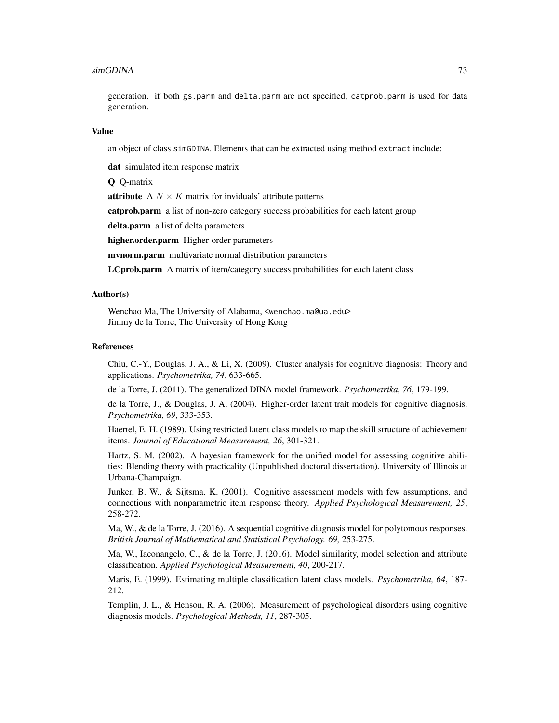#### simGDINA 73

generation. if both gs.parm and delta.parm are not specified, catprob.parm is used for data generation.

#### Value

an object of class simGDINA. Elements that can be extracted using method extract include:

dat simulated item response matrix

Q Q-matrix

**attribute** A  $N \times K$  matrix for inviduals' attribute patterns

catprob.parm a list of non-zero category success probabilities for each latent group

delta.parm a list of delta parameters

higher.order.parm Higher-order parameters

mvnorm.parm multivariate normal distribution parameters

LCprob.parm A matrix of item/category success probabilities for each latent class

#### Author(s)

Wenchao Ma, The University of Alabama, <wenchao.ma@ua.edu> Jimmy de la Torre, The University of Hong Kong

#### References

Chiu, C.-Y., Douglas, J. A., & Li, X. (2009). Cluster analysis for cognitive diagnosis: Theory and applications. *Psychometrika, 74*, 633-665.

de la Torre, J. (2011). The generalized DINA model framework. *Psychometrika, 76*, 179-199.

de la Torre, J., & Douglas, J. A. (2004). Higher-order latent trait models for cognitive diagnosis. *Psychometrika, 69*, 333-353.

Haertel, E. H. (1989). Using restricted latent class models to map the skill structure of achievement items. *Journal of Educational Measurement, 26*, 301-321.

Hartz, S. M. (2002). A bayesian framework for the unified model for assessing cognitive abilities: Blending theory with practicality (Unpublished doctoral dissertation). University of Illinois at Urbana-Champaign.

Junker, B. W., & Sijtsma, K. (2001). Cognitive assessment models with few assumptions, and connections with nonparametric item response theory. *Applied Psychological Measurement, 25*, 258-272.

Ma, W., & de la Torre, J. (2016). A sequential cognitive diagnosis model for polytomous responses. *British Journal of Mathematical and Statistical Psychology. 69,* 253-275.

Ma, W., Iaconangelo, C., & de la Torre, J. (2016). Model similarity, model selection and attribute classification. *Applied Psychological Measurement, 40*, 200-217.

Maris, E. (1999). Estimating multiple classification latent class models. *Psychometrika, 64*, 187- 212.

Templin, J. L., & Henson, R. A. (2006). Measurement of psychological disorders using cognitive diagnosis models. *Psychological Methods, 11*, 287-305.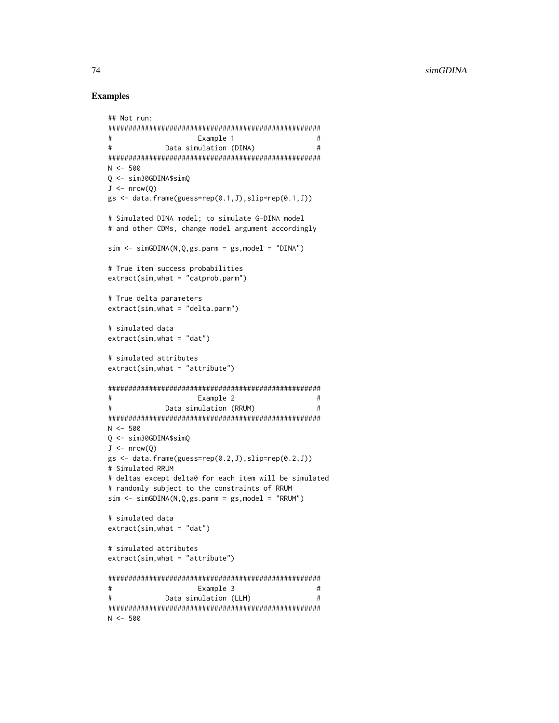#### **Examples**

```
## Not run:
##Example 1
                                         ##Data simulation (DINA)
N < -500Q \le -\sin 30GDINA$simQ
J \leq -nrow(0)gs \leftarrow data. frame(guess=rep(0.1, J), slip=rep(0.1, J))# Simulated DINA model; to simulate G-DINA model
# and other CDMs, change model argument accordingly
sim \le -\nsimGDINA(N, 0, gs. parm = gs, model = "DINA")# True item success probabilities
extract(sim, what = "catprob. parm")# True delta parameters
extract(sim, what = "delta.parm")# simulated data
extract(sim, what = "dat")# simulated attributes
extract(sim, what = "attribute")\#Example 2
                                         ##Data simulation (RRUM)
                                         #N < -500Q \le -\sin 30GDINA$simQ
J \leftarrow \text{nrow}(Q)gs \leftarrow data. frame(guess=rep(0.2, J), slip=rep(0.2, J))# Simulated RRUM
# deltas except delta0 for each item will be simulated
# randomly subject to the constraints of RRUM
sim \le -\nsimGDINA(N,Q,gs.parm = gs, model = "RRUM")# simulated data
extract(sim, what = "dat")# simulated attributes
extract(sim, what = "attribute")#Example 3
                                        ##Data simulation (LLM)
                                         #N < -500
```
74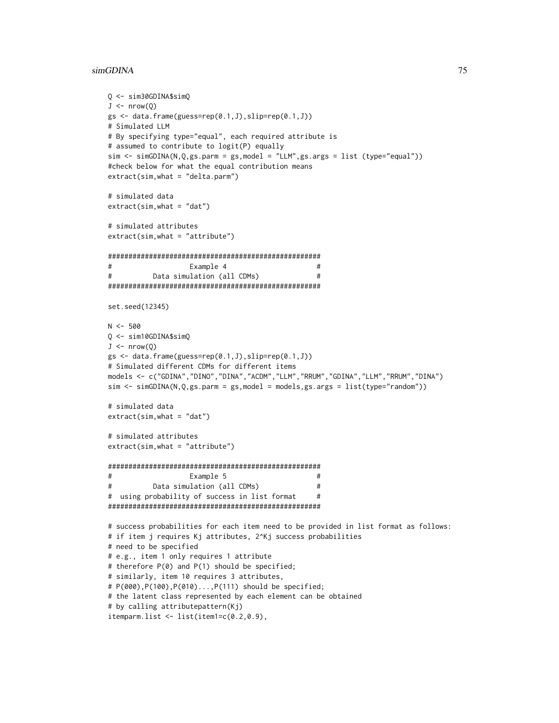#### simGDINA 75

```
Q <- sim30GDINA$simQ
J \leftarrow \text{nrow}(Q)gs <- data.frame(guess=rep(0.1,J),slip=rep(0.1,J))
# Simulated LLM
# By specifying type="equal", each required attribute is
# assumed to contribute to logit(P) equally
sim < simGDINA(N,Q,gs.parm = gs,model = "LLM",gs.args = list (type="equal"))
#check below for what the equal contribution means
extract(sim,what = "delta.parm")
# simulated data
extract(sim,what = "dat")
# simulated attributes
extract(sim,what = "attribute")
####################################################
# Example 4 #
# Data simulation (all CDMs) #
####################################################
set.seed(12345)
N < -500Q <- sim10GDINA$simQ
J \leftarrow \text{nrow}(Q)gs \leftarrow data.frame(guess=rep(0.1,J), slip=rep(0.1,J))# Simulated different CDMs for different items
models <- c("GDINA","DINO","DINA","ACDM","LLM","RRUM","GDINA","LLM","RRUM","DINA")
sim <- simGDINA(N,Q,gs.parm = gs,model = models,gs.args = list(type="random"))
# simulated data
extract(sim,what = "dat")# simulated attributes
extract(sim,what = "attribute")
####################################################
# Example 5 #
# Data simulation (all CDMs) #
# using probability of success in list format #
####################################################
# success probabilities for each item need to be provided in list format as follows:
# if item j requires Kj attributes, 2^Kj success probabilities
# need to be specified
# e.g., item 1 only requires 1 attribute
# therefore P(0) and P(1) should be specified;
# similarly, item 10 requires 3 attributes,
# P(000),P(100),P(010)...,P(111) should be specified;
# the latent class represented by each element can be obtained
# by calling attributepattern(Kj)
itemparm.list <- list(item1=c(0.2,0.9),
```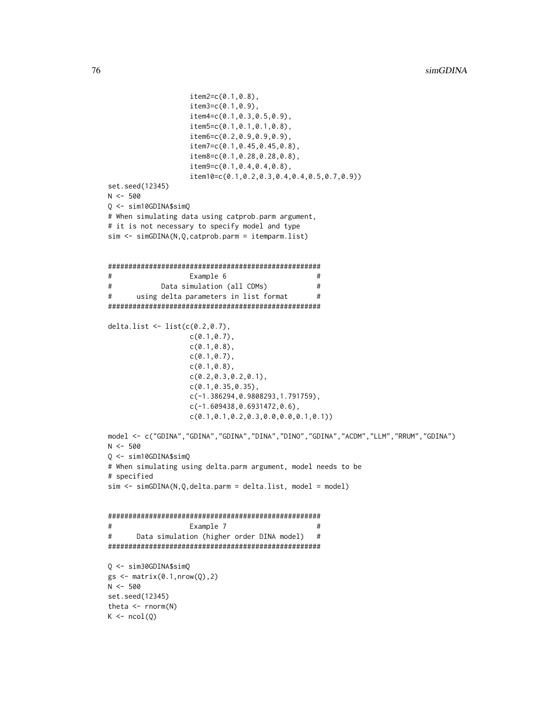```
item2=c(0.1,0.8),
                   item3=c(0.1,0.9),
                   item4=c(0.1,0.3,0.5,0.9),
                   item5=c(0.1,0.1,0.1,0.8),
                   item6=c(0.2,0.9,0.9,0.9),
                   item7=c(0.1,0.45,0.45,0.8),
                   item8=c(0.1,0.28,0.28,0.8),
                   item9=c(0.1,0.4,0.4,0.8),
                   item10=c(0.1,0.2,0.3,0.4,0.4,0.5,0.7,0.9))
set.seed(12345)
N < -500Q <- sim10GDINA$simQ
# When simulating data using catprob.parm argument,
# it is not necessary to specify model and type
sim <- simGDINA(N,Q,catprob.parm = itemparm.list)
####################################################
# Example 6 #
# Data simulation (all CDMs) #
# using delta parameters in list format #
####################################################
delta.list <- list(c(0.2,0.7),
                   c(0.1, 0.7),
                   c(0.1,0.8),
                   c(0.1, 0.7),
                   c(0.1,0.8),
                   c(0.2,0.3,0.2,0.1),
                   c(0.1,0.35,0.35),
                   c(-1.386294,0.9808293,1.791759),
                   c(-1.609438,0.6931472,0.6),
                   c(0.1,0.1,0.2,0.3,0.0,0.0,0.1,0.1))
model <- c("GDINA","GDINA","GDINA","DINA","DINO","GDINA","ACDM","LLM","RRUM","GDINA")
N < -500Q <- sim10GDINA$simQ
# When simulating using delta.parm argument, model needs to be
# specified
sim < simGDINA(N,Q,delta.parm = delta.list, model = model)
####################################################
# Example 7 #
# Data simulation (higher order DINA model) #
####################################################
Q <- sim30GDINA$simQ
gs \leftarrow matrix(0.1, nrow(Q), 2)N < -500set.seed(12345)
theta \leq rnorm(N)K \leftarrow \text{ncol}(Q)
```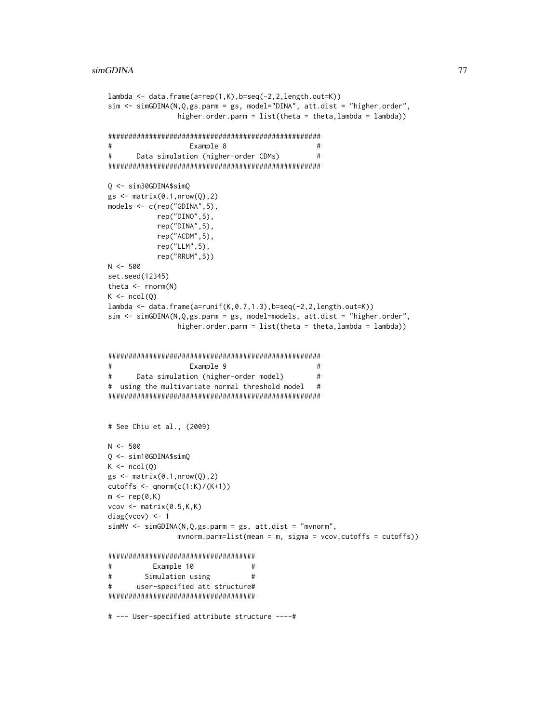```
lambda <- data.frame(a=rep(1,K),b=seq(-2,2,length.out=K))
sim <- simGDINA(N,Q,gs.parm = gs, model="DINA", att.dist = "higher.order",
                higher.order.parm = list(theta = theta,lambda = lambda))
####################################################
# Example 8 #
# Data simulation (higher-order CDMs) #
####################################################
Q <- sim30GDINA$simQ
gs \leftarrow matrix(0.1, nrow(Q), 2)models <- c(rep("GDINA",5),
           rep("DINO",5),
           rep("DINA",5),
           rep("ACDM",5),
           rep("LLM",5),
           rep("RRUM",5))
N < -500set.seed(12345)
theta \leq rnorm(N)K \leftarrow \text{ncol}(Q)lambda \leq data.frame(a=runif(K,0.7,1.3),b=seq(-2,2,length.out=K))
sim <- simGDINA(N,Q,gs.parm = gs, model=models, att.dist = "higher.order",
                higher.order.parm = list(theta = theta, lambda = lambda))####################################################
# Example 9 #
# Data simulation (higher-order model) #
# using the multivariate normal threshold model #
####################################################
# See Chiu et al., (2009)
N < -500Q <- sim10GDINA$simQ
K \leftarrow \text{ncol}(Q)gs \leftarrow matrix(0.1, nrow(Q), 2)cutoffs \leq qnorm(c(1:K)/(K+1))
m \leftarrow rep(0,K)vcov \leftarrow matrix(0.5, K, K)diag(vcov) <- 1
simMV <- simGDINA(N,Q,gs.parm = gs, att.dist = "mvnorm",
                mvnorm.parm=list(mean = m, sigma = vcov,cutoffs = cutoffs))
####################################
# Example 10 #
# Simulation using #
# user-specified att structure#
####################################
# --- User-specified attribute structure ----#
```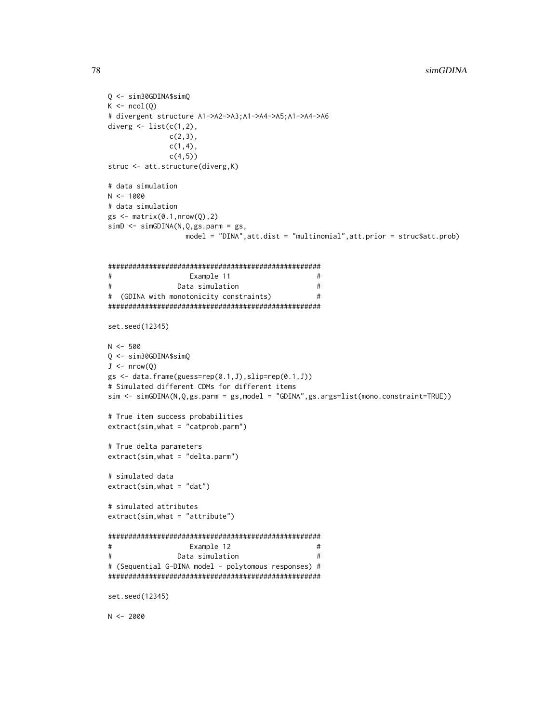```
Q \le -\sin 30GDINA$simQ
K \leftarrow \text{ncol}(Q)# divergent structure A1->A2->A3;A1->A4->A5;A1->A4->A6
diverg \leq list(c(1,2),
             c(2,3),
             c(1,4),
             c(4,5))
struc <- att.structure(diverg,K)
# data simulation
N < -1000# data simulation
gs \leftarrow matrix(0.1, nrow(Q), 2)simD \leftarrow simGDINA(N,Q,gs.parm = gs,model = "DINA", att.dist = "multinomial", att.prior = struc$att.prob)
#Example 11
                                             #\#Data simulation
                                             ## (GDINA with monotonicity constraints)
                                             #set.seed(12345)
N < -500Q <- sim30GDINA$simQ
J \leftarrow \text{nrow}(Q)gs \leftarrow data-frame(guess=rep(0.1, J), slip=rep(0.1, J))# Simulated different CDMs for different items
sim \leftarrow simGDINA(N,Q,gs.parm = gs,model = "GDINA",gs.args=list(mono.constraint=TRUE))
# True item success probabilities
extract(sim, what = "catprob.parm")# True delta parameters
extract(sim, what = "delta.parm")# simulated data
extract(sim, what = "dat")# simulated attributes
extract(sim, what = "attribute")#Example 12
                                             #Data simulation
### (Sequential G-DINA model - polytomous responses) #
set.seed(12345)
N < -2000
```
78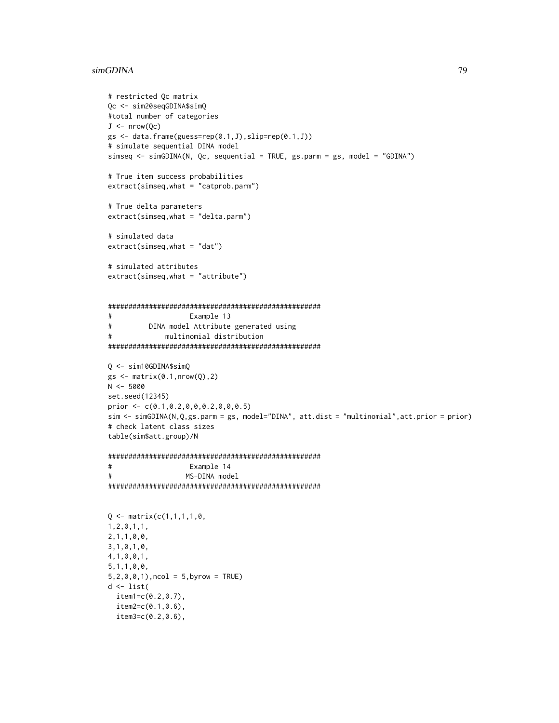### simGDINA

```
# restricted Qc matrix
Qc <- sim20seqGDINA$simQ
#total number of categories
J \leftarrow \text{nrow}(\text{Qc})gs \leftarrow data.frame(guess=rep(0.1, J), slip=rep(0.1, J))# simulate sequential DINA model
simseq <- simGDINA(N, Qc, sequential = TRUE, gs.parm = gs, model = "GDINA")
# True item success probabilities
extract(simesq, what = "catprob.parm")# True delta parameters
extract(simseq, what = "delta.parm")# simulated data
extract(simseq, what = "dat")# simulated attributes
extract(simesq, what = "attribute")#Example 13
         DINA model Attribute generated using
#multinomial distribution
#Q \le - \sin 10GDINA$simQ
gs \leftarrow matrix(0.1, nrow(Q), 2)N < -5000set.seed(12345)
prior <- c(0.1, 0.2, 0, 0, 0.2, 0, 0, 0.5)sim <- simGDINA(N,Q,gs.parm = gs, model="DINA", att.dist = "multinomial", att.prior = prior)
# check latent class sizes
table(sim$att.group)/N
#Example 14
#MS-DINA model
Q \leftarrow matrix(c(1,1,1,1,0,1, 2, 0, 1, 1,2, 1, 1, 0, 0,3, 1, 0, 1, 0,4, 1, 0, 0, 1,5, 1, 1, 0, 0,5, 2, 0, 0, 1), ncol = 5, byrow = TRUE)
d \leftarrow list(item1 = c(0.2, 0.7),item2=c(0.1, 0.6),
 item3=c(0.2, 0.6),
```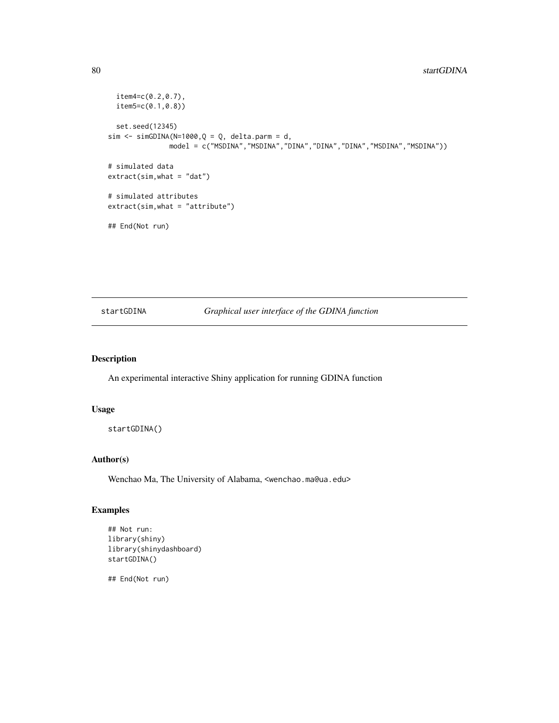### <span id="page-79-0"></span>80 startGDINA

```
item4=c(0.2,0.7),
 item5=c(0.1,0.8))
 set.seed(12345)
sim \le simGDINA(N=1000, Q = Q, delta.parm = d,
              model = c("MSDINA","MSDINA","DINA","DINA","DINA","MSDINA","MSDINA"))
# simulated data
extract(sim, what = "dat")# simulated attributes
extract(sim,what = "attribute")
## End(Not run)
```
## startGDINA *Graphical user interface of the GDINA function*

#### Description

An experimental interactive Shiny application for running GDINA function

#### Usage

```
startGDINA()
```
#### Author(s)

Wenchao Ma, The University of Alabama, <wenchao.ma@ua.edu>

#### Examples

```
## Not run:
library(shiny)
library(shinydashboard)
startGDINA()
```
## End(Not run)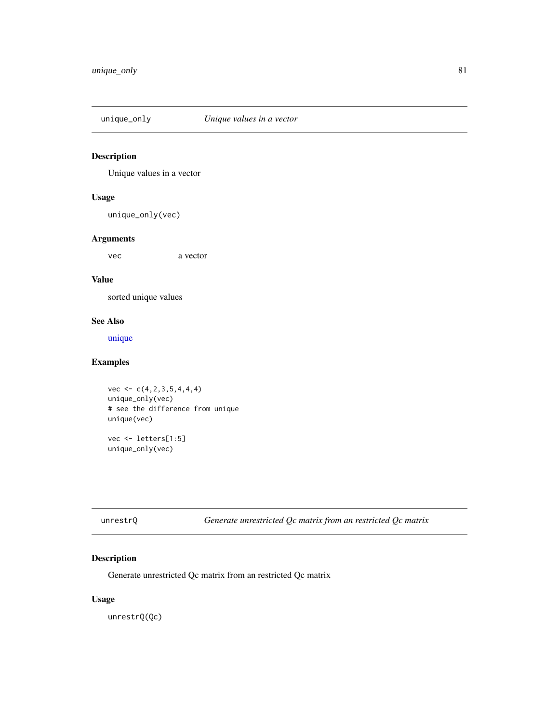<span id="page-80-0"></span>

## Description

Unique values in a vector

## Usage

unique\_only(vec)

## Arguments

vec a vector

## Value

sorted unique values

## See Also

[unique](#page-0-0)

## Examples

 $vec < -c(4,2,3,5,4,4,4)$ unique\_only(vec) # see the difference from unique unique(vec) vec <- letters[1:5]

unique\_only(vec)

| unrestrQ |  |  |
|----------|--|--|
|----------|--|--|

unrestrQ *Generate unrestricted Qc matrix from an restricted Qc matrix*

## Description

Generate unrestricted Qc matrix from an restricted Qc matrix

#### Usage

unrestrQ(Qc)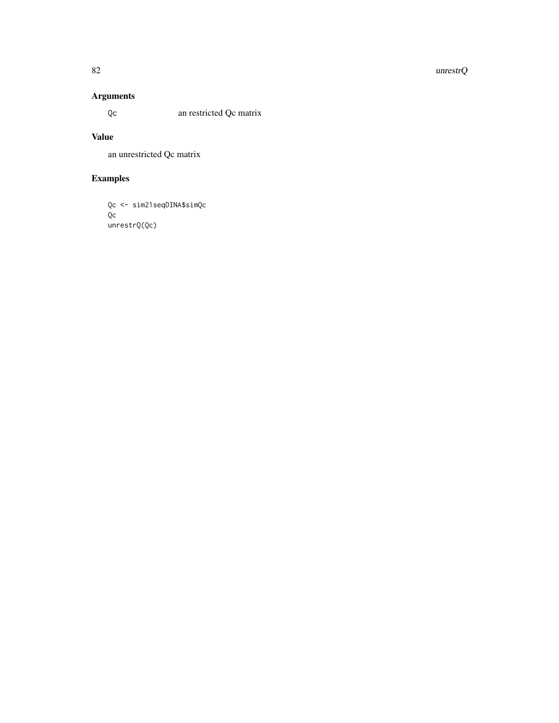#### 82 unrestrQ

# Arguments

Qc an restricted Qc matrix

## Value

an unrestricted Qc matrix

# Examples

```
Qc <- sim21seqDINA$simQc
Qc
unrestrQ(Qc)
```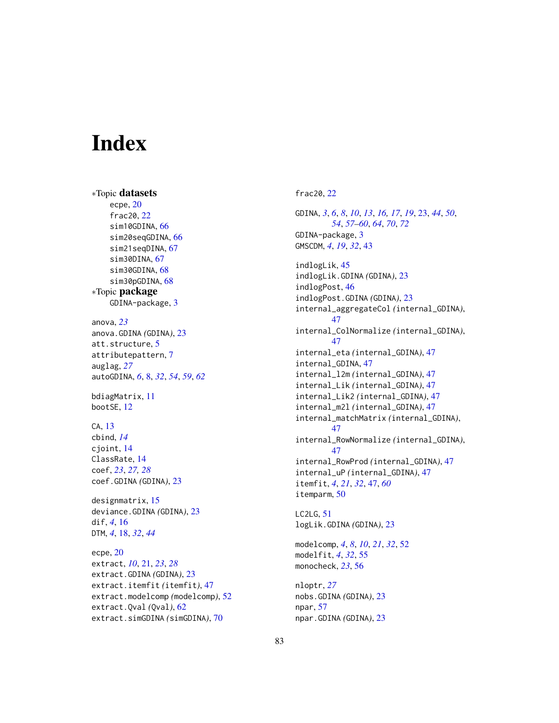# Index

∗Topic datasets ecpe, [20](#page-19-0) frac20, [22](#page-21-0) sim10GDINA, [66](#page-65-0) sim20seqGDINA, [66](#page-65-0) sim21seqDINA, [67](#page-66-0) sim30DINA, [67](#page-66-0) sim30GDINA, [68](#page-67-0) sim30pGDINA, [68](#page-67-0) ∗Topic package GDINA-package, [3](#page-2-0) anova, *[23](#page-22-0)* anova.GDINA *(*GDINA*)*, [23](#page-22-0) att.structure, [5](#page-4-0) attributepattern, [7](#page-6-0) auglag, *[27](#page-26-0)* autoGDINA, *[6](#page-5-0)*, [8,](#page-7-0) *[32](#page-31-0)*, *[54](#page-53-0)*, *[59](#page-58-0)*, *[62](#page-61-0)* bdiagMatrix, [11](#page-10-0) bootSE, [12](#page-11-0) CA, [13](#page-12-0) cbind, *[14](#page-13-0)* cjoint, [14](#page-13-0) ClassRate, [14](#page-13-0) coef, *[23](#page-22-0)*, *[27,](#page-26-0) [28](#page-27-0)* coef.GDINA *(*GDINA*)*, [23](#page-22-0) designmatrix, [15](#page-14-0) deviance.GDINA *(*GDINA*)*, [23](#page-22-0) dif, *[4](#page-3-0)*, [16](#page-15-0) DTM, *[4](#page-3-0)*, [18,](#page-17-0) *[32](#page-31-0)*, *[44](#page-43-0)* ecpe, [20](#page-19-0) extract, *[10](#page-9-0)*, [21,](#page-20-0) *[23](#page-22-0)*, *[28](#page-27-0)* extract.GDINA *(*GDINA*)*, [23](#page-22-0) extract.itemfit *(*itemfit*)*, [47](#page-46-0) extract.modelcomp *(*modelcomp*)*, [52](#page-51-0) extract.Qval *(*Qval*)*, [62](#page-61-0)

extract.simGDINA *(*simGDINA*)*, [70](#page-69-0)

## frac20, [22](#page-21-0)

GDINA, *[3](#page-2-0)*, *[6](#page-5-0)*, *[8](#page-7-0)*, *[10](#page-9-0)*, *[13](#page-12-0)*, *[16,](#page-15-0) [17](#page-16-0)*, *[19](#page-18-0)*, [23,](#page-22-0) *[44](#page-43-0)*, *[50](#page-49-0)*, *[54](#page-53-0)*, *[57](#page-56-0)[–60](#page-59-0)*, *[64](#page-63-0)*, *[70](#page-69-0)*, *[72](#page-71-0)* GDINA-package, [3](#page-2-0) GMSCDM, *[4](#page-3-0)*, *[19](#page-18-0)*, *[32](#page-31-0)*, [43](#page-42-0) indlogLik, [45](#page-44-0) indlogLik.GDINA *(*GDINA*)*, [23](#page-22-0) indlogPost, [46](#page-45-0) indlogPost.GDINA *(*GDINA*)*, [23](#page-22-0) internal\_aggregateCol *(*internal\_GDINA*)*, [47](#page-46-0) internal\_ColNormalize *(*internal\_GDINA*)*, [47](#page-46-0) internal\_eta *(*internal\_GDINA*)*, [47](#page-46-0) internal\_GDINA, [47](#page-46-0) internal\_l2m *(*internal\_GDINA*)*, [47](#page-46-0) internal\_Lik *(*internal\_GDINA*)*, [47](#page-46-0) internal\_Lik2 *(*internal\_GDINA*)*, [47](#page-46-0) internal\_m2l *(*internal\_GDINA*)*, [47](#page-46-0) internal\_matchMatrix *(*internal\_GDINA*)*, [47](#page-46-0) internal\_RowNormalize *(*internal\_GDINA*)*, [47](#page-46-0) internal\_RowProd *(*internal\_GDINA*)*, [47](#page-46-0) internal\_uP *(*internal\_GDINA*)*, [47](#page-46-0) itemfit, *[4](#page-3-0)*, *[21](#page-20-0)*, *[32](#page-31-0)*, [47,](#page-46-0) *[60](#page-59-0)* itemparm, [50](#page-49-0)

LC2LG, [51](#page-50-0) logLik.GDINA *(*GDINA*)*, [23](#page-22-0)

modelcomp, *[4](#page-3-0)*, *[8](#page-7-0)*, *[10](#page-9-0)*, *[21](#page-20-0)*, *[32](#page-31-0)*, [52](#page-51-0) modelfit, *[4](#page-3-0)*, *[32](#page-31-0)*, [55](#page-54-0) monocheck, *[23](#page-22-0)*, [56](#page-55-0)

nloptr, *[27](#page-26-0)* nobs.GDINA *(*GDINA*)*, [23](#page-22-0) npar, [57](#page-56-0) npar.GDINA *(*GDINA*)*, [23](#page-22-0)